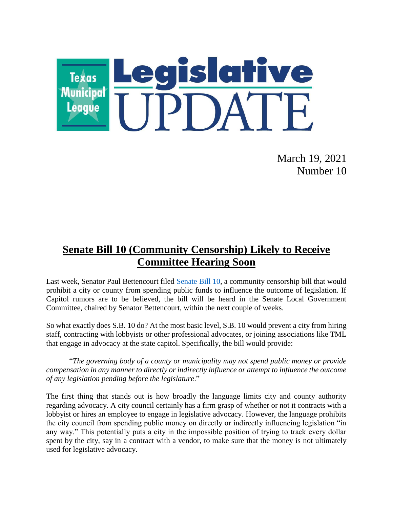

March 19, 2021 Number 10

# **Senate Bill 10 (Community Censorship) Likely to Receive Committee Hearing Soon**

Last week, Senator Paul Bettencourt filed [Senate Bill 10,](https://capitol.texas.gov/tlodocs/87R/billtext/pdf/SB00010I.pdf#navpanes=0) a community censorship bill that would prohibit a city or county from spending public funds to influence the outcome of legislation. If Capitol rumors are to be believed, the bill will be heard in the Senate Local Government Committee, chaired by Senator Bettencourt, within the next couple of weeks.

So what exactly does S.B. 10 do? At the most basic level, S.B. 10 would prevent a city from hiring staff, contracting with lobbyists or other professional advocates, or joining associations like TML that engage in advocacy at the state capitol. Specifically, the bill would provide:

"*The governing body of a county or municipality may not spend public money or provide compensation in any manner to directly or indirectly influence or attempt to influence the outcome of any legislation pending before the legislature*."

The first thing that stands out is how broadly the language limits city and county authority regarding advocacy. A city council certainly has a firm grasp of whether or not it contracts with a lobbyist or hires an employee to engage in legislative advocacy. However, the language prohibits the city council from spending public money on directly or indirectly influencing legislation "in any way." This potentially puts a city in the impossible position of trying to track every dollar spent by the city, say in a contract with a vendor, to make sure that the money is not ultimately used for legislative advocacy.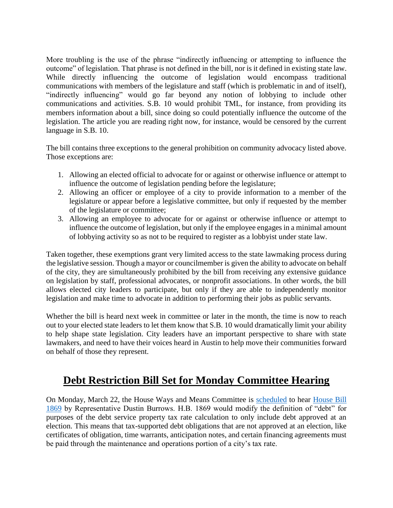More troubling is the use of the phrase "indirectly influencing or attempting to influence the outcome" of legislation. That phrase is not defined in the bill, nor is it defined in existing state law. While directly influencing the outcome of legislation would encompass traditional communications with members of the legislature and staff (which is problematic in and of itself), "indirectly influencing" would go far beyond any notion of lobbying to include other communications and activities. S.B. 10 would prohibit TML, for instance, from providing its members information about a bill, since doing so could potentially influence the outcome of the legislation. The article you are reading right now, for instance, would be censored by the current language in S.B. 10.

The bill contains three exceptions to the general prohibition on community advocacy listed above. Those exceptions are:

- 1. Allowing an elected official to advocate for or against or otherwise influence or attempt to influence the outcome of legislation pending before the legislature;
- 2. Allowing an officer or employee of a city to provide information to a member of the legislature or appear before a legislative committee, but only if requested by the member of the legislature or committee;
- 3. Allowing an employee to advocate for or against or otherwise influence or attempt to influence the outcome of legislation, but only if the employee engages in a minimal amount of lobbying activity so as not to be required to register as a lobbyist under state law.

Taken together, these exemptions grant very limited access to the state lawmaking process during the legislative session. Though a mayor or councilmember is given the ability to advocate on behalf of the city, they are simultaneously prohibited by the bill from receiving any extensive guidance on legislation by staff, professional advocates, or nonprofit associations. In other words, the bill allows elected city leaders to participate, but only if they are able to independently monitor legislation and make time to advocate in addition to performing their jobs as public servants.

Whether the bill is heard next week in committee or later in the month, the time is now to reach out to your elected state leaders to let them know that S.B. 10 would dramatically limit your ability to help shape state legislation. City leaders have an important perspective to share with state lawmakers, and need to have their voices heard in Austin to help move their communities forward on behalf of those they represent.

### **Debt Restriction Bill Set for Monday Committee Hearing**

On Monday, March 22, the House Ways and Means Committee is [scheduled](https://capitol.texas.gov/tlodocs/87R/schedules/html/C4902021032210001.htm) to hear [House Bill](https://capitol.texas.gov/tlodocs/87R/billtext/pdf/HB01869I.pdf#navpanes=0)  [1869](https://capitol.texas.gov/tlodocs/87R/billtext/pdf/HB01869I.pdf#navpanes=0) by Representative Dustin Burrows. H.B. 1869 would modify the definition of "debt" for purposes of the debt service property tax rate calculation to only include debt approved at an election. This means that tax-supported debt obligations that are not approved at an election, like certificates of obligation, time warrants, anticipation notes, and certain financing agreements must be paid through the maintenance and operations portion of a city's tax rate.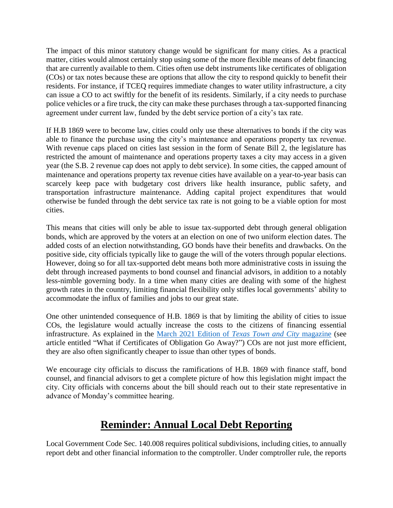The impact of this minor statutory change would be significant for many cities. As a practical matter, cities would almost certainly stop using some of the more flexible means of debt financing that are currently available to them. Cities often use debt instruments like certificates of obligation (COs) or tax notes because these are options that allow the city to respond quickly to benefit their residents. For instance, if TCEQ requires immediate changes to water utility infrastructure, a city can issue a CO to act swiftly for the benefit of its residents. Similarly, if a city needs to purchase police vehicles or a fire truck, the city can make these purchases through a tax-supported financing agreement under current law, funded by the debt service portion of a city's tax rate.

If H.B 1869 were to become law, cities could only use these alternatives to bonds if the city was able to finance the purchase using the city's maintenance and operations property tax revenue. With revenue caps placed on cities last session in the form of Senate Bill 2, the legislature has restricted the amount of maintenance and operations property taxes a city may access in a given year (the S.B. 2 revenue cap does not apply to debt service). In some cities, the capped amount of maintenance and operations property tax revenue cities have available on a year-to-year basis can scarcely keep pace with budgetary cost drivers like health insurance, public safety, and transportation infrastructure maintenance. Adding capital project expenditures that would otherwise be funded through the debt service tax rate is not going to be a viable option for most cities.

This means that cities will only be able to issue tax-supported debt through general obligation bonds, which are approved by the voters at an election on one of two uniform election dates. The added costs of an election notwithstanding, GO bonds have their benefits and drawbacks. On the positive side, city officials typically like to gauge the will of the voters through popular elections. However, doing so for all tax-supported debt means both more administrative costs in issuing the debt through increased payments to bond counsel and financial advisors, in addition to a notably less-nimble governing body. In a time when many cities are dealing with some of the highest growth rates in the country, limiting financial flexibility only stifles local governments' ability to accommodate the influx of families and jobs to our great state.

One other unintended consequence of H.B. 1869 is that by limiting the ability of cities to issue COs, the legislature would actually increase the costs to the citizens of financing essential infrastructure. As explained in the [March 2021 Edition of](https://online.publicationprinters.com/html5/reader/production/default.aspx?pubname=&pubid=3bb3fccb-8e35-4f29-806c-86dd9a5eb5d4) *Texas Town and City* magazine (see article entitled "What if Certificates of Obligation Go Away?") COs are not just more efficient, they are also often significantly cheaper to issue than other types of bonds.

We encourage city officials to discuss the ramifications of H.B. 1869 with finance staff, bond counsel, and financial advisors to get a complete picture of how this legislation might impact the city. City officials with concerns about the bill should reach out to their state representative in advance of Monday's committee hearing.

## **Reminder: Annual Local Debt Reporting**

Local Government Code Sec. 140.008 requires political subdivisions, including cities, to annually report debt and other financial information to the comptroller. Under comptroller rule, the reports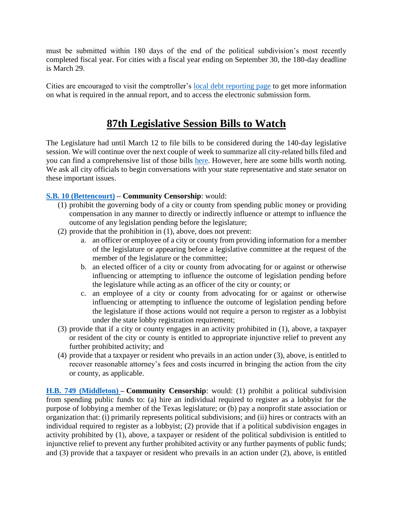must be submitted within 180 days of the end of the political subdivision's most recently completed fiscal year. For cities with a fiscal year ending on September 30, the 180-day deadline is March 29.

Cities are encouraged to visit the comptroller's [local debt reporting page](https://comptroller.texas.gov/transparency/local/hb1378/) to get more information on what is required in the annual report, and to access the electronic submission form.

### **87th Legislative Session Bills to Watch**

The Legislature had until March 12 to file bills to be considered during the 140-day legislative session. We will continue over the next couple of week to summarize all city-related bills filed and you can find a comprehensive list of those bills [here.](https://www.tml.org/DocumentCenter/View/2507/City-Related-Bills) However, here are some bills worth noting. We ask all city officials to begin conversations with your state representative and state senator on these important issues.

### **[S.B. 10 \(Bettencourt\)](https://capitol.texas.gov/BillLookup/History.aspx?LegSess=87R&Bill=SB1039) – Community Censorship**: would:

- (1) prohibit the governing body of a city or county from spending public money or providing compensation in any manner to directly or indirectly influence or attempt to influence the outcome of any legislation pending before the legislature;
- (2) provide that the prohibition in (1), above, does not prevent:
	- a. an officer or employee of a city or county from providing information for a member of the legislature or appearing before a legislative committee at the request of the member of the legislature or the committee;
	- b. an elected officer of a city or county from advocating for or against or otherwise influencing or attempting to influence the outcome of legislation pending before the legislature while acting as an officer of the city or county; or
	- c. an employee of a city or county from advocating for or against or otherwise influencing or attempting to influence the outcome of legislation pending before the legislature if those actions would not require a person to register as a lobbyist under the state lobby registration requirement;
- (3) provide that if a city or county engages in an activity prohibited in (1), above, a taxpayer or resident of the city or county is entitled to appropriate injunctive relief to prevent any further prohibited activity; and
- (4) provide that a taxpayer or resident who prevails in an action under (3), above, is entitled to recover reasonable attorney's fees and costs incurred in bringing the action from the city or county, as applicable.

**[H.B. 749 \(Middleton\)](https://capitol.texas.gov/BillLookup/History.aspx?LegSess=87R&Bill=HB749) – Community Censorship**: would: (1) prohibit a political subdivision from spending public funds to: (a) hire an individual required to register as a lobbyist for the purpose of lobbying a member of the Texas legislature; or (b) pay a nonprofit state association or organization that: (i) primarily represents political subdivisions; and (ii) hires or contracts with an individual required to register as a lobbyist; (2) provide that if a political subdivision engages in activity prohibited by (1), above, a taxpayer or resident of the political subdivision is entitled to injunctive relief to prevent any further prohibited activity or any further payments of public funds; and (3) provide that a taxpayer or resident who prevails in an action under (2), above, is entitled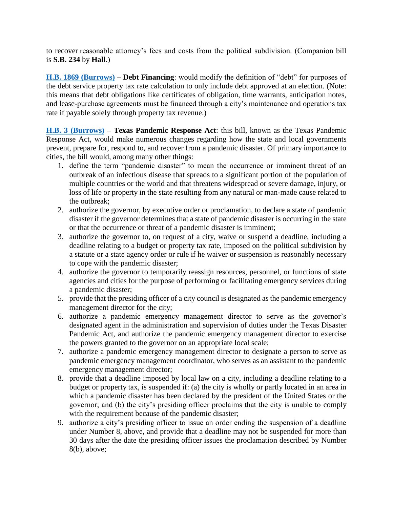to recover reasonable attorney's fees and costs from the political subdivision. (Companion bill is **S.B. 234** by **Hall**.)

**[H.B. 1869 \(Burrows\)](https://capitol.texas.gov/BillLookup/History.aspx?LegSess=87R&Bill=HB1869) – Debt Financing**: would modify the definition of "debt" for purposes of the debt service property tax rate calculation to only include debt approved at an election. (Note: this means that debt obligations like certificates of obligation, time warrants, anticipation notes, and lease-purchase agreements must be financed through a city's maintenance and operations tax rate if payable solely through property tax revenue.)

**[H.B. 3 \(Burrows\)](https://capitol.texas.gov/BillLookup/History.aspx?LegSess=87R&Bill=HB3) – Texas Pandemic Response Act**: this bill, known as the Texas Pandemic Response Act, would make numerous changes regarding how the state and local governments prevent, prepare for, respond to, and recover from a pandemic disaster. Of primary importance to cities, the bill would, among many other things:

- 1. define the term "pandemic disaster" to mean the occurrence or imminent threat of an outbreak of an infectious disease that spreads to a significant portion of the population of multiple countries or the world and that threatens widespread or severe damage, injury, or loss of life or property in the state resulting from any natural or man-made cause related to the outbreak;
- 2. authorize the governor, by executive order or proclamation, to declare a state of pandemic disaster if the governor determines that a state of pandemic disaster is occurring in the state or that the occurrence or threat of a pandemic disaster is imminent;
- 3. authorize the governor to, on request of a city, waive or suspend a deadline, including a deadline relating to a budget or property tax rate, imposed on the political subdivision by a statute or a state agency order or rule if he waiver or suspension is reasonably necessary to cope with the pandemic disaster;
- 4. authorize the governor to temporarily reassign resources, personnel, or functions of state agencies and cities for the purpose of performing or facilitating emergency services during a pandemic disaster;
- 5. provide that the presiding officer of a city council is designated as the pandemic emergency management director for the city;
- 6. authorize a pandemic emergency management director to serve as the governor's designated agent in the administration and supervision of duties under the Texas Disaster Pandemic Act, and authorize the pandemic emergency management director to exercise the powers granted to the governor on an appropriate local scale;
- 7. authorize a pandemic emergency management director to designate a person to serve as pandemic emergency management coordinator, who serves as an assistant to the pandemic emergency management director;
- 8. provide that a deadline imposed by local law on a city, including a deadline relating to a budget or property tax, is suspended if: (a) the city is wholly or partly located in an area in which a pandemic disaster has been declared by the president of the United States or the governor; and (b) the city's presiding officer proclaims that the city is unable to comply with the requirement because of the pandemic disaster;
- 9. authorize a city's presiding officer to issue an order ending the suspension of a deadline under Number 8, above, and provide that a deadline may not be suspended for more than 30 days after the date the presiding officer issues the proclamation described by Number 8(b), above;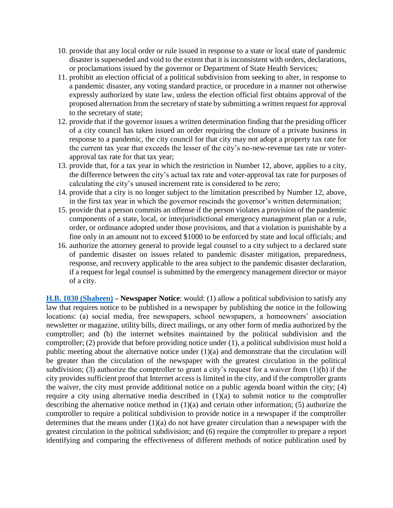- 10. provide that any local order or rule issued in response to a state or local state of pandemic disaster is superseded and void to the extent that it is inconsistent with orders, declarations, or proclamations issued by the governor or Department of State Health Services;
- 11. prohibit an election official of a political subdivision from seeking to alter, in response to a pandemic disaster, any voting standard practice, or procedure in a manner not otherwise expressly authorized by state law, unless the election official first obtains approval of the proposed alternation from the secretary of state by submitting a written request for approval to the secretary of state;
- 12. provide that if the governor issues a written determination finding that the presiding officer of a city council has taken issued an order requiring the closure of a private business in response to a pandemic, the city council for that city may not adopt a property tax rate for the current tax year that exceeds the lesser of the city's no-new-revenue tax rate or voterapproval tax rate for that tax year;
- 13. provide that, for a tax year in which the restriction in Number 12, above, applies to a city, the difference between the city's actual tax rate and voter-approval tax rate for purposes of calculating the city's unused increment rate is considered to be zero;
- 14. provide that a city is no longer subject to the limitation prescribed by Number 12, above, in the first tax year in which the governor rescinds the governor's written determination;
- 15. provide that a person commits an offense if the person violates a provision of the pandemic components of a state, local, or interjurisdictional emergency management plan or a rule, order, or ordinance adopted under those provisions, and that a violation is punishable by a fine only in an amount not to exceed \$1000 to be enforced by state and local officials; and
- 16. authorize the attorney general to provide legal counsel to a city subject to a declared state of pandemic disaster on issues related to pandemic disaster mitigation, preparedness, response, and recovery applicable to the area subject to the pandemic disaster declaration, if a request for legal counsel is submitted by the emergency management director or mayor of a city.

**[H.B. 1030 \(Shaheen\)](https://capitol.texas.gov/BillLookup/History.aspx?LegSess=87R&Bill=HB1030) – Newspaper Notice**: would: (1) allow a political subdivision to satisfy any law that requires notice to be published in a newspaper by publishing the notice in the following locations: (a) social media, free newspapers, school newspapers, a homeowners' association newsletter or magazine, utility bills, direct mailings, or any other form of media authorized by the comptroller; and (b) the internet websites maintained by the political subdivision and the comptroller; (2) provide that before providing notice under (1), a political subdivision must hold a public meeting about the alternative notice under (1)(a) and demonstrate that the circulation will be greater than the circulation of the newspaper with the greatest circulation in the political subdivision; (3) authorize the comptroller to grant a city's request for a waiver from  $(1)(b)$  if the city provides sufficient proof that Internet access is limited in the city, and if the comptroller grants the waiver, the city must provide additional notice on a public agenda board within the city; (4) require a city using alternative media described in (1)(a) to submit notice to the comptroller describing the alternative notice method in (1)(a) and certain other information; (5) authorize the comptroller to require a political subdivision to provide notice in a newspaper if the comptroller determines that the means under  $(1)(a)$  do not have greater circulation than a newspaper with the greatest circulation in the political subdivision; and (6) require the comptroller to prepare a report identifying and comparing the effectiveness of different methods of notice publication used by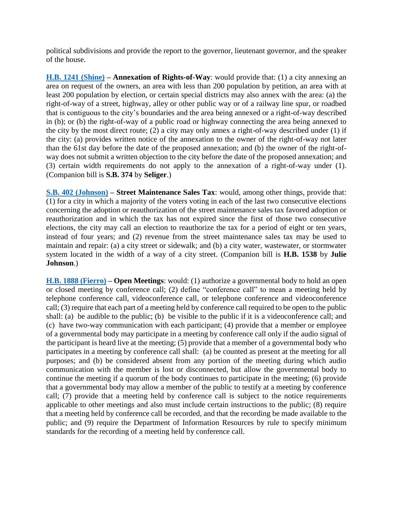political subdivisions and provide the report to the governor, lieutenant governor, and the speaker of the house.

**[H.B. 1241 \(Shine\)](https://capitol.texas.gov/BillLookup/History.aspx?LegSess=87R&Bill=HB1241) – Annexation of Rights-of-Way**: would provide that: (1) a city annexing an area on request of the owners, an area with less than 200 population by petition, an area with at least 200 population by election, or certain special districts may also annex with the area: (a) the right-of-way of a street, highway, alley or other public way or of a railway line spur, or roadbed that is contiguous to the city's boundaries and the area being annexed or a right-of-way described in (b); or (b) the right-of-way of a public road or highway connecting the area being annexed to the city by the most direct route; (2) a city may only annex a right-of-way described under (1) if the city: (a) provides written notice of the annexation to the owner of the right-of-way not later than the 61st day before the date of the proposed annexation; and (b) the owner of the right-ofway does not submit a written objection to the city before the date of the proposed annexation; and (3) certain width requirements do not apply to the annexation of a right-of-way under (1). (Companion bill is **S.B. 374** by **Seliger**.)

**[S.B. 402 \(Johnson\)](https://capitol.texas.gov/BillLookup/History.aspx?LegSess=87R&Bill=SB402) – Street Maintenance Sales Tax**: would, among other things, provide that: (1) for a city in which a majority of the voters voting in each of the last two consecutive elections concerning the adoption or reauthorization of the street maintenance sales tax favored adoption or reauthorization and in which the tax has not expired since the first of those two consecutive elections, the city may call an election to reauthorize the tax for a period of eight or ten years, instead of four years; and (2) revenue from the street maintenance sales tax may be used to maintain and repair: (a) a city street or sidewalk; and (b) a city water, wastewater, or stormwater system located in the width of a way of a city street. (Companion bill is **H.B. 1538** by **Julie Johnson**.)

**[H.B. 1888 \(Fierro\)](https://capitol.texas.gov/BillLookup/History.aspx?LegSess=87R&Bill=HB1888) – Open Meetings**: would: (1) authorize a governmental body to hold an open or closed meeting by conference call; (2) define "conference call" to mean a meeting held by telephone conference call, videoconference call, or telephone conference and videoconference call; (3) require that each part of a meeting held by conference call required to be open to the public shall: (a) be audible to the public; (b) be visible to the public if it is a videoconference call; and (c) have two-way communication with each participant; (4) provide that a member or employee of a governmental body may participate in a meeting by conference call only if the audio signal of the participant is heard live at the meeting; (5) provide that a member of a governmental body who participates in a meeting by conference call shall: (a) be counted as present at the meeting for all purposes; and (b) be considered absent from any portion of the meeting during which audio communication with the member is lost or disconnected, but allow the governmental body to continue the meeting if a quorum of the body continues to participate in the meeting; (6) provide that a governmental body may allow a member of the public to testify at a meeting by conference call; (7) provide that a meeting held by conference call is subject to the notice requirements applicable to other meetings and also must include certain instructions to the public; (8) require that a meeting held by conference call be recorded, and that the recording be made available to the public; and (9) require the Department of Information Resources by rule to specify minimum standards for the recording of a meeting held by conference call.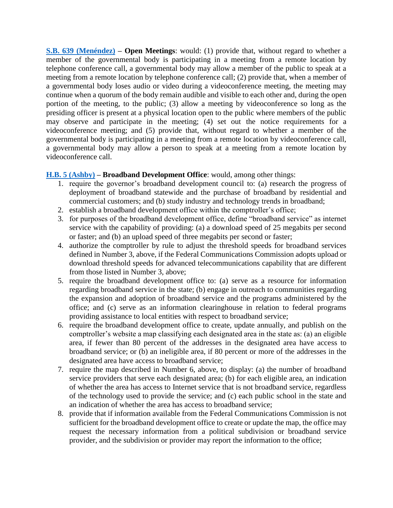**[S.B. 639 \(Menéndez\)](https://capitol.texas.gov/BillLookup/History.aspx?LegSess=87R&Bill=SB639) – Open Meetings**: would: (1) provide that, without regard to whether a member of the governmental body is participating in a meeting from a remote location by telephone conference call, a governmental body may allow a member of the public to speak at a meeting from a remote location by telephone conference call; (2) provide that, when a member of a governmental body loses audio or video during a videoconference meeting, the meeting may continue when a quorum of the body remain audible and visible to each other and, during the open portion of the meeting, to the public; (3) allow a meeting by videoconference so long as the presiding officer is present at a physical location open to the public where members of the public may observe and participate in the meeting; (4) set out the notice requirements for a videoconference meeting; and (5) provide that, without regard to whether a member of the governmental body is participating in a meeting from a remote location by videoconference call, a governmental body may allow a person to speak at a meeting from a remote location by videoconference call.

### **[H.B. 5 \(Ashby\)](https://capitol.texas.gov/BillLookup/History.aspx?LegSess=87R&Bill=HB5) – Broadband Development Office**: would, among other things:

- 1. require the governor's broadband development council to: (a) research the progress of deployment of broadband statewide and the purchase of broadband by residential and commercial customers; and (b) study industry and technology trends in broadband;
- 2. establish a broadband development office within the comptroller's office;
- 3. for purposes of the broadband development office, define "broadband service" as internet service with the capability of providing: (a) a download speed of 25 megabits per second or faster; and (b) an upload speed of three megabits per second or faster;
- 4. authorize the comptroller by rule to adjust the threshold speeds for broadband services defined in Number 3, above, if the Federal Communications Commission adopts upload or download threshold speeds for advanced telecommunications capability that are different from those listed in Number 3, above;
- 5. require the broadband development office to: (a) serve as a resource for information regarding broadband service in the state; (b) engage in outreach to communities regarding the expansion and adoption of broadband service and the programs administered by the office; and (c) serve as an information clearinghouse in relation to federal programs providing assistance to local entities with respect to broadband service;
- 6. require the broadband development office to create, update annually, and publish on the comptroller's website a map classifying each designated area in the state as: (a) an eligible area, if fewer than 80 percent of the addresses in the designated area have access to broadband service; or (b) an ineligible area, if 80 percent or more of the addresses in the designated area have access to broadband service;
- 7. require the map described in Number 6, above, to display: (a) the number of broadband service providers that serve each designated area; (b) for each eligible area, an indication of whether the area has access to Internet service that is not broadband service, regardless of the technology used to provide the service; and (c) each public school in the state and an indication of whether the area has access to broadband service;
- 8. provide that if information available from the Federal Communications Commission is not sufficient for the broadband development office to create or update the map, the office may request the necessary information from a political subdivision or broadband service provider, and the subdivision or provider may report the information to the office;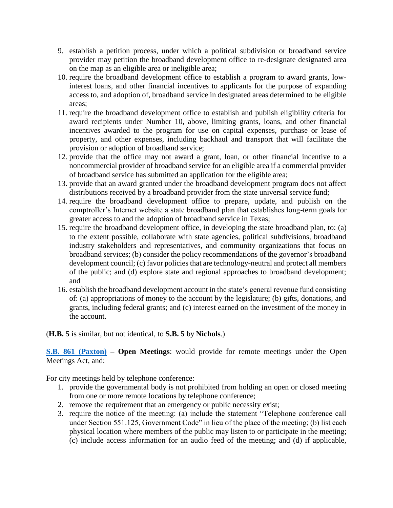- 9. establish a petition process, under which a political subdivision or broadband service provider may petition the broadband development office to re-designate designated area on the map as an eligible area or ineligible area;
- 10. require the broadband development office to establish a program to award grants, lowinterest loans, and other financial incentives to applicants for the purpose of expanding access to, and adoption of, broadband service in designated areas determined to be eligible areas;
- 11. require the broadband development office to establish and publish eligibility criteria for award recipients under Number 10, above, limiting grants, loans, and other financial incentives awarded to the program for use on capital expenses, purchase or lease of property, and other expenses, including backhaul and transport that will facilitate the provision or adoption of broadband service;
- 12. provide that the office may not award a grant, loan, or other financial incentive to a noncommercial provider of broadband service for an eligible area if a commercial provider of broadband service has submitted an application for the eligible area;
- 13. provide that an award granted under the broadband development program does not affect distributions received by a broadband provider from the state universal service fund;
- 14. require the broadband development office to prepare, update, and publish on the comptroller's Internet website a state broadband plan that establishes long-term goals for greater access to and the adoption of broadband service in Texas;
- 15. require the broadband development office, in developing the state broadband plan, to: (a) to the extent possible, collaborate with state agencies, political subdivisions, broadband industry stakeholders and representatives, and community organizations that focus on broadband services; (b) consider the policy recommendations of the governor's broadband development council; (c) favor policies that are technology-neutral and protect all members of the public; and (d) explore state and regional approaches to broadband development; and
- 16. establish the broadband development account in the state's general revenue fund consisting of: (a) appropriations of money to the account by the legislature; (b) gifts, donations, and grants, including federal grants; and (c) interest earned on the investment of the money in the account.

### (**H.B. 5** is similar, but not identical, to **S.B. 5** by **Nichols**.)

**[S.B. 861 \(Paxton\)](https://capitol.texas.gov/BillLookup/History.aspx?LegSess=87R&Bill=SB861) – Open Meetings**: would provide for remote meetings under the Open Meetings Act, and:

For city meetings held by telephone conference:

- 1. provide the governmental body is not prohibited from holding an open or closed meeting from one or more remote locations by telephone conference;
- 2. remove the requirement that an emergency or public necessity exist;
- 3. require the notice of the meeting: (a) include the statement "Telephone conference call under Section 551.125, Government Code" in lieu of the place of the meeting; (b) list each physical location where members of the public may listen to or participate in the meeting; (c) include access information for an audio feed of the meeting; and (d) if applicable,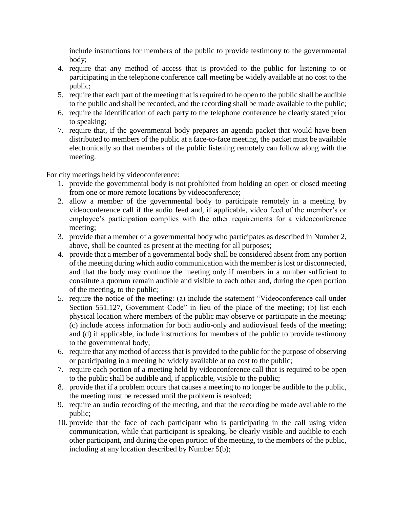include instructions for members of the public to provide testimony to the governmental body;

- 4. require that any method of access that is provided to the public for listening to or participating in the telephone conference call meeting be widely available at no cost to the public;
- 5. require that each part of the meeting that is required to be open to the public shall be audible to the public and shall be recorded, and the recording shall be made available to the public;
- 6. require the identification of each party to the telephone conference be clearly stated prior to speaking;
- 7. require that, if the governmental body prepares an agenda packet that would have been distributed to members of the public at a face-to-face meeting, the packet must be available electronically so that members of the public listening remotely can follow along with the meeting.

For city meetings held by videoconference:

- 1. provide the governmental body is not prohibited from holding an open or closed meeting from one or more remote locations by videoconference;
- 2. allow a member of the governmental body to participate remotely in a meeting by videoconference call if the audio feed and, if applicable, video feed of the member's or employee's participation complies with the other requirements for a videoconference meeting;
- 3. provide that a member of a governmental body who participates as described in Number 2, above, shall be counted as present at the meeting for all purposes;
- 4. provide that a member of a governmental body shall be considered absent from any portion of the meeting during which audio communication with the member is lost or disconnected, and that the body may continue the meeting only if members in a number sufficient to constitute a quorum remain audible and visible to each other and, during the open portion of the meeting, to the public;
- 5. require the notice of the meeting: (a) include the statement "Videoconference call under Section 551.127, Government Code" in lieu of the place of the meeting; (b) list each physical location where members of the public may observe or participate in the meeting; (c) include access information for both audio-only and audiovisual feeds of the meeting; and (d) if applicable, include instructions for members of the public to provide testimony to the governmental body;
- 6. require that any method of access that is provided to the public for the purpose of observing or participating in a meeting be widely available at no cost to the public;
- 7. require each portion of a meeting held by videoconference call that is required to be open to the public shall be audible and, if applicable, visible to the public;
- 8. provide that if a problem occurs that causes a meeting to no longer be audible to the public, the meeting must be recessed until the problem is resolved;
- 9. require an audio recording of the meeting, and that the recording be made available to the public;
- 10. provide that the face of each participant who is participating in the call using video communication, while that participant is speaking, be clearly visible and audible to each other participant, and during the open portion of the meeting, to the members of the public, including at any location described by Number 5(b);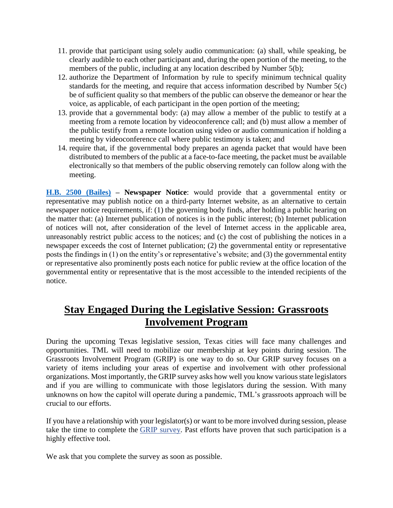- 11. provide that participant using solely audio communication: (a) shall, while speaking, be clearly audible to each other participant and, during the open portion of the meeting, to the members of the public, including at any location described by Number 5(b);
- 12. authorize the Department of Information by rule to specify minimum technical quality standards for the meeting, and require that access information described by Number 5(c) be of sufficient quality so that members of the public can observe the demeanor or hear the voice, as applicable, of each participant in the open portion of the meeting;
- 13. provide that a governmental body: (a) may allow a member of the public to testify at a meeting from a remote location by videoconference call; and (b) must allow a member of the public testify from a remote location using video or audio communication if holding a meeting by videoconference call where public testimony is taken; and
- 14. require that, if the governmental body prepares an agenda packet that would have been distributed to members of the public at a face-to-face meeting, the packet must be available electronically so that members of the public observing remotely can follow along with the meeting.

**[H.B. 2500 \(Bailes\)](https://capitol.texas.gov/BillLookup/History.aspx?LegSess=87R&Bill=HB2500) – Newspaper Notice**: would provide that a governmental entity or representative may publish notice on a third-party Internet website, as an alternative to certain newspaper notice requirements, if: (1) the governing body finds, after holding a public hearing on the matter that: (a) Internet publication of notices is in the public interest; (b) Internet publication of notices will not, after consideration of the level of Internet access in the applicable area, unreasonably restrict public access to the notices; and (c) the cost of publishing the notices in a newspaper exceeds the cost of Internet publication; (2) the governmental entity or representative posts the findings in (1) on the entity's or representative's website; and (3) the governmental entity or representative also prominently posts each notice for public review at the office location of the governmental entity or representative that is the most accessible to the intended recipients of the notice.

### **Stay Engaged During the Legislative Session: Grassroots Involvement Program**

During the upcoming Texas legislative session, Texas cities will face many challenges and opportunities. TML will need to mobilize our membership at key points during session. The Grassroots Involvement Program (GRIP) is one way to do so. Our GRIP survey focuses on a variety of items including your areas of expertise and involvement with other professional organizations. Most importantly, the GRIP survey asks how well you know various state legislators and if you are willing to communicate with those legislators during the session. With many unknowns on how the capitol will operate during a pandemic, TML's grassroots approach will be crucial to our efforts.

If you have a relationship with your legislator(s) or want to be more involved during session, please take the time to complete the [GRIP survey.](https://tml.co1.qualtrics.com/jfe/form/SV_bynhW1yMazt7rV3) Past efforts have proven that such participation is a highly effective tool.

We ask that you complete the survey as soon as possible.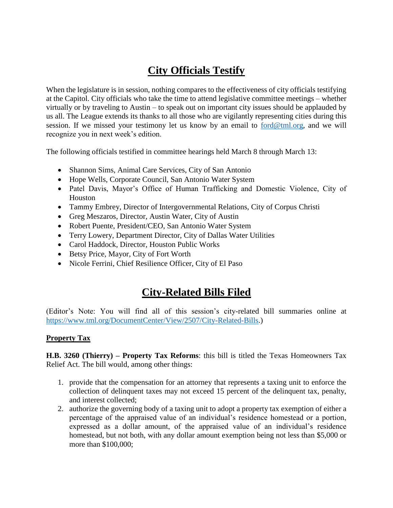# **City Officials Testify**

When the legislature is in session, nothing compares to the effectiveness of city officials testifying at the Capitol. City officials who take the time to attend legislative committee meetings – whether virtually or by traveling to Austin – to speak out on important city issues should be applauded by us all. The League extends its thanks to all those who are vigilantly representing cities during this session. If we missed your testimony let us know by an email to [ford@tml.org,](mailto:ford@tml.org) and we will recognize you in next week's edition.

The following officials testified in committee hearings held March 8 through March 13:

- Shannon Sims, Animal Care Services, City of San Antonio
- Hope Wells, Corporate Council, San Antonio Water System
- Patel Davis, Mayor's Office of Human Trafficking and Domestic Violence, City of Houston
- Tammy Embrey, Director of Intergovernmental Relations, City of Corpus Christi
- Greg Meszaros, Director, Austin Water, City of Austin
- Robert Puente, President/CEO, San Antonio Water System
- Terry Lowery, Department Director, City of Dallas Water Utilities
- Carol Haddock, Director, Houston Public Works
- Betsy Price, Mayor, City of Fort Worth
- Nicole Ferrini, Chief Resilience Officer, City of El Paso

### **City-Related Bills Filed**

(Editor's Note: You will find all of this session's city-related bill summaries online at [https://www.tml.org/DocumentCenter/View/2507/City-Related-Bills.](https://www.tml.org/DocumentCenter/View/2507/City-Related-Bills))

#### **Property Tax**

**H.B. 3260 (Thierry) – Property Tax Reforms**: this bill is titled the Texas Homeowners Tax Relief Act. The bill would, among other things:

- 1. provide that the compensation for an attorney that represents a taxing unit to enforce the collection of delinquent taxes may not exceed 15 percent of the delinquent tax, penalty, and interest collected;
- 2. authorize the governing body of a taxing unit to adopt a property tax exemption of either a percentage of the appraised value of an individual's residence homestead or a portion, expressed as a dollar amount, of the appraised value of an individual's residence homestead, but not both, with any dollar amount exemption being not less than \$5,000 or more than \$100,000;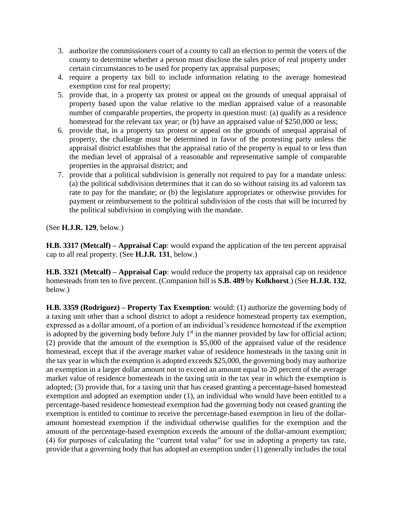- 3. authorize the commissioners court of a county to call an election to permit the voters of the county to determine whether a person must disclose the sales price of real property under certain circumstances to be used for property tax appraisal purposes;
- 4. require a property tax bill to include information relating to the average homestead exemption cost for real property;
- 5. provide that, in a property tax protest or appeal on the grounds of unequal appraisal of property based upon the value relative to the median appraised value of a reasonable number of comparable properties, the property in question must: (a) qualify as a residence homestead for the relevant tax year; or (b) have an appraised value of \$250,000 or less;
- 6. provide that, in a property tax protest or appeal on the grounds of unequal appraisal of property, the challenge must be determined in favor of the protesting party unless the appraisal district establishes that the appraisal ratio of the property is equal to or less than the median level of appraisal of a reasonable and representative sample of comparable properties in the appraisal district; and
- 7. provide that a political subdivision is generally not required to pay for a mandate unless: (a) the political subdivision determines that it can do so without raising its ad valorem tax rate to pay for the mandate; or (b) the legislature appropriates or otherwise provides for payment or reimbursement to the political subdivision of the costs that will be incurred by the political subdivision in complying with the mandate.

(See **H.J.R. 129**, below.)

**H.B. 3317 (Metcalf) – Appraisal Cap**: would expand the application of the ten percent appraisal cap to all real property. (See **H.J.R. 131**, below.)

**H.B. 3321 (Metcalf) – Appraisal Cap**: would reduce the property tax appraisal cap on residence homesteads from ten to five percent. (Companion bill is **S.B. 489** by **Kolkhorst**.) (See **H.J.R. 132**, below.)

**H.B. 3359 (Rodriguez) – Property Tax Exemption**: would: (1) authorize the governing body of a taxing unit other than a school district to adopt a residence homestead property tax exemption, expressed as a dollar amount, of a portion of an individual's residence homestead if the exemption is adopted by the governing body before July  $1<sup>st</sup>$  in the manner provided by law for official action; (2) provide that the amount of the exemption is \$5,000 of the appraised value of the residence homestead, except that if the average market value of residence homesteads in the taxing unit in the tax year in which the exemption is adopted exceeds \$25,000, the governing body may authorize an exemption in a larger dollar amount not to exceed an amount equal to 20 percent of the average market value of residence homesteads in the taxing unit in the tax year in which the exemption is adopted; (3) provide that, for a taxing unit that has ceased granting a percentage-based homestead exemption and adopted an exemption under (1), an individual who would have been entitled to a percentage-based residence homestead exemption had the governing body not ceased granting the exemption is entitled to continue to receive the percentage-based exemption in lieu of the dollaramount homestead exemption if the individual otherwise qualifies for the exemption and the amount of the percentage-based exemption exceeds the amount of the dollar-amount exemption; (4) for purposes of calculating the "current total value" for use in adopting a property tax rate, provide that a governing body that has adopted an exemption under (1) generally includes the total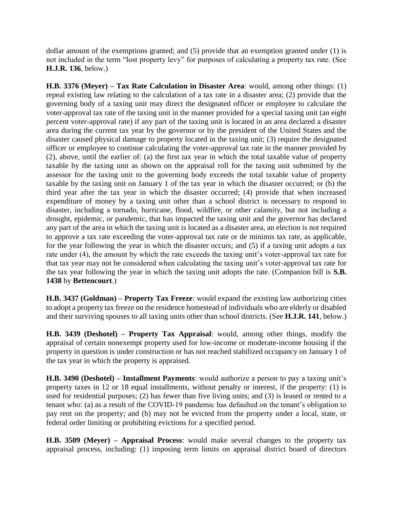dollar amount of the exemptions granted; and (5) provide that an exemption granted under (1) is not included in the term "lost property levy" for purposes of calculating a property tax rate. (See **H.J.R. 136**, below.)

**H.B. 3376 (Meyer) – Tax Rate Calculation in Disaster Area**: would, among other things: (1) repeal existing law relating to the calculation of a tax rate in a disaster area; (2) provide that the governing body of a taxing unit may direct the designated officer or employee to calculate the voter-approval tax rate of the taxing unit in the manner provided for a special taxing unit (an eight percent voter-approval rate) if any part of the taxing unit is located in an area declared a disaster area during the current tax year by the governor or by the president of the United States and the disaster caused physical damage to property located in the taxing unit; (3) require the designated officer or employee to continue calculating the voter-approval tax rate in the manner provided by (2), above, until the earlier of: (a) the first tax year in which the total taxable value of property taxable by the taxing unit as shown on the appraisal roll for the taxing unit submitted by the assessor for the taxing unit to the governing body exceeds the total taxable value of property taxable by the taxing unit on January 1 of the tax year in which the disaster occurred; or (b) the third year after the tax year in which the disaster occurred; (4) provide that when increased expenditure of money by a taxing unit other than a school district is necessary to respond to disaster, including a tornado, hurricane, flood, wildfire, or other calamity, but not including a drought, epidemic, or pandemic, that has impacted the taxing unit and the governor has declared any part of the area in which the taxing unit is located as a disaster area, an election is not required to approve a tax rate exceeding the voter-approval tax rate or de minimis tax rate, as applicable, for the year following the year in which the disaster occurs; and (5) if a taxing unit adopts a tax rate under (4), the amount by which the rate exceeds the taxing unit's voter-approval tax rate for that tax year may not be considered when calculating the taxing unit's voter-approval tax rate for the tax year following the year in which the taxing unit adopts the rate. (Companion bill is **S.B. 1438** by **Bettencourt**.)

**H.B. 3437 (Goldman) – Property Tax Freeze**: would expand the existing law authorizing cities to adopt a property tax freeze on the residence homestead of individuals who are elderly or disabled and their surviving spouses to all taxing units other than school districts. (See **H.J.R. 141**, below.)

**H.B. 3439 (Deshotel) – Property Tax Appraisal**: would, among other things, modify the appraisal of certain nonexempt property used for low-income or moderate-income housing if the property in question is under construction or has not reached stabilized occupancy on January 1 of the tax year in which the property is appraised.

**H.B. 3490 (Deshotel) – Installment Payments**: would authorize a person to pay a taxing unit's property taxes in 12 or 18 equal installments, without penalty or interest, if the property: (1) is used for residential purposes; (2) has fewer than five living units; and (3) is leased or rented to a tenant who: (a) as a result of the COVID-19 pandemic has defaulted on the tenant's obligation to pay rent on the property; and (b) may not be evicted from the property under a local, state, or federal order limiting or prohibiting evictions for a specified period.

**H.B. 3509 (Meyer) – Appraisal Process**: would make several changes to the property tax appraisal process, including: (1) imposing term limits on appraisal district board of directors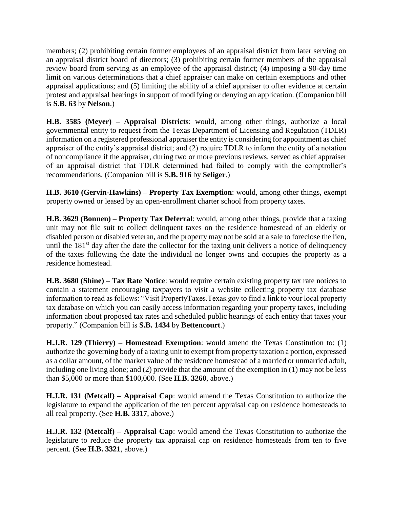members; (2) prohibiting certain former employees of an appraisal district from later serving on an appraisal district board of directors; (3) prohibiting certain former members of the appraisal review board from serving as an employee of the appraisal district; (4) imposing a 90-day time limit on various determinations that a chief appraiser can make on certain exemptions and other appraisal applications; and (5) limiting the ability of a chief appraiser to offer evidence at certain protest and appraisal hearings in support of modifying or denying an application. (Companion bill is **S.B. 63** by **Nelson**.)

**H.B. 3585 (Meyer) – Appraisal Districts**: would, among other things, authorize a local governmental entity to request from the Texas Department of Licensing and Regulation (TDLR) information on a registered professional appraiser the entity is considering for appointment as chief appraiser of the entity's appraisal district; and (2) require TDLR to inform the entity of a notation of noncompliance if the appraiser, during two or more previous reviews, served as chief appraiser of an appraisal district that TDLR determined had failed to comply with the comptroller's recommendations. (Companion bill is **S.B. 916** by **Seliger**.)

**H.B. 3610 (Gervin-Hawkins) – Property Tax Exemption**: would, among other things, exempt property owned or leased by an open-enrollment charter school from property taxes.

**H.B. 3629 (Bonnen) – Property Tax Deferral**: would, among other things, provide that a taxing unit may not file suit to collect delinquent taxes on the residence homestead of an elderly or disabled person or disabled veteran, and the property may not be sold at a sale to foreclose the lien, until the  $181<sup>st</sup>$  day after the date the collector for the taxing unit delivers a notice of delinquency of the taxes following the date the individual no longer owns and occupies the property as a residence homestead.

**H.B. 3680 (Shine) – Tax Rate Notice**: would require certain existing property tax rate notices to contain a statement encouraging taxpayers to visit a website collecting property tax database information to read as follows: "Visit PropertyTaxes.Texas.gov to find a link to your local property tax database on which you can easily access information regarding your property taxes, including information about proposed tax rates and scheduled public hearings of each entity that taxes your property." (Companion bill is **S.B. 1434** by **Bettencourt**.)

**H.J.R. 129 (Thierry) – Homestead Exemption**: would amend the Texas Constitution to: (1) authorize the governing body of a taxing unit to exempt from property taxation a portion, expressed as a dollar amount, of the market value of the residence homestead of a married or unmarried adult, including one living alone; and (2) provide that the amount of the exemption in (1) may not be less than \$5,000 or more than \$100,000. (See **H.B. 3260**, above.)

**H.J.R. 131 (Metcalf) – Appraisal Cap**: would amend the Texas Constitution to authorize the legislature to expand the application of the ten percent appraisal cap on residence homesteads to all real property. (See **H.B. 3317**, above.)

**H.J.R. 132 (Metcalf) – Appraisal Cap**: would amend the Texas Constitution to authorize the legislature to reduce the property tax appraisal cap on residence homesteads from ten to five percent. (See **H.B. 3321**, above.)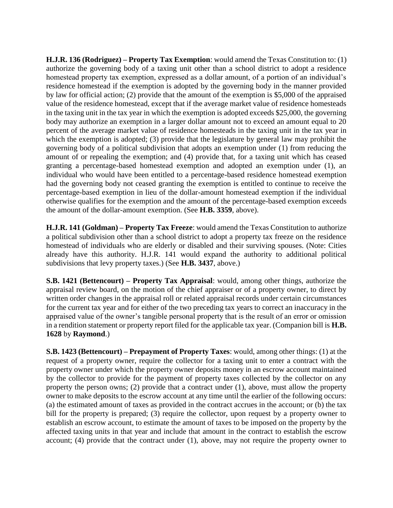**H.J.R. 136 (Rodriguez) – Property Tax Exemption**: would amend the Texas Constitution to: (1) authorize the governing body of a taxing unit other than a school district to adopt a residence homestead property tax exemption, expressed as a dollar amount, of a portion of an individual's residence homestead if the exemption is adopted by the governing body in the manner provided by law for official action; (2) provide that the amount of the exemption is \$5,000 of the appraised value of the residence homestead, except that if the average market value of residence homesteads in the taxing unit in the tax year in which the exemption is adopted exceeds \$25,000, the governing body may authorize an exemption in a larger dollar amount not to exceed an amount equal to 20 percent of the average market value of residence homesteads in the taxing unit in the tax year in which the exemption is adopted; (3) provide that the legislature by general law may prohibit the governing body of a political subdivision that adopts an exemption under (1) from reducing the amount of or repealing the exemption; and (4) provide that, for a taxing unit which has ceased granting a percentage-based homestead exemption and adopted an exemption under (1), an individual who would have been entitled to a percentage-based residence homestead exemption had the governing body not ceased granting the exemption is entitled to continue to receive the percentage-based exemption in lieu of the dollar-amount homestead exemption if the individual otherwise qualifies for the exemption and the amount of the percentage-based exemption exceeds the amount of the dollar-amount exemption. (See **H.B. 3359**, above).

**H.J.R. 141 (Goldman) – Property Tax Freeze**: would amend the Texas Constitution to authorize a political subdivision other than a school district to adopt a property tax freeze on the residence homestead of individuals who are elderly or disabled and their surviving spouses. (Note: Cities already have this authority. H.J.R. 141 would expand the authority to additional political subdivisions that levy property taxes.) (See **H.B. 3437**, above.)

**S.B. 1421 (Bettencourt) – Property Tax Appraisal**: would, among other things, authorize the appraisal review board, on the motion of the chief appraiser or of a property owner, to direct by written order changes in the appraisal roll or related appraisal records under certain circumstances for the current tax year and for either of the two preceding tax years to correct an inaccuracy in the appraised value of the owner's tangible personal property that is the result of an error or omission in a rendition statement or property report filed for the applicable tax year. (Companion bill is **H.B. 1628** by **Raymond**.)

**S.B. 1423 (Bettencourt) – Prepayment of Property Taxes**: would, among other things: (1) at the request of a property owner, require the collector for a taxing unit to enter a contract with the property owner under which the property owner deposits money in an escrow account maintained by the collector to provide for the payment of property taxes collected by the collector on any property the person owns; (2) provide that a contract under (1), above, must allow the property owner to make deposits to the escrow account at any time until the earlier of the following occurs: (a) the estimated amount of taxes as provided in the contract accrues in the account; or (b) the tax bill for the property is prepared; (3) require the collector, upon request by a property owner to establish an escrow account, to estimate the amount of taxes to be imposed on the property by the affected taxing units in that year and include that amount in the contract to establish the escrow account; (4) provide that the contract under (1), above, may not require the property owner to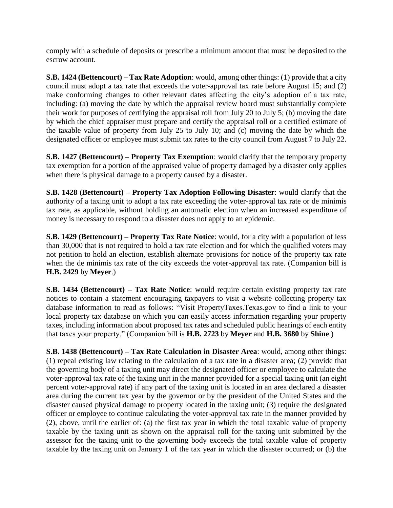comply with a schedule of deposits or prescribe a minimum amount that must be deposited to the escrow account.

**S.B. 1424 (Bettencourt) – Tax Rate Adoption**: would, among other things: (1) provide that a city council must adopt a tax rate that exceeds the voter-approval tax rate before August 15; and (2) make conforming changes to other relevant dates affecting the city's adoption of a tax rate, including: (a) moving the date by which the appraisal review board must substantially complete their work for purposes of certifying the appraisal roll from July 20 to July 5; (b) moving the date by which the chief appraiser must prepare and certify the appraisal roll or a certified estimate of the taxable value of property from July 25 to July 10; and (c) moving the date by which the designated officer or employee must submit tax rates to the city council from August 7 to July 22.

**S.B. 1427 (Bettencourt) – Property Tax Exemption**: would clarify that the temporary property tax exemption for a portion of the appraised value of property damaged by a disaster only applies when there is physical damage to a property caused by a disaster.

**S.B. 1428 (Bettencourt) – Property Tax Adoption Following Disaster**: would clarify that the authority of a taxing unit to adopt a tax rate exceeding the voter-approval tax rate or de minimis tax rate, as applicable, without holding an automatic election when an increased expenditure of money is necessary to respond to a disaster does not apply to an epidemic.

**S.B. 1429 (Bettencourt) – Property Tax Rate Notice**: would, for a city with a population of less than 30,000 that is not required to hold a tax rate election and for which the qualified voters may not petition to hold an election, establish alternate provisions for notice of the property tax rate when the de minimis tax rate of the city exceeds the voter-approval tax rate. (Companion bill is **H.B. 2429** by **Meyer**.)

**S.B. 1434 (Bettencourt) – Tax Rate Notice**: would require certain existing property tax rate notices to contain a statement encouraging taxpayers to visit a website collecting property tax database information to read as follows: "Visit PropertyTaxes.Texas.gov to find a link to your local property tax database on which you can easily access information regarding your property taxes, including information about proposed tax rates and scheduled public hearings of each entity that taxes your property." (Companion bill is **H.B. 2723** by **Meyer** and **H.B. 3680** by **Shine**.)

**S.B. 1438 (Bettencourt) – Tax Rate Calculation in Disaster Area**: would, among other things: (1) repeal existing law relating to the calculation of a tax rate in a disaster area; (2) provide that the governing body of a taxing unit may direct the designated officer or employee to calculate the voter-approval tax rate of the taxing unit in the manner provided for a special taxing unit (an eight percent voter-approval rate) if any part of the taxing unit is located in an area declared a disaster area during the current tax year by the governor or by the president of the United States and the disaster caused physical damage to property located in the taxing unit; (3) require the designated officer or employee to continue calculating the voter-approval tax rate in the manner provided by (2), above, until the earlier of: (a) the first tax year in which the total taxable value of property taxable by the taxing unit as shown on the appraisal roll for the taxing unit submitted by the assessor for the taxing unit to the governing body exceeds the total taxable value of property taxable by the taxing unit on January 1 of the tax year in which the disaster occurred; or (b) the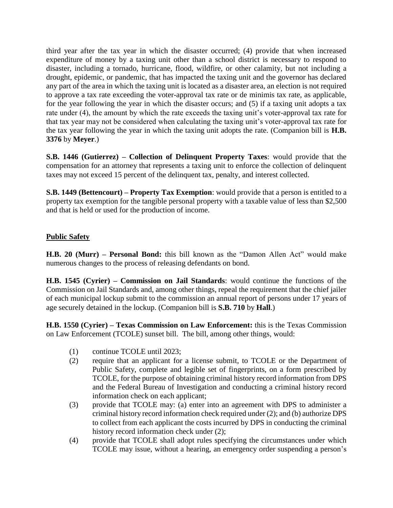third year after the tax year in which the disaster occurred; (4) provide that when increased expenditure of money by a taxing unit other than a school district is necessary to respond to disaster, including a tornado, hurricane, flood, wildfire, or other calamity, but not including a drought, epidemic, or pandemic, that has impacted the taxing unit and the governor has declared any part of the area in which the taxing unit is located as a disaster area, an election is not required to approve a tax rate exceeding the voter-approval tax rate or de minimis tax rate, as applicable, for the year following the year in which the disaster occurs; and (5) if a taxing unit adopts a tax rate under (4), the amount by which the rate exceeds the taxing unit's voter-approval tax rate for that tax year may not be considered when calculating the taxing unit's voter-approval tax rate for the tax year following the year in which the taxing unit adopts the rate. (Companion bill is **H.B. 3376** by **Meyer**.)

**S.B. 1446 (Gutierrez) – Collection of Delinquent Property Taxes**: would provide that the compensation for an attorney that represents a taxing unit to enforce the collection of delinquent taxes may not exceed 15 percent of the delinquent tax, penalty, and interest collected.

**S.B. 1449 (Bettencourt) – Property Tax Exemption**: would provide that a person is entitled to a property tax exemption for the tangible personal property with a taxable value of less than \$2,500 and that is held or used for the production of income.

### **Public Safety**

**H.B. 20 (Murr) – Personal Bond:** this bill known as the "Damon Allen Act" would make numerous changes to the process of releasing defendants on bond.

**H.B. 1545 (Cyrier) – Commission on Jail Standards**: would continue the functions of the Commission on Jail Standards and, among other things, repeal the requirement that the chief jailer of each municipal lockup submit to the commission an annual report of persons under 17 years of age securely detained in the lockup. (Companion bill is **S.B. 710** by **Hall**.)

**H.B. 1550 (Cyrier) – Texas Commission on Law Enforcement:** this is the Texas Commission on Law Enforcement (TCOLE) sunset bill. The bill, among other things, would:

- (1) continue TCOLE until 2023;
- (2) require that an applicant for a license submit, to TCOLE or the Department of Public Safety, complete and legible set of fingerprints, on a form prescribed by TCOLE, for the purpose of obtaining criminal history record information from DPS and the Federal Bureau of Investigation and conducting a criminal history record information check on each applicant;
- (3) provide that TCOLE may: (a) enter into an agreement with DPS to administer a criminal history record information check required under (2); and (b) authorize DPS to collect from each applicant the costs incurred by DPS in conducting the criminal history record information check under  $(2)$ ;
- (4) provide that TCOLE shall adopt rules specifying the circumstances under which TCOLE may issue, without a hearing, an emergency order suspending a person's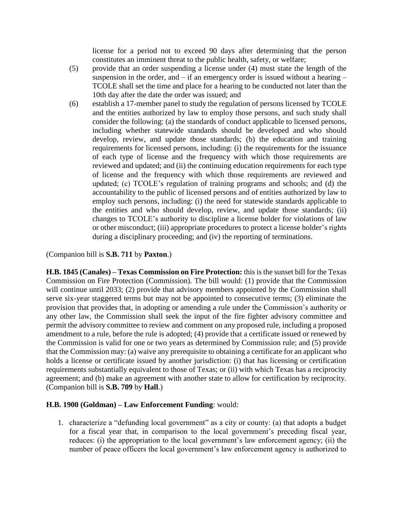license for a period not to exceed 90 days after determining that the person constitutes an imminent threat to the public health, safety, or welfare;

- (5) provide that an order suspending a license under (4) must state the length of the suspension in the order, and  $-$  if an emergency order is issued without a hearing  $-$ TCOLE shall set the time and place for a hearing to be conducted not later than the 10th day after the date the order was issued; and
- (6) establish a 17-member panel to study the regulation of persons licensed by TCOLE and the entities authorized by law to employ those persons, and such study shall consider the following: (a) the standards of conduct applicable to licensed persons, including whether statewide standards should be developed and who should develop, review, and update those standards; (b) the education and training requirements for licensed persons, including: (i) the requirements for the issuance of each type of license and the frequency with which those requirements are reviewed and updated; and (ii) the continuing education requirements for each type of license and the frequency with which those requirements are reviewed and updated; (c) TCOLE's regulation of training programs and schools; and (d) the accountability to the public of licensed persons and of entities authorized by law to employ such persons, including: (i) the need for statewide standards applicable to the entities and who should develop, review, and update those standards; (ii) changes to TCOLE's authority to discipline a license holder for violations of law or other misconduct; (iii) appropriate procedures to protect a license holder's rights during a disciplinary proceeding; and (iv) the reporting of terminations.

(Companion bill is **S.B. 711** by **Paxton**.)

**H.B. 1845 (Canales) – Texas Commission on Fire Protection:** this is the sunset bill for the Texas Commission on Fire Protection (Commission). The bill would: (1) provide that the Commission will continue until 2033; (2) provide that advisory members appointed by the Commission shall serve six-year staggered terms but may not be appointed to consecutive terms; (3) eliminate the provision that provides that, in adopting or amending a rule under the Commission's authority or any other law, the Commission shall seek the input of the fire fighter advisory committee and permit the advisory committee to review and comment on any proposed rule, including a proposed amendment to a rule, before the rule is adopted; (4) provide that a certificate issued or renewed by the Commission is valid for one or two years as determined by Commission rule; and (5) provide that the Commission may: (a) waive any prerequisite to obtaining a certificate for an applicant who holds a license or certificate issued by another jurisdiction: (i) that has licensing or certification requirements substantially equivalent to those of Texas; or (ii) with which Texas has a reciprocity agreement; and (b) make an agreement with another state to allow for certification by reciprocity. (Companion bill is **S.B. 709** by **Hall**.)

#### **H.B. 1900 (Goldman) – Law Enforcement Funding**: would:

1. characterize a "defunding local government" as a city or county: (a) that adopts a budget for a fiscal year that, in comparison to the local government's preceding fiscal year, reduces: (i) the appropriation to the local government's law enforcement agency; (ii) the number of peace officers the local government's law enforcement agency is authorized to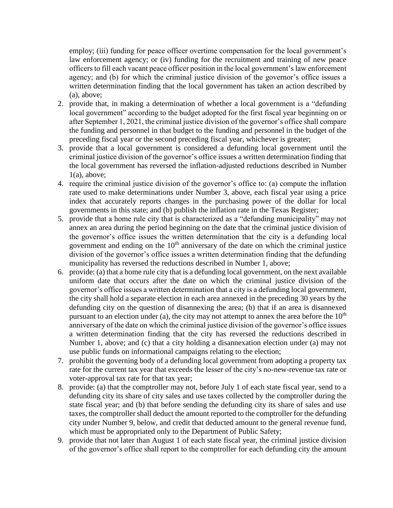employ; (iii) funding for peace officer overtime compensation for the local government's law enforcement agency; or (iv) funding for the recruitment and training of new peace officers to fill each vacant peace officer position in the local government's law enforcement agency; and (b) for which the criminal justice division of the governor's office issues a written determination finding that the local government has taken an action described by (a), above;

- 2. provide that, in making a determination of whether a local government is a "defunding local government" according to the budget adopted for the first fiscal year beginning on or after September 1, 2021, the criminal justice division of the governor's office shall compare the funding and personnel in that budget to the funding and personnel in the budget of the preceding fiscal year or the second preceding fiscal year, whichever is greater;
- 3. provide that a local government is considered a defunding local government until the criminal justice division of the governor's office issues a written determination finding that the local government has reversed the inflation-adjusted reductions described in Number  $1(a)$ , above;
- 4. require the criminal justice division of the governor's office to: (a) compute the inflation rate used to make determinations under Number 3, above, each fiscal year using a price index that accurately reports changes in the purchasing power of the dollar for local governments in this state; and (b) publish the inflation rate in the Texas Register;
- 5. provide that a home rule city that is characterized as a "defunding municipality" may not annex an area during the period beginning on the date that the criminal justice division of the governor's office issues the written determination that the city is a defunding local government and ending on the  $10<sup>th</sup>$  anniversary of the date on which the criminal justice division of the governor's office issues a written determination finding that the defunding municipality has reversed the reductions described in Number 1, above;
- 6. provide: (a) that a home rule city that is a defunding local government, on the next available uniform date that occurs after the date on which the criminal justice division of the governor's office issues a written determination that a city is a defunding local government, the city shall hold a separate election in each area annexed in the preceding 30 years by the defunding city on the question of disannexing the area; (b) that if an area is disannexed pursuant to an election under (a), the city may not attempt to annex the area before the  $10<sup>th</sup>$ anniversary of the date on which the criminal justice division of the governor's office issues a written determination finding that the city has reversed the reductions described in Number 1, above; and (c) that a city holding a disannexation election under (a) may not use public funds on informational campaigns relating to the election;
- 7. prohibit the governing body of a defunding local government from adopting a property tax rate for the current tax year that exceeds the lesser of the city's no-new-revenue tax rate or voter-approval tax rate for that tax year;
- 8. provide: (a) that the comptroller may not, before July 1 of each state fiscal year, send to a defunding city its share of city sales and use taxes collected by the comptroller during the state fiscal year; and (b) that before sending the defunding city its share of sales and use taxes, the comptroller shall deduct the amount reported to the comptroller for the defunding city under Number 9, below, and credit that deducted amount to the general revenue fund, which must be appropriated only to the Department of Public Safety;
- 9. provide that not later than August 1 of each state fiscal year, the criminal justice division of the governor's office shall report to the comptroller for each defunding city the amount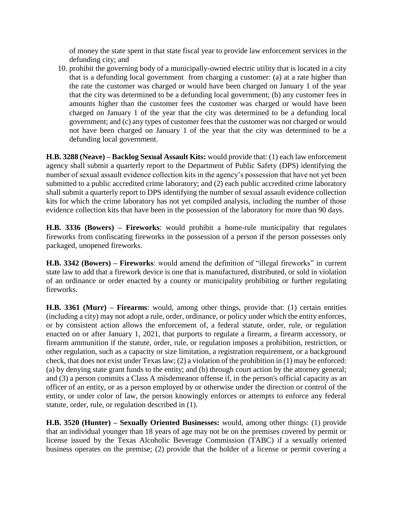of money the state spent in that state fiscal year to provide law enforcement services in the defunding city; and

10. prohibit the governing body of a municipally-owned electric utility that is located in a city that is a defunding local government from charging a customer: (a) at a rate higher than the rate the customer was charged or would have been charged on January 1 of the year that the city was determined to be a defunding local government; (b) any customer fees in amounts higher than the customer fees the customer was charged or would have been charged on January 1 of the year that the city was determined to be a defunding local government; and (c) any types of customer fees that the customer was not charged or would not have been charged on January 1 of the year that the city was determined to be a defunding local government.

**H.B. 3288 (Neave) – Backlog Sexual Assault Kits:** would provide that: (1) each law enforcement agency shall submit a quarterly report to the Department of Public Safety (DPS) identifying the number of sexual assault evidence collection kits in the agency's possession that have not yet been submitted to a public accredited crime laboratory; and (2) each public accredited crime laboratory shall submit a quarterly report to DPS identifying the number of sexual assault evidence collection kits for which the crime laboratory has not yet compiled analysis, including the number of those evidence collection kits that have been in the possession of the laboratory for more than 90 days.

**H.B. 3336 (Bowers) – Fireworks**: would prohibit a home-rule municipality that regulates fireworks from confiscating fireworks in the possession of a person if the person possesses only packaged, unopened fireworks.

**H.B. 3342 (Bowers) – Fireworks**: would amend the definition of "illegal fireworks" in current state law to add that a firework device is one that is manufactured, distributed, or sold in violation of an ordinance or order enacted by a county or municipality prohibiting or further regulating fireworks.

**H.B. 3361 (Murr) – Firearms**: would, among other things, provide that: (1) certain entities (including a city) may not adopt a rule, order, ordinance, or policy under which the entity enforces, or by consistent action allows the enforcement of, a federal statute, order, rule, or regulation enacted on or after January 1, 2021, that purports to regulate a firearm, a firearm accessory, or firearm ammunition if the statute, order, rule, or regulation imposes a prohibition, restriction, or other regulation, such as a capacity or size limitation, a registration requirement, or a background check, that does not exist under Texas law; (2) a violation of the prohibition in (1) may be enforced: (a) by denying state grant funds to the entity; and (b) through court action by the attorney general; and (3) a person commits a Class A misdemeanor offense if, in the person's official capacity as an officer of an entity, or as a person employed by or otherwise under the direction or control of the entity, or under color of law, the person knowingly enforces or attempts to enforce any federal statute, order, rule, or regulation described in (1).

**H.B. 3520 (Hunter) – Sexually Oriented Businesses:** would, among other things: (1) provide that an individual younger than 18 years of age may not be on the premises covered by permit or license issued by the Texas Alcoholic Beverage Commission (TABC) if a sexually oriented business operates on the premise; (2) provide that the holder of a license or permit covering a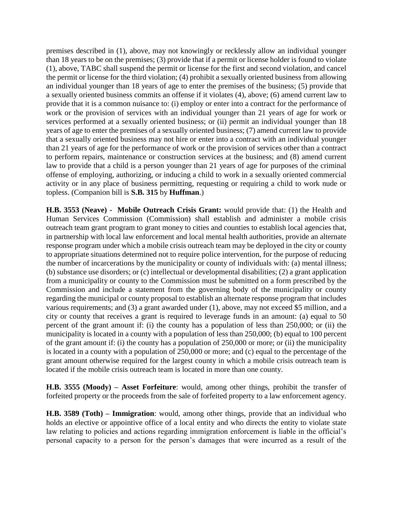premises described in (1), above, may not knowingly or recklessly allow an individual younger than 18 years to be on the premises; (3) provide that if a permit or license holder is found to violate (1), above, TABC shall suspend the permit or license for the first and second violation, and cancel the permit or license for the third violation; (4) prohibit a sexually oriented business from allowing an individual younger than 18 years of age to enter the premises of the business; (5) provide that a sexually oriented business commits an offense if it violates (4), above; (6) amend current law to provide that it is a common nuisance to: (i) employ or enter into a contract for the performance of work or the provision of services with an individual younger than 21 years of age for work or services performed at a sexually oriented business; or (ii) permit an individual younger than 18 years of age to enter the premises of a sexually oriented business; (7) amend current law to provide that a sexually oriented business may not hire or enter into a contract with an individual younger than 21 years of age for the performance of work or the provision of services other than a contract to perform repairs, maintenance or construction services at the business; and (8) amend current law to provide that a child is a person younger than 21 years of age for purposes of the criminal offense of employing, authorizing, or inducing a child to work in a sexually oriented commercial activity or in any place of business permitting, requesting or requiring a child to work nude or topless. (Companion bill is **S.B. 315** by **Huffman**.)

**H.B. 3553 (Neave) - Mobile Outreach Crisis Grant:** would provide that: (1) the Health and Human Services Commission (Commission) shall establish and administer a mobile crisis outreach team grant program to grant money to cities and counties to establish local agencies that, in partnership with local law enforcement and local mental health authorities, provide an alternate response program under which a mobile crisis outreach team may be deployed in the city or county to appropriate situations determined not to require police intervention, for the purpose of reducing the number of incarcerations by the municipality or county of individuals with: (a) mental illness; (b) substance use disorders; or (c) intellectual or developmental disabilities; (2) a grant application from a municipality or county to the Commission must be submitted on a form prescribed by the Commission and include a statement from the governing body of the municipality or county regarding the municipal or county proposal to establish an alternate response program that includes various requirements; and (3) a grant awarded under (1), above, may not exceed \$5 million, and a city or county that receives a grant is required to leverage funds in an amount: (a) equal to 50 percent of the grant amount if: (i) the county has a population of less than 250,000; or (ii) the municipality is located in a county with a population of less than 250,000; (b) equal to 100 percent of the grant amount if: (i) the county has a population of 250,000 or more; or (ii) the municipality is located in a county with a population of 250,000 or more; and (c) equal to the percentage of the grant amount otherwise required for the largest county in which a mobile crisis outreach team is located if the mobile crisis outreach team is located in more than one county.

**H.B. 3555 (Moody) – Asset Forfeiture**: would, among other things, prohibit the transfer of forfeited property or the proceeds from the sale of forfeited property to a law enforcement agency.

**H.B. 3589 (Toth) – Immigration**: would, among other things, provide that an individual who holds an elective or appointive office of a local entity and who directs the entity to violate state law relating to policies and actions regarding immigration enforcement is liable in the official's personal capacity to a person for the person's damages that were incurred as a result of the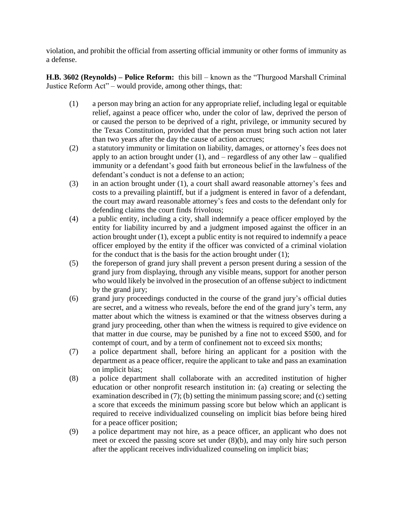violation, and prohibit the official from asserting official immunity or other forms of immunity as a defense.

**H.B. 3602 (Reynolds) – Police Reform:** this bill – known as the "Thurgood Marshall Criminal Justice Reform Act" – would provide, among other things, that:

- (1) a person may bring an action for any appropriate relief, including legal or equitable relief, against a peace officer who, under the color of law, deprived the person of or caused the person to be deprived of a right, privilege, or immunity secured by the Texas Constitution, provided that the person must bring such action not later than two years after the day the cause of action accrues;
- (2) a statutory immunity or limitation on liability, damages, or attorney's fees does not apply to an action brought under  $(1)$ , and – regardless of any other law – qualified immunity or a defendant's good faith but erroneous belief in the lawfulness of the defendant's conduct is not a defense to an action;
- (3) in an action brought under (1), a court shall award reasonable attorney's fees and costs to a prevailing plaintiff, but if a judgment is entered in favor of a defendant, the court may award reasonable attorney's fees and costs to the defendant only for defending claims the court finds frivolous;
- (4) a public entity, including a city, shall indemnify a peace officer employed by the entity for liability incurred by and a judgment imposed against the officer in an action brought under (1), except a public entity is not required to indemnify a peace officer employed by the entity if the officer was convicted of a criminal violation for the conduct that is the basis for the action brought under (1);
- (5) the foreperson of grand jury shall prevent a person present during a session of the grand jury from displaying, through any visible means, support for another person who would likely be involved in the prosecution of an offense subject to indictment by the grand jury;
- (6) grand jury proceedings conducted in the course of the grand jury's official duties are secret, and a witness who reveals, before the end of the grand jury's term, any matter about which the witness is examined or that the witness observes during a grand jury proceeding, other than when the witness is required to give evidence on that matter in due course, may be punished by a fine not to exceed \$500, and for contempt of court, and by a term of confinement not to exceed six months;
- (7) a police department shall, before hiring an applicant for a position with the department as a peace officer, require the applicant to take and pass an examination on implicit bias;
- (8) a police department shall collaborate with an accredited institution of higher education or other nonprofit research institution in: (a) creating or selecting the examination described in (7); (b) setting the minimum passing score; and (c) setting a score that exceeds the minimum passing score but below which an applicant is required to receive individualized counseling on implicit bias before being hired for a peace officer position;
- (9) a police department may not hire, as a peace officer, an applicant who does not meet or exceed the passing score set under (8)(b), and may only hire such person after the applicant receives individualized counseling on implicit bias;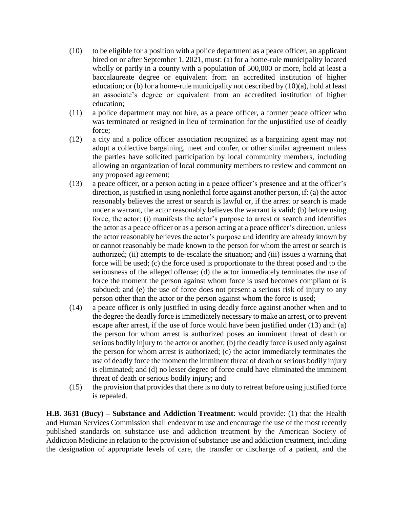- (10) to be eligible for a position with a police department as a peace officer, an applicant hired on or after September 1, 2021, must: (a) for a home-rule municipality located wholly or partly in a county with a population of 500,000 or more, hold at least a baccalaureate degree or equivalent from an accredited institution of higher education; or (b) for a home-rule municipality not described by  $(10)(a)$ , hold at least an associate's degree or equivalent from an accredited institution of higher education;
- (11) a police department may not hire, as a peace officer, a former peace officer who was terminated or resigned in lieu of termination for the unjustified use of deadly force;
- (12) a city and a police officer association recognized as a bargaining agent may not adopt a collective bargaining, meet and confer, or other similar agreement unless the parties have solicited participation by local community members, including allowing an organization of local community members to review and comment on any proposed agreement;
- (13) a peace officer, or a person acting in a peace officer's presence and at the officer's direction, is justified in using nonlethal force against another person, if: (a) the actor reasonably believes the arrest or search is lawful or, if the arrest or search is made under a warrant, the actor reasonably believes the warrant is valid; (b) before using force, the actor: (i) manifests the actor's purpose to arrest or search and identifies the actor as a peace officer or as a person acting at a peace officer's direction, unless the actor reasonably believes the actor's purpose and identity are already known by or cannot reasonably be made known to the person for whom the arrest or search is authorized; (ii) attempts to de-escalate the situation; and (iii) issues a warning that force will be used; (c) the force used is proportionate to the threat posed and to the seriousness of the alleged offense; (d) the actor immediately terminates the use of force the moment the person against whom force is used becomes compliant or is subdued; and (e) the use of force does not present a serious risk of injury to any person other than the actor or the person against whom the force is used;
- (14) a peace officer is only justified in using deadly force against another when and to the degree the deadly force is immediately necessary to make an arrest, or to prevent escape after arrest, if the use of force would have been justified under (13) and: (a) the person for whom arrest is authorized poses an imminent threat of death or serious bodily injury to the actor or another; (b) the deadly force is used only against the person for whom arrest is authorized; (c) the actor immediately terminates the use of deadly force the moment the imminent threat of death or serious bodily injury is eliminated; and (d) no lesser degree of force could have eliminated the imminent threat of death or serious bodily injury; and
- (15) the provision that provides that there is no duty to retreat before using justified force is repealed.

**H.B. 3631 (Bucy) – Substance and Addiction Treatment**: would provide: (1) that the Health and Human Services Commission shall endeavor to use and encourage the use of the most recently published standards on substance use and addiction treatment by the American Society of Addiction Medicine in relation to the provision of substance use and addiction treatment, including the designation of appropriate levels of care, the transfer or discharge of a patient, and the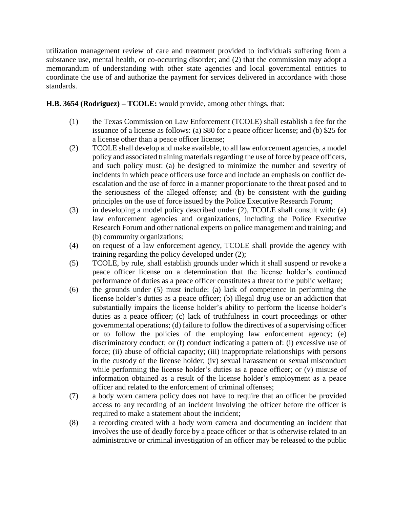utilization management review of care and treatment provided to individuals suffering from a substance use, mental health, or co-occurring disorder; and (2) that the commission may adopt a memorandum of understanding with other state agencies and local governmental entities to coordinate the use of and authorize the payment for services delivered in accordance with those standards.

### **H.B. 3654 (Rodriguez) – TCOLE:** would provide, among other things, that:

- (1) the Texas Commission on Law Enforcement (TCOLE) shall establish a fee for the issuance of a license as follows: (a) \$80 for a peace officer license; and (b) \$25 for a license other than a peace officer license;
- (2) TCOLE shall develop and make available, to all law enforcement agencies, a model policy and associated training materials regarding the use of force by peace officers, and such policy must: (a) be designed to minimize the number and severity of incidents in which peace officers use force and include an emphasis on conflict deescalation and the use of force in a manner proportionate to the threat posed and to the seriousness of the alleged offense; and (b) be consistent with the guiding principles on the use of force issued by the Police Executive Research Forum;
- (3) in developing a model policy described under (2), TCOLE shall consult with: (a) law enforcement agencies and organizations, including the Police Executive Research Forum and other national experts on police management and training; and (b) community organizations;
- (4) on request of a law enforcement agency, TCOLE shall provide the agency with training regarding the policy developed under (2);
- (5) TCOLE, by rule, shall establish grounds under which it shall suspend or revoke a peace officer license on a determination that the license holder's continued performance of duties as a peace officer constitutes a threat to the public welfare;
- (6) the grounds under (5) must include: (a) lack of competence in performing the license holder's duties as a peace officer; (b) illegal drug use or an addiction that substantially impairs the license holder's ability to perform the license holder's duties as a peace officer; (c) lack of truthfulness in court proceedings or other governmental operations; (d) failure to follow the directives of a supervising officer or to follow the policies of the employing law enforcement agency; (e) discriminatory conduct; or (f) conduct indicating a pattern of: (i) excessive use of force; (ii) abuse of official capacity; (iii) inappropriate relationships with persons in the custody of the license holder; (iv) sexual harassment or sexual misconduct while performing the license holder's duties as a peace officer; or (v) misuse of information obtained as a result of the license holder's employment as a peace officer and related to the enforcement of criminal offenses;
- (7) a body worn camera policy does not have to require that an officer be provided access to any recording of an incident involving the officer before the officer is required to make a statement about the incident;
- (8) a recording created with a body worn camera and documenting an incident that involves the use of deadly force by a peace officer or that is otherwise related to an administrative or criminal investigation of an officer may be released to the public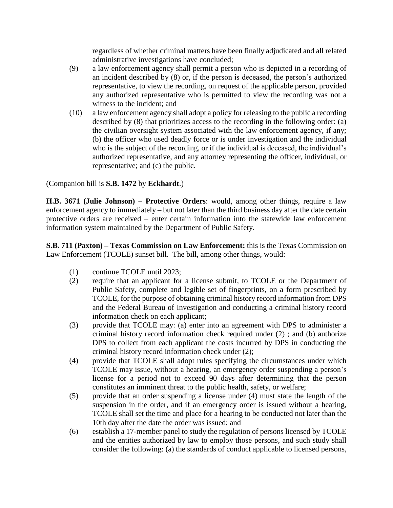regardless of whether criminal matters have been finally adjudicated and all related administrative investigations have concluded;

- (9) a law enforcement agency shall permit a person who is depicted in a recording of an incident described by (8) or, if the person is deceased, the person's authorized representative, to view the recording, on request of the applicable person, provided any authorized representative who is permitted to view the recording was not a witness to the incident; and
- (10) a law enforcement agency shall adopt a policy for releasing to the public a recording described by (8) that prioritizes access to the recording in the following order: (a) the civilian oversight system associated with the law enforcement agency, if any; (b) the officer who used deadly force or is under investigation and the individual who is the subject of the recording, or if the individual is deceased, the individual's authorized representative, and any attorney representing the officer, individual, or representative; and (c) the public.

(Companion bill is **S.B. 1472** by **Eckhardt**.)

**H.B. 3671 (Julie Johnson) – Protective Orders**: would, among other things, require a law enforcement agency to immediately – but not later than the third business day after the date certain protective orders are received – enter certain information into the statewide law enforcement information system maintained by the Department of Public Safety.

**S.B. 711 (Paxton) – Texas Commission on Law Enforcement:** this is the Texas Commission on Law Enforcement (TCOLE) sunset bill. The bill, among other things, would:

- (1) continue TCOLE until 2023;
- (2) require that an applicant for a license submit, to TCOLE or the Department of Public Safety, complete and legible set of fingerprints, on a form prescribed by TCOLE, for the purpose of obtaining criminal history record information from DPS and the Federal Bureau of Investigation and conducting a criminal history record information check on each applicant;
- (3) provide that TCOLE may: (a) enter into an agreement with DPS to administer a criminal history record information check required under (2) ; and (b) authorize DPS to collect from each applicant the costs incurred by DPS in conducting the criminal history record information check under (2);
- (4) provide that TCOLE shall adopt rules specifying the circumstances under which TCOLE may issue, without a hearing, an emergency order suspending a person's license for a period not to exceed 90 days after determining that the person constitutes an imminent threat to the public health, safety, or welfare;
- (5) provide that an order suspending a license under (4) must state the length of the suspension in the order, and if an emergency order is issued without a hearing, TCOLE shall set the time and place for a hearing to be conducted not later than the 10th day after the date the order was issued; and
- (6) establish a 17-member panel to study the regulation of persons licensed by TCOLE and the entities authorized by law to employ those persons, and such study shall consider the following: (a) the standards of conduct applicable to licensed persons,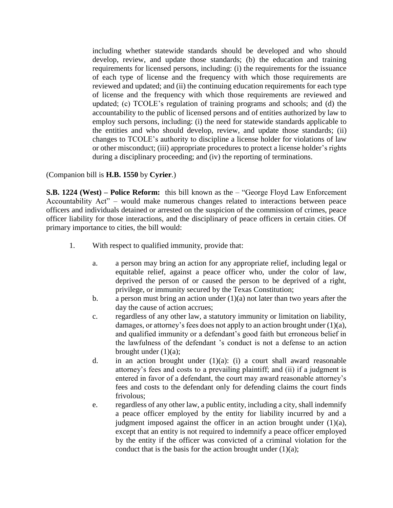including whether statewide standards should be developed and who should develop, review, and update those standards; (b) the education and training requirements for licensed persons, including: (i) the requirements for the issuance of each type of license and the frequency with which those requirements are reviewed and updated; and (ii) the continuing education requirements for each type of license and the frequency with which those requirements are reviewed and updated; (c) TCOLE's regulation of training programs and schools; and (d) the accountability to the public of licensed persons and of entities authorized by law to employ such persons, including: (i) the need for statewide standards applicable to the entities and who should develop, review, and update those standards; (ii) changes to TCOLE's authority to discipline a license holder for violations of law or other misconduct; (iii) appropriate procedures to protect a license holder's rights during a disciplinary proceeding; and (iv) the reporting of terminations.

### (Companion bill is **H.B. 1550** by **Cyrier**.)

**S.B. 1224 (West) – Police Reform:** this bill known as the – "George Floyd Law Enforcement Accountability Act" – would make numerous changes related to interactions between peace officers and individuals detained or arrested on the suspicion of the commission of crimes, peace officer liability for those interactions, and the disciplinary of peace officers in certain cities. Of primary importance to cities, the bill would:

- 1. With respect to qualified immunity, provide that:
	- a. a person may bring an action for any appropriate relief, including legal or equitable relief, against a peace officer who, under the color of law, deprived the person of or caused the person to be deprived of a right, privilege, or immunity secured by the Texas Constitution;
	- b. a person must bring an action under  $(1)(a)$  not later than two years after the day the cause of action accrues;
	- c. regardless of any other law, a statutory immunity or limitation on liability, damages, or attorney's fees does not apply to an action brought under  $(1)(a)$ , and qualified immunity or a defendant's good faith but erroneous belief in the lawfulness of the defendant 's conduct is not a defense to an action brought under  $(1)(a)$ ;
	- d. in an action brought under  $(1)(a)$ : (i) a court shall award reasonable attorney's fees and costs to a prevailing plaintiff; and (ii) if a judgment is entered in favor of a defendant, the court may award reasonable attorney's fees and costs to the defendant only for defending claims the court finds frivolous;
	- e. regardless of any other law, a public entity, including a city, shall indemnify a peace officer employed by the entity for liability incurred by and a judgment imposed against the officer in an action brought under  $(1)(a)$ , except that an entity is not required to indemnify a peace officer employed by the entity if the officer was convicted of a criminal violation for the conduct that is the basis for the action brought under  $(1)(a)$ ;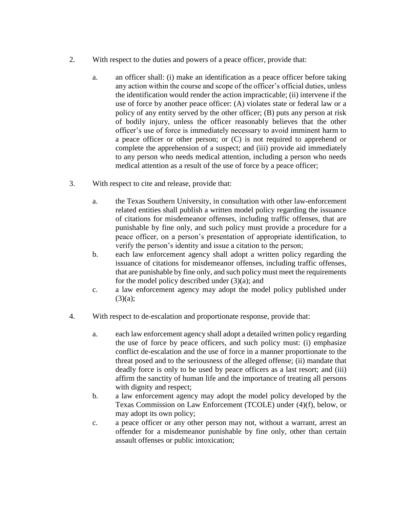- 2. With respect to the duties and powers of a peace officer, provide that:
	- a. an officer shall: (i) make an identification as a peace officer before taking any action within the course and scope of the officer's official duties, unless the identification would render the action impracticable; (ii) intervene if the use of force by another peace officer: (A) violates state or federal law or a policy of any entity served by the other officer; (B) puts any person at risk of bodily injury, unless the officer reasonably believes that the other officer's use of force is immediately necessary to avoid imminent harm to a peace officer or other person; or (C) is not required to apprehend or complete the apprehension of a suspect; and (iii) provide aid immediately to any person who needs medical attention, including a person who needs medical attention as a result of the use of force by a peace officer;
- 3. With respect to cite and release, provide that:
	- a. the Texas Southern University, in consultation with other law-enforcement related entities shall publish a written model policy regarding the issuance of citations for misdemeanor offenses, including traffic offenses, that are punishable by fine only, and such policy must provide a procedure for a peace officer, on a person's presentation of appropriate identification, to verify the person's identity and issue a citation to the person;
	- b. each law enforcement agency shall adopt a written policy regarding the issuance of citations for misdemeanor offenses, including traffic offenses, that are punishable by fine only, and such policy must meet the requirements for the model policy described under  $(3)(a)$ ; and
	- c. a law enforcement agency may adopt the model policy published under  $(3)(a);$
- 4. With respect to de-escalation and proportionate response, provide that:
	- a. each law enforcement agency shall adopt a detailed written policy regarding the use of force by peace officers, and such policy must: (i) emphasize conflict de-escalation and the use of force in a manner proportionate to the threat posed and to the seriousness of the alleged offense; (ii) mandate that deadly force is only to be used by peace officers as a last resort; and (iii) affirm the sanctity of human life and the importance of treating all persons with dignity and respect;
	- b. a law enforcement agency may adopt the model policy developed by the Texas Commission on Law Enforcement (TCOLE) under (4)(f), below, or may adopt its own policy;
	- c. a peace officer or any other person may not, without a warrant, arrest an offender for a misdemeanor punishable by fine only, other than certain assault offenses or public intoxication;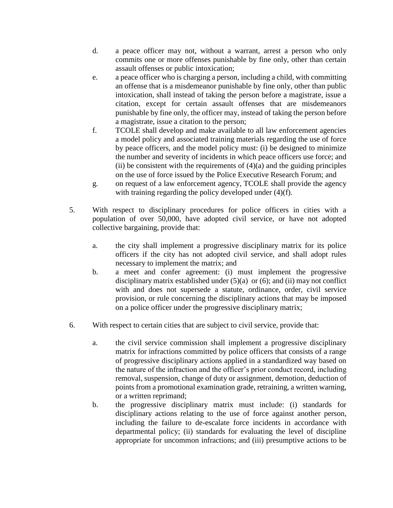- d. a peace officer may not, without a warrant, arrest a person who only commits one or more offenses punishable by fine only, other than certain assault offenses or public intoxication;
- e. a peace officer who is charging a person, including a child, with committing an offense that is a misdemeanor punishable by fine only, other than public intoxication, shall instead of taking the person before a magistrate, issue a citation, except for certain assault offenses that are misdemeanors punishable by fine only, the officer may, instead of taking the person before a magistrate, issue a citation to the person;
- f. TCOLE shall develop and make available to all law enforcement agencies a model policy and associated training materials regarding the use of force by peace officers, and the model policy must: (i) be designed to minimize the number and severity of incidents in which peace officers use force; and (ii) be consistent with the requirements of  $(4)(a)$  and the guiding principles on the use of force issued by the Police Executive Research Forum; and
- g. on request of a law enforcement agency, TCOLE shall provide the agency with training regarding the policy developed under (4)(f).
- 5. With respect to disciplinary procedures for police officers in cities with a population of over 50,000, have adopted civil service, or have not adopted collective bargaining, provide that:
	- a. the city shall implement a progressive disciplinary matrix for its police officers if the city has not adopted civil service, and shall adopt rules necessary to implement the matrix; and
	- b. a meet and confer agreement: (i) must implement the progressive disciplinary matrix established under  $(5)(a)$  or  $(6)$ ; and  $(ii)$  may not conflict with and does not supersede a statute, ordinance, order, civil service provision, or rule concerning the disciplinary actions that may be imposed on a police officer under the progressive disciplinary matrix;
- 6. With respect to certain cities that are subject to civil service, provide that:
	- a. the civil service commission shall implement a progressive disciplinary matrix for infractions committed by police officers that consists of a range of progressive disciplinary actions applied in a standardized way based on the nature of the infraction and the officer's prior conduct record, including removal, suspension, change of duty or assignment, demotion, deduction of points from a promotional examination grade, retraining, a written warning, or a written reprimand;
	- b. the progressive disciplinary matrix must include: (i) standards for disciplinary actions relating to the use of force against another person, including the failure to de-escalate force incidents in accordance with departmental policy; (ii) standards for evaluating the level of discipline appropriate for uncommon infractions; and (iii) presumptive actions to be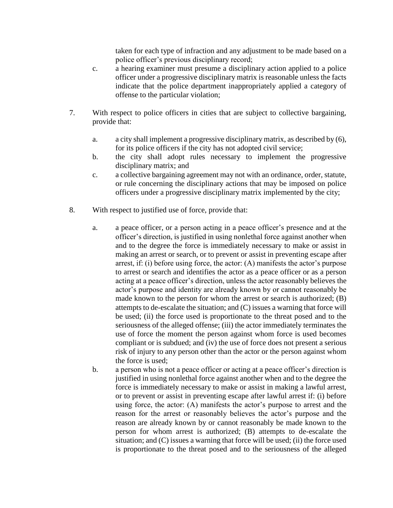taken for each type of infraction and any adjustment to be made based on a police officer's previous disciplinary record;

- c. a hearing examiner must presume a disciplinary action applied to a police officer under a progressive disciplinary matrix is reasonable unless the facts indicate that the police department inappropriately applied a category of offense to the particular violation;
- 7. With respect to police officers in cities that are subject to collective bargaining, provide that:
	- a. a city shall implement a progressive disciplinary matrix, as described by (6), for its police officers if the city has not adopted civil service;
	- b. the city shall adopt rules necessary to implement the progressive disciplinary matrix; and
	- c. a collective bargaining agreement may not with an ordinance, order, statute, or rule concerning the disciplinary actions that may be imposed on police officers under a progressive disciplinary matrix implemented by the city;
- 8. With respect to justified use of force, provide that:
	- a. a peace officer, or a person acting in a peace officer's presence and at the officer's direction, is justified in using nonlethal force against another when and to the degree the force is immediately necessary to make or assist in making an arrest or search, or to prevent or assist in preventing escape after arrest, if: (i) before using force, the actor: (A) manifests the actor's purpose to arrest or search and identifies the actor as a peace officer or as a person acting at a peace officer's direction, unless the actor reasonably believes the actor's purpose and identity are already known by or cannot reasonably be made known to the person for whom the arrest or search is authorized; (B) attempts to de-escalate the situation; and (C) issues a warning that force will be used; (ii) the force used is proportionate to the threat posed and to the seriousness of the alleged offense; (iii) the actor immediately terminates the use of force the moment the person against whom force is used becomes compliant or is subdued; and (iv) the use of force does not present a serious risk of injury to any person other than the actor or the person against whom the force is used;
	- b. a person who is not a peace officer or acting at a peace officer's direction is justified in using nonlethal force against another when and to the degree the force is immediately necessary to make or assist in making a lawful arrest, or to prevent or assist in preventing escape after lawful arrest if: (i) before using force, the actor: (A) manifests the actor's purpose to arrest and the reason for the arrest or reasonably believes the actor's purpose and the reason are already known by or cannot reasonably be made known to the person for whom arrest is authorized; (B) attempts to de-escalate the situation; and (C) issues a warning that force will be used; (ii) the force used is proportionate to the threat posed and to the seriousness of the alleged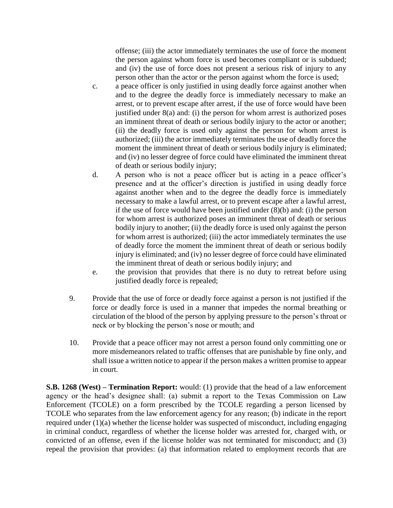offense; (iii) the actor immediately terminates the use of force the moment the person against whom force is used becomes compliant or is subdued; and (iv) the use of force does not present a serious risk of injury to any person other than the actor or the person against whom the force is used;

- c. a peace officer is only justified in using deadly force against another when and to the degree the deadly force is immediately necessary to make an arrest, or to prevent escape after arrest, if the use of force would have been justified under 8(a) and: (i) the person for whom arrest is authorized poses an imminent threat of death or serious bodily injury to the actor or another; (ii) the deadly force is used only against the person for whom arrest is authorized; (iii) the actor immediately terminates the use of deadly force the moment the imminent threat of death or serious bodily injury is eliminated; and (iv) no lesser degree of force could have eliminated the imminent threat of death or serious bodily injury;
- d. A person who is not a peace officer but is acting in a peace officer's presence and at the officer's direction is justified in using deadly force against another when and to the degree the deadly force is immediately necessary to make a lawful arrest, or to prevent escape after a lawful arrest, if the use of force would have been justified under (8)(b) and: (i) the person for whom arrest is authorized poses an imminent threat of death or serious bodily injury to another; (ii) the deadly force is used only against the person for whom arrest is authorized; (iii) the actor immediately terminates the use of deadly force the moment the imminent threat of death or serious bodily injury is eliminated; and (iv) no lesser degree of force could have eliminated the imminent threat of death or serious bodily injury; and
- e. the provision that provides that there is no duty to retreat before using justified deadly force is repealed;
- 9. Provide that the use of force or deadly force against a person is not justified if the force or deadly force is used in a manner that impedes the normal breathing or circulation of the blood of the person by applying pressure to the person's throat or neck or by blocking the person's nose or mouth; and
- 10. Provide that a peace officer may not arrest a person found only committing one or more misdemeanors related to traffic offenses that are punishable by fine only, and shall issue a written notice to appear if the person makes a written promise to appear in court.

**S.B. 1268 (West) – Termination Report:** would: (1) provide that the head of a law enforcement agency or the head's designee shall: (a) submit a report to the Texas Commission on Law Enforcement (TCOLE) on a form prescribed by the TCOLE regarding a person licensed by TCOLE who separates from the law enforcement agency for any reason; (b) indicate in the report required under (1)(a) whether the license holder was suspected of misconduct, including engaging in criminal conduct, regardless of whether the license holder was arrested for, charged with, or convicted of an offense, even if the license holder was not terminated for misconduct; and (3) repeal the provision that provides: (a) that information related to employment records that are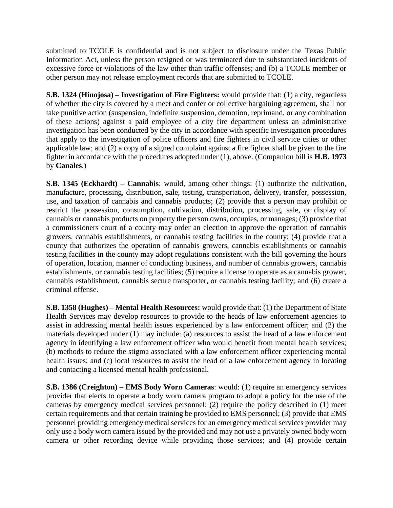submitted to TCOLE is confidential and is not subject to disclosure under the Texas Public Information Act, unless the person resigned or was terminated due to substantiated incidents of excessive force or violations of the law other than traffic offenses; and (b) a TCOLE member or other person may not release employment records that are submitted to TCOLE.

**S.B. 1324 (Hinojosa) – Investigation of Fire Fighters:** would provide that: (1) a city, regardless of whether the city is covered by a meet and confer or collective bargaining agreement, shall not take punitive action (suspension, indefinite suspension, demotion, reprimand, or any combination of these actions) against a paid employee of a city fire department unless an administrative investigation has been conducted by the city in accordance with specific investigation procedures that apply to the investigation of police officers and fire fighters in civil service cities or other applicable law; and (2) a copy of a signed complaint against a fire fighter shall be given to the fire fighter in accordance with the procedures adopted under (1), above. (Companion bill is **H.B. 1973** by **Canales**.)

**S.B. 1345 (Eckhardt) – Cannabis**: would, among other things: (1) authorize the cultivation, manufacture, processing, distribution, sale, testing, transportation, delivery, transfer, possession, use, and taxation of cannabis and cannabis products; (2) provide that a person may prohibit or restrict the possession, consumption, cultivation, distribution, processing, sale, or display of cannabis or cannabis products on property the person owns, occupies, or manages; (3) provide that a commissioners court of a county may order an election to approve the operation of cannabis growers, cannabis establishments, or cannabis testing facilities in the county; (4) provide that a county that authorizes the operation of cannabis growers, cannabis establishments or cannabis testing facilities in the county may adopt regulations consistent with the bill governing the hours of operation, location, manner of conducting business, and number of cannabis growers, cannabis establishments, or cannabis testing facilities; (5) require a license to operate as a cannabis grower, cannabis establishment, cannabis secure transporter, or cannabis testing facility; and (6) create a criminal offense.

**S.B. 1358 (Hughes) – Mental Health Resources:** would provide that: (1) the Department of State Health Services may develop resources to provide to the heads of law enforcement agencies to assist in addressing mental health issues experienced by a law enforcement officer; and (2) the materials developed under (1) may include: (a) resources to assist the head of a law enforcement agency in identifying a law enforcement officer who would benefit from mental health services; (b) methods to reduce the stigma associated with a law enforcement officer experiencing mental health issues; and (c) local resources to assist the head of a law enforcement agency in locating and contacting a licensed mental health professional.

**S.B. 1386 (Creighton) – EMS Body Worn Cameras**: would: (1) require an emergency services provider that elects to operate a body worn camera program to adopt a policy for the use of the cameras by emergency medical services personnel; (2) require the policy described in (1) meet certain requirements and that certain training be provided to EMS personnel; (3) provide that EMS personnel providing emergency medical services for an emergency medical services provider may only use a body worn camera issued by the provided and may not use a privately owned body worn camera or other recording device while providing those services; and (4) provide certain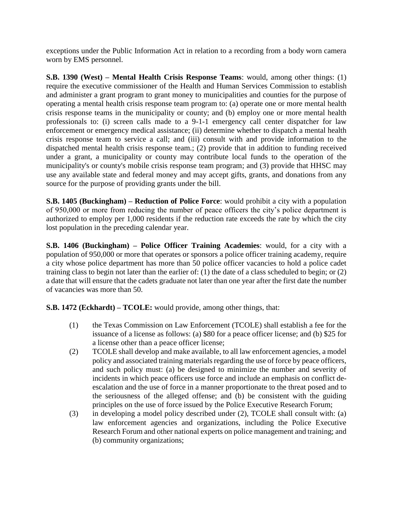exceptions under the Public Information Act in relation to a recording from a body worn camera worn by EMS personnel.

**S.B. 1390 (West) – Mental Health Crisis Response Teams**: would, among other things: (1) require the executive commissioner of the Health and Human Services Commission to establish and administer a grant program to grant money to municipalities and counties for the purpose of operating a mental health crisis response team program to: (a) operate one or more mental health crisis response teams in the municipality or county; and (b) employ one or more mental health professionals to: (i) screen calls made to a 9-1-1 emergency call center dispatcher for law enforcement or emergency medical assistance; (ii) determine whether to dispatch a mental health crisis response team to service a call; and (iii) consult with and provide information to the dispatched mental health crisis response team.; (2) provide that in addition to funding received under a grant, a municipality or county may contribute local funds to the operation of the municipality's or county's mobile crisis response team program; and (3) provide that HHSC may use any available state and federal money and may accept gifts, grants, and donations from any source for the purpose of providing grants under the bill.

**S.B. 1405 (Buckingham) – Reduction of Police Force**: would prohibit a city with a population of 950,000 or more from reducing the number of peace officers the city's police department is authorized to employ per 1,000 residents if the reduction rate exceeds the rate by which the city lost population in the preceding calendar year.

**S.B. 1406 (Buckingham) – Police Officer Training Academies**: would, for a city with a population of 950,000 or more that operates or sponsors a police officer training academy, require a city whose police department has more than 50 police officer vacancies to hold a police cadet training class to begin not later than the earlier of: (1) the date of a class scheduled to begin; or (2) a date that will ensure that the cadets graduate not later than one year after the first date the number of vacancies was more than 50.

**S.B. 1472 (Eckhardt) – TCOLE:** would provide, among other things, that:

- (1) the Texas Commission on Law Enforcement (TCOLE) shall establish a fee for the issuance of a license as follows: (a) \$80 for a peace officer license; and (b) \$25 for a license other than a peace officer license;
- (2) TCOLE shall develop and make available, to all law enforcement agencies, a model policy and associated training materials regarding the use of force by peace officers, and such policy must: (a) be designed to minimize the number and severity of incidents in which peace officers use force and include an emphasis on conflict deescalation and the use of force in a manner proportionate to the threat posed and to the seriousness of the alleged offense; and (b) be consistent with the guiding principles on the use of force issued by the Police Executive Research Forum;
- (3) in developing a model policy described under (2), TCOLE shall consult with: (a) law enforcement agencies and organizations, including the Police Executive Research Forum and other national experts on police management and training; and (b) community organizations;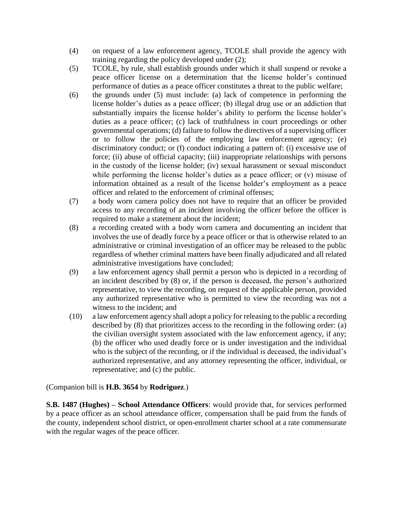- (4) on request of a law enforcement agency, TCOLE shall provide the agency with training regarding the policy developed under (2);
- (5) TCOLE, by rule, shall establish grounds under which it shall suspend or revoke a peace officer license on a determination that the license holder's continued performance of duties as a peace officer constitutes a threat to the public welfare;
- (6) the grounds under (5) must include: (a) lack of competence in performing the license holder's duties as a peace officer; (b) illegal drug use or an addiction that substantially impairs the license holder's ability to perform the license holder's duties as a peace officer; (c) lack of truthfulness in court proceedings or other governmental operations; (d) failure to follow the directives of a supervising officer or to follow the policies of the employing law enforcement agency; (e) discriminatory conduct; or (f) conduct indicating a pattern of: (i) excessive use of force; (ii) abuse of official capacity; (iii) inappropriate relationships with persons in the custody of the license holder; (iv) sexual harassment or sexual misconduct while performing the license holder's duties as a peace officer; or (v) misuse of information obtained as a result of the license holder's employment as a peace officer and related to the enforcement of criminal offenses;
- (7) a body worn camera policy does not have to require that an officer be provided access to any recording of an incident involving the officer before the officer is required to make a statement about the incident;
- (8) a recording created with a body worn camera and documenting an incident that involves the use of deadly force by a peace officer or that is otherwise related to an administrative or criminal investigation of an officer may be released to the public regardless of whether criminal matters have been finally adjudicated and all related administrative investigations have concluded;
- (9) a law enforcement agency shall permit a person who is depicted in a recording of an incident described by (8) or, if the person is deceased, the person's authorized representative, to view the recording, on request of the applicable person, provided any authorized representative who is permitted to view the recording was not a witness to the incident; and
- (10) a law enforcement agency shall adopt a policy for releasing to the public a recording described by (8) that prioritizes access to the recording in the following order: (a) the civilian oversight system associated with the law enforcement agency, if any; (b) the officer who used deadly force or is under investigation and the individual who is the subject of the recording, or if the individual is deceased, the individual's authorized representative, and any attorney representing the officer, individual, or representative; and (c) the public.

(Companion bill is **H.B. 3654** by **Rodriguez**.)

**S.B. 1487 (Hughes) – School Attendance Officers**: would provide that, for services performed by a peace officer as an school attendance officer, compensation shall be paid from the funds of the county, independent school district, or open-enrollment charter school at a rate commensurate with the regular wages of the peace officer.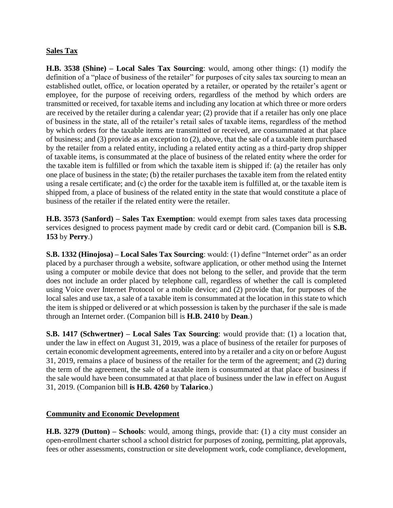### **Sales Tax**

**H.B. 3538 (Shine) – Local Sales Tax Sourcing**: would, among other things: (1) modify the definition of a "place of business of the retailer" for purposes of city sales tax sourcing to mean an established outlet, office, or location operated by a retailer, or operated by the retailer's agent or employee, for the purpose of receiving orders, regardless of the method by which orders are transmitted or received, for taxable items and including any location at which three or more orders are received by the retailer during a calendar year; (2) provide that if a retailer has only one place of business in the state, all of the retailer's retail sales of taxable items, regardless of the method by which orders for the taxable items are transmitted or received, are consummated at that place of business; and (3) provide as an exception to (2), above, that the sale of a taxable item purchased by the retailer from a related entity, including a related entity acting as a third-party drop shipper of taxable items, is consummated at the place of business of the related entity where the order for the taxable item is fulfilled or from which the taxable item is shipped if: (a) the retailer has only one place of business in the state; (b) the retailer purchases the taxable item from the related entity using a resale certificate; and (c) the order for the taxable item is fulfilled at, or the taxable item is shipped from, a place of business of the related entity in the state that would constitute a place of business of the retailer if the related entity were the retailer.

**H.B. 3573 (Sanford) – Sales Tax Exemption**: would exempt from sales taxes data processing services designed to process payment made by credit card or debit card. (Companion bill is **S.B. 153** by **Perry**.)

**S.B. 1332 (Hinojosa) – Local Sales Tax Sourcing**: would: (1) define "Internet order" as an order placed by a purchaser through a website, software application, or other method using the Internet using a computer or mobile device that does not belong to the seller, and provide that the term does not include an order placed by telephone call, regardless of whether the call is completed using Voice over Internet Protocol or a mobile device; and (2) provide that, for purposes of the local sales and use tax, a sale of a taxable item is consummated at the location in this state to which the item is shipped or delivered or at which possession is taken by the purchaser if the sale is made through an Internet order. (Companion bill is **H.B. 2410** by **Dean**.)

**S.B. 1417 (Schwertner) – Local Sales Tax Sourcing**: would provide that: (1) a location that, under the law in effect on August 31, 2019, was a place of business of the retailer for purposes of certain economic development agreements, entered into by a retailer and a city on or before August 31, 2019, remains a place of business of the retailer for the term of the agreement; and (2) during the term of the agreement, the sale of a taxable item is consummated at that place of business if the sale would have been consummated at that place of business under the law in effect on August 31, 2019. (Companion bill **is H.B. 4260** by **Talarico**.)

#### **Community and Economic Development**

**H.B. 3279 (Dutton) – Schools**: would, among things, provide that: (1) a city must consider an open-enrollment charter school a school district for purposes of zoning, permitting, plat approvals, fees or other assessments, construction or site development work, code compliance, development,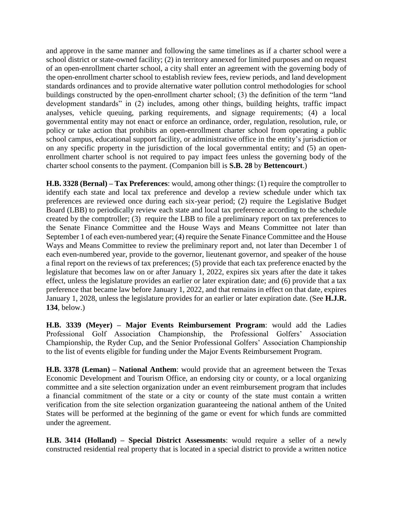and approve in the same manner and following the same timelines as if a charter school were a school district or state-owned facility; (2) in territory annexed for limited purposes and on request of an open-enrollment charter school, a city shall enter an agreement with the governing body of the open-enrollment charter school to establish review fees, review periods, and land development standards ordinances and to provide alternative water pollution control methodologies for school buildings constructed by the open-enrollment charter school; (3) the definition of the term "land development standards" in (2) includes, among other things, building heights, traffic impact analyses, vehicle queuing, parking requirements, and signage requirements; (4) a local governmental entity may not enact or enforce an ordinance, order, regulation, resolution, rule, or policy or take action that prohibits an open-enrollment charter school from operating a public school campus, educational support facility, or administrative office in the entity's jurisdiction or on any specific property in the jurisdiction of the local governmental entity; and (5) an openenrollment charter school is not required to pay impact fees unless the governing body of the charter school consents to the payment. (Companion bill is **S.B. 28** by **Bettencourt**.)

**H.B. 3328 (Bernal) – Tax Preferences**: would, among other things: (1) require the comptroller to identify each state and local tax preference and develop a review schedule under which tax preferences are reviewed once during each six-year period; (2) require the Legislative Budget Board (LBB) to periodically review each state and local tax preference according to the schedule created by the comptroller; (3) require the LBB to file a preliminary report on tax preferences to the Senate Finance Committee and the House Ways and Means Committee not later than September 1 of each even-numbered year; (4) require the Senate Finance Committee and the House Ways and Means Committee to review the preliminary report and, not later than December 1 of each even-numbered year, provide to the governor, lieutenant governor, and speaker of the house a final report on the reviews of tax preferences; (5) provide that each tax preference enacted by the legislature that becomes law on or after January 1, 2022, expires six years after the date it takes effect, unless the legislature provides an earlier or later expiration date; and (6) provide that a tax preference that became law before January 1, 2022, and that remains in effect on that date, expires January 1, 2028, unless the legislature provides for an earlier or later expiration date. (See **H.J.R. 134**, below.)

**H.B. 3339 (Meyer) – Major Events Reimbursement Program**: would add the Ladies Professional Golf Association Championship, the Professional Golfers' Association Championship, the Ryder Cup, and the Senior Professional Golfers' Association Championship to the list of events eligible for funding under the Major Events Reimbursement Program.

**H.B. 3378 (Leman) – National Anthem**: would provide that an agreement between the Texas Economic Development and Tourism Office, an endorsing city or county, or a local organizing committee and a site selection organization under an event reimbursement program that includes a financial commitment of the state or a city or county of the state must contain a written verification from the site selection organization guaranteeing the national anthem of the United States will be performed at the beginning of the game or event for which funds are committed under the agreement.

**H.B. 3414 (Holland) – Special District Assessments**: would require a seller of a newly constructed residential real property that is located in a special district to provide a written notice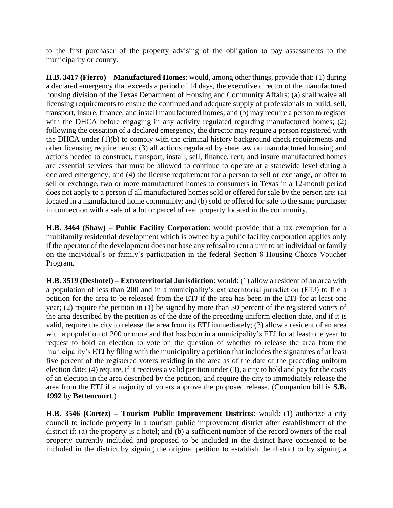to the first purchaser of the property advising of the obligation to pay assessments to the municipality or county.

**H.B. 3417 (Fierro) – Manufactured Homes**: would, among other things, provide that: (1) during a declared emergency that exceeds a period of 14 days, the executive director of the manufactured housing division of the Texas Department of Housing and Community Affairs: (a) shall waive all licensing requirements to ensure the continued and adequate supply of professionals to build, sell, transport, insure, finance, and install manufactured homes; and (b) may require a person to register with the DHCA before engaging in any activity regulated regarding manufactured homes; (2) following the cessation of a declared emergency, the director may require a person registered with the DHCA under (1)(b) to comply with the criminal history background check requirements and other licensing requirements; (3) all actions regulated by state law on manufactured housing and actions needed to construct, transport, install, sell, finance, rent, and insure manufactured homes are essential services that must be allowed to continue to operate at a statewide level during a declared emergency; and (4) the license requirement for a person to sell or exchange, or offer to sell or exchange, two or more manufactured homes to consumers in Texas in a 12-month period does not apply to a person if all manufactured homes sold or offered for sale by the person are: (a) located in a manufactured home community; and (b) sold or offered for sale to the same purchaser in connection with a sale of a lot or parcel of real property located in the community.

**H.B. 3464 (Shaw) – Public Facility Corporation**: would provide that a tax exemption for a multifamily residential development which is owned by a public facility corporation applies only if the operator of the development does not base any refusal to rent a unit to an individual or family on the individual's or family's participation in the federal Section 8 Housing Choice Voucher Program.

**H.B. 3519 (Deshotel) – Extraterritorial Jurisdiction**: would: (1) allow a resident of an area with a population of less than 200 and in a municipality's extraterritorial jurisdiction (ETJ) to file a petition for the area to be released from the ETJ if the area has been in the ETJ for at least one year; (2) require the petition in (1) be signed by more than 50 percent of the registered voters of the area described by the petition as of the date of the preceding uniform election date, and if it is valid, require the city to release the area from its ETJ immediately; (3) allow a resident of an area with a population of 200 or more and that has been in a municipality's ETJ for at least one year to request to hold an election to vote on the question of whether to release the area from the municipality's ETJ by filing with the municipality a petition that includes the signatures of at least five percent of the registered voters residing in the area as of the date of the preceding uniform election date; (4) require, if it receives a valid petition under (3), a city to hold and pay for the costs of an election in the area described by the petition, and require the city to immediately release the area from the ETJ if a majority of voters approve the proposed release. (Companion bill is **S.B. 1992** by **Bettencourt**.)

**H.B. 3546 (Cortez) – Tourism Public Improvement Districts**: would: (1) authorize a city council to include property in a tourism public improvement district after establishment of the district if: (a) the property is a hotel; and (b) a sufficient number of the record owners of the real property currently included and proposed to be included in the district have consented to be included in the district by signing the original petition to establish the district or by signing a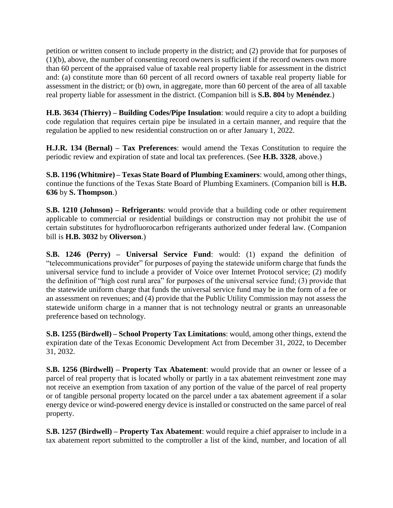petition or written consent to include property in the district; and (2) provide that for purposes of (1)(b), above, the number of consenting record owners is sufficient if the record owners own more than 60 percent of the appraised value of taxable real property liable for assessment in the district and: (a) constitute more than 60 percent of all record owners of taxable real property liable for assessment in the district; or (b) own, in aggregate, more than 60 percent of the area of all taxable real property liable for assessment in the district. (Companion bill is **S.B. 804** by **Menéndez**.)

**H.B. 3634 (Thierry) – Building Codes/Pipe Insulation**: would require a city to adopt a building code regulation that requires certain pipe be insulated in a certain manner, and require that the regulation be applied to new residential construction on or after January 1, 2022.

**H.J.R. 134 (Bernal) – Tax Preferences**: would amend the Texas Constitution to require the periodic review and expiration of state and local tax preferences. (See **H.B. 3328**, above.)

**S.B. 1196 (Whitmire) – Texas State Board of Plumbing Examiners**: would, among other things, continue the functions of the Texas State Board of Plumbing Examiners. (Companion bill is **H.B. 636** by **S. Thompson**.)

**S.B. 1210 (Johnson) – Refrigerants**: would provide that a building code or other requirement applicable to commercial or residential buildings or construction may not prohibit the use of certain substitutes for hydrofluorocarbon refrigerants authorized under federal law. (Companion bill is **H.B. 3032** by **Oliverson**.)

**S.B. 1246 (Perry) – Universal Service Fund**: would: (1) expand the definition of "telecommunications provider" for purposes of paying the statewide uniform charge that funds the universal service fund to include a provider of Voice over Internet Protocol service; (2) modify the definition of "high cost rural area" for purposes of the universal service fund; (3) provide that the statewide uniform charge that funds the universal service fund may be in the form of a fee or an assessment on revenues; and (4) provide that the Public Utility Commission may not assess the statewide uniform charge in a manner that is not technology neutral or grants an unreasonable preference based on technology.

**S.B. 1255 (Birdwell) – School Property Tax Limitations**: would, among other things, extend the expiration date of the Texas Economic Development Act from December 31, 2022, to December 31, 2032.

**S.B. 1256 (Birdwell) – Property Tax Abatement**: would provide that an owner or lessee of a parcel of real property that is located wholly or partly in a tax abatement reinvestment zone may not receive an exemption from taxation of any portion of the value of the parcel of real property or of tangible personal property located on the parcel under a tax abatement agreement if a solar energy device or wind-powered energy device is installed or constructed on the same parcel of real property.

**S.B. 1257 (Birdwell) – Property Tax Abatement**: would require a chief appraiser to include in a tax abatement report submitted to the comptroller a list of the kind, number, and location of all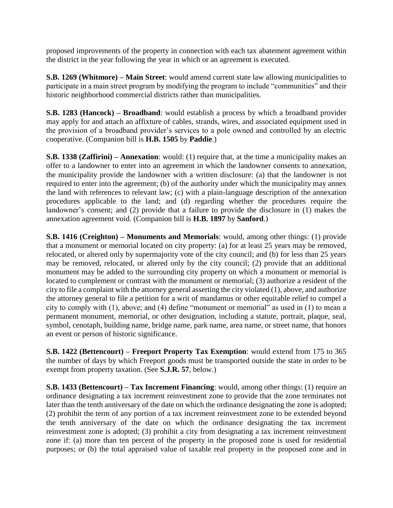proposed improvements of the property in connection with each tax abatement agreement within the district in the year following the year in which or an agreement is executed.

**S.B. 1269 (Whitmore) – Main Street**: would amend current state law allowing municipalities to participate in a main street program by modifying the program to include "communities" and their historic neighborhood commercial districts rather than municipalities.

**S.B. 1283 (Hancock) – Broadband**: would establish a process by which a broadband provider may apply for and attach an affixture of cables, strands, wires, and associated equipment used in the provision of a broadband provider's services to a pole owned and controlled by an electric cooperative. (Companion bill is **H.B. 1505** by **Paddie**.)

**S.B. 1338 (Zaffirini) – Annexation**: would: (1) require that, at the time a municipality makes an offer to a landowner to enter into an agreement in which the landowner consents to annexation, the municipality provide the landowner with a written disclosure: (a) that the landowner is not required to enter into the agreement; (b) of the authority under which the municipality may annex the land with references to relevant law; (c) with a plain-language description of the annexation procedures applicable to the land; and (d) regarding whether the procedures require the landowner's consent; and (2) provide that a failure to provide the disclosure in (1) makes the annexation agreement void. (Companion bill is **H.B. 1897** by **Sanford**.)

**S.B. 1416 (Creighton) – Monuments and Memorials**: would, among other things: (1) provide that a monument or memorial located on city property: (a) for at least 25 years may be removed, relocated, or altered only by supermajority vote of the city council; and (b) for less than 25 years may be removed, relocated, or altered only by the city council; (2) provide that an additional monument may be added to the surrounding city property on which a monument or memorial is located to complement or contrast with the monument or memorial; (3) authorize a resident of the city to file a complaint with the attorney general asserting the city violated (1), above, and authorize the attorney general to file a petition for a writ of mandamus or other equitable relief to compel a city to comply with (1), above; and (4) define "monument or memorial" as used in (1) to mean a permanent monument, memorial, or other designation, including a statute, portrait, plaque, seal, symbol, cenotaph, building name, bridge name, park name, area name, or street name, that honors an event or person of historic significance.

**S.B. 1422 (Bettencourt) – Freeport Property Tax Exemption**: would extend from 175 to 365 the number of days by which Freeport goods must be transported outside the state in order to be exempt from property taxation. (See **S.J.R. 57**, below.)

**S.B. 1433 (Bettencourt) – Tax Increment Financing**: would, among other things: (1) require an ordinance designating a tax increment reinvestment zone to provide that the zone terminates not later than the tenth anniversary of the date on which the ordinance designating the zone is adopted; (2) prohibit the term of any portion of a tax increment reinvestment zone to be extended beyond the tenth anniversary of the date on which the ordinance designating the tax increment reinvestment zone is adopted; (3) prohibit a city from designating a tax increment reinvestment zone if: (a) more than ten percent of the property in the proposed zone is used for residential purposes; or (b) the total appraised value of taxable real property in the proposed zone and in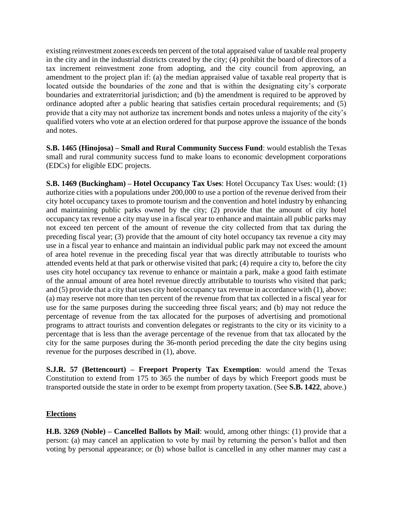existing reinvestment zones exceeds ten percent of the total appraised value of taxable real property in the city and in the industrial districts created by the city; (4) prohibit the board of directors of a tax increment reinvestment zone from adopting, and the city council from approving, an amendment to the project plan if: (a) the median appraised value of taxable real property that is located outside the boundaries of the zone and that is within the designating city's corporate boundaries and extraterritorial jurisdiction; and (b) the amendment is required to be approved by ordinance adopted after a public hearing that satisfies certain procedural requirements; and (5) provide that a city may not authorize tax increment bonds and notes unless a majority of the city's qualified voters who vote at an election ordered for that purpose approve the issuance of the bonds and notes.

**S.B. 1465 (Hinojosa) – Small and Rural Community Success Fund**: would establish the Texas small and rural community success fund to make loans to economic development corporations (EDCs) for eligible EDC projects.

**S.B. 1469 (Buckingham) – Hotel Occupancy Tax Uses**: Hotel Occupancy Tax Uses: would: (1) authorize cities with a populations under 200,000 to use a portion of the revenue derived from their city hotel occupancy taxes to promote tourism and the convention and hotel industry by enhancing and maintaining public parks owned by the city; (2) provide that the amount of city hotel occupancy tax revenue a city may use in a fiscal year to enhance and maintain all public parks may not exceed ten percent of the amount of revenue the city collected from that tax during the preceding fiscal year; (3) provide that the amount of city hotel occupancy tax revenue a city may use in a fiscal year to enhance and maintain an individual public park may not exceed the amount of area hotel revenue in the preceding fiscal year that was directly attributable to tourists who attended events held at that park or otherwise visited that park; (4) require a city to, before the city uses city hotel occupancy tax revenue to enhance or maintain a park, make a good faith estimate of the annual amount of area hotel revenue directly attributable to tourists who visited that park; and (5) provide that a city that uses city hotel occupancy tax revenue in accordance with (1), above: (a) may reserve not more than ten percent of the revenue from that tax collected in a fiscal year for use for the same purposes during the succeeding three fiscal years; and (b) may not reduce the percentage of revenue from the tax allocated for the purposes of advertising and promotional programs to attract tourists and convention delegates or registrants to the city or its vicinity to a percentage that is less than the average percentage of the revenue from that tax allocated by the city for the same purposes during the 36-month period preceding the date the city begins using revenue for the purposes described in (1), above.

**S.J.R. 57 (Bettencourt) – Freeport Property Tax Exemption**: would amend the Texas Constitution to extend from 175 to 365 the number of days by which Freeport goods must be transported outside the state in order to be exempt from property taxation. (See **S.B. 1422**, above.)

#### **Elections**

**H.B. 3269 (Noble) – Cancelled Ballots by Mail**: would, among other things: (1) provide that a person: (a) may cancel an application to vote by mail by returning the person's ballot and then voting by personal appearance; or (b) whose ballot is cancelled in any other manner may cast a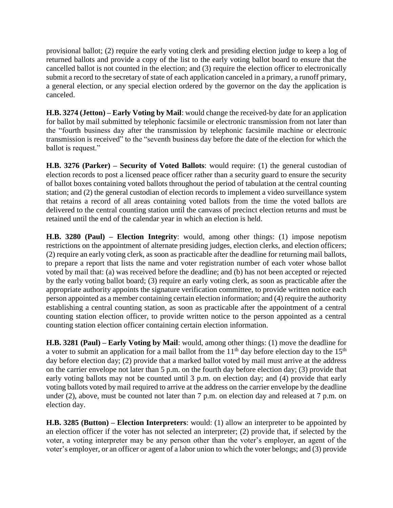provisional ballot; (2) require the early voting clerk and presiding election judge to keep a log of returned ballots and provide a copy of the list to the early voting ballot board to ensure that the cancelled ballot is not counted in the election; and (3) require the election officer to electronically submit a record to the secretary of state of each application canceled in a primary, a runoff primary, a general election, or any special election ordered by the governor on the day the application is canceled.

**H.B. 3274 (Jetton) – Early Voting by Mail**: would change the received-by date for an application for ballot by mail submitted by telephonic facsimile or electronic transmission from not later than the "fourth business day after the transmission by telephonic facsimile machine or electronic transmission is received" to the "seventh business day before the date of the election for which the ballot is request."

**H.B. 3276 (Parker) – Security of Voted Ballots**: would require: (1) the general custodian of election records to post a licensed peace officer rather than a security guard to ensure the security of ballot boxes containing voted ballots throughout the period of tabulation at the central counting station; and (2) the general custodian of election records to implement a video surveillance system that retains a record of all areas containing voted ballots from the time the voted ballots are delivered to the central counting station until the canvass of precinct election returns and must be retained until the end of the calendar year in which an election is held.

**H.B. 3280 (Paul) – Election Integrity**: would, among other things: (1) impose nepotism restrictions on the appointment of alternate presiding judges, election clerks, and election officers; (2) require an early voting clerk, as soon as practicable after the deadline for returning mail ballots, to prepare a report that lists the name and voter registration number of each voter whose ballot voted by mail that: (a) was received before the deadline; and (b) has not been accepted or rejected by the early voting ballot board; (3) require an early voting clerk, as soon as practicable after the appropriate authority appoints the signature verification committee, to provide written notice each person appointed as a member containing certain election information; and (4) require the authority establishing a central counting station, as soon as practicable after the appointment of a central counting station election officer, to provide written notice to the person appointed as a central counting station election officer containing certain election information.

**H.B. 3281 (Paul) – Early Voting by Mail**: would, among other things: (1) move the deadline for a voter to submit an application for a mail ballot from the  $11<sup>th</sup>$  day before election day to the  $15<sup>th</sup>$ day before election day; (2) provide that a marked ballot voted by mail must arrive at the address on the carrier envelope not later than 5 p.m. on the fourth day before election day; (3) provide that early voting ballots may not be counted until 3 p.m. on election day; and (4) provide that early voting ballots voted by mail required to arrive at the address on the carrier envelope by the deadline under (2), above, must be counted not later than 7 p.m. on election day and released at 7 p.m. on election day.

**H.B. 3285 (Button) – Election Interpreters**: would: (1) allow an interpreter to be appointed by an election officer if the voter has not selected an interpreter; (2) provide that, if selected by the voter, a voting interpreter may be any person other than the voter's employer, an agent of the voter's employer, or an officer or agent of a labor union to which the voter belongs; and (3) provide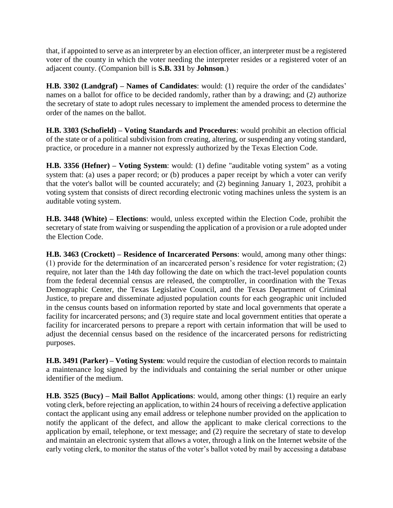that, if appointed to serve as an interpreter by an election officer, an interpreter must be a registered voter of the county in which the voter needing the interpreter resides or a registered voter of an adjacent county. (Companion bill is **S.B. 331** by **Johnson**.)

**H.B. 3302 (Landgraf) – Names of Candidates**: would: (1) require the order of the candidates' names on a ballot for office to be decided randomly, rather than by a drawing; and (2) authorize the secretary of state to adopt rules necessary to implement the amended process to determine the order of the names on the ballot.

**H.B. 3303 (Schofield) – Voting Standards and Procedures**: would prohibit an election official of the state or of a political subdivision from creating, altering, or suspending any voting standard, practice, or procedure in a manner not expressly authorized by the Texas Election Code.

**H.B. 3356 (Hefner) – Voting System**: would: (1) define "auditable voting system" as a voting system that: (a) uses a paper record; or (b) produces a paper receipt by which a voter can verify that the voter's ballot will be counted accurately; and (2) beginning January 1, 2023, prohibit a voting system that consists of direct recording electronic voting machines unless the system is an auditable voting system.

**H.B. 3448 (White) – Elections**: would, unless excepted within the Election Code, prohibit the secretary of state from waiving or suspending the application of a provision or a rule adopted under the Election Code.

**H.B. 3463 (Crockett) – Residence of Incarcerated Persons**: would, among many other things: (1) provide for the determination of an incarcerated person's residence for voter registration; (2) require, not later than the 14th day following the date on which the tract-level population counts from the federal decennial census are released, the comptroller, in coordination with the Texas Demographic Center, the Texas Legislative Council, and the Texas Department of Criminal Justice, to prepare and disseminate adjusted population counts for each geographic unit included in the census counts based on information reported by state and local governments that operate a facility for incarcerated persons; and (3) require state and local government entities that operate a facility for incarcerated persons to prepare a report with certain information that will be used to adjust the decennial census based on the residence of the incarcerated persons for redistricting purposes.

**H.B. 3491 (Parker) – Voting System**: would require the custodian of election records to maintain a maintenance log signed by the individuals and containing the serial number or other unique identifier of the medium.

**H.B. 3525 (Bucy) – Mail Ballot Applications**: would, among other things: (1) require an early voting clerk, before rejecting an application, to within 24 hours of receiving a defective application contact the applicant using any email address or telephone number provided on the application to notify the applicant of the defect, and allow the applicant to make clerical corrections to the application by email, telephone, or text message; and (2) require the secretary of state to develop and maintain an electronic system that allows a voter, through a link on the Internet website of the early voting clerk, to monitor the status of the voter's ballot voted by mail by accessing a database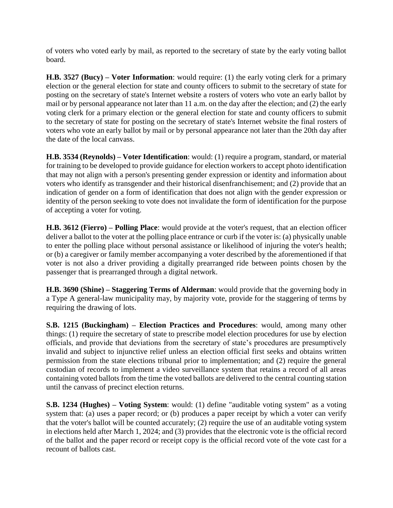of voters who voted early by mail, as reported to the secretary of state by the early voting ballot board.

**H.B. 3527 (Bucy) – Voter Information**: would require: (1) the early voting clerk for a primary election or the general election for state and county officers to submit to the secretary of state for posting on the secretary of state's Internet website a rosters of voters who vote an early ballot by mail or by personal appearance not later than 11 a.m. on the day after the election; and (2) the early voting clerk for a primary election or the general election for state and county officers to submit to the secretary of state for posting on the secretary of state's Internet website the final rosters of voters who vote an early ballot by mail or by personal appearance not later than the 20th day after the date of the local canvass.

**H.B. 3534 (Reynolds) – Voter Identification**: would: (1) require a program, standard, or material for training to be developed to provide guidance for election workers to accept photo identification that may not align with a person's presenting gender expression or identity and information about voters who identify as transgender and their historical disenfranchisement; and (2) provide that an indication of gender on a form of identification that does not align with the gender expression or identity of the person seeking to vote does not invalidate the form of identification for the purpose of accepting a voter for voting.

**H.B. 3612 (Fierro) – Polling Place**: would provide at the voter's request, that an election officer deliver a ballot to the voter at the polling place entrance or curb if the voter is: (a) physically unable to enter the polling place without personal assistance or likelihood of injuring the voter's health; or (b) a caregiver or family member accompanying a voter described by the aforementioned if that voter is not also a driver providing a digitally prearranged ride between points chosen by the passenger that is prearranged through a digital network.

**H.B. 3690 (Shine) – Staggering Terms of Alderman**: would provide that the governing body in a Type A general-law municipality may, by majority vote, provide for the staggering of terms by requiring the drawing of lots.

**S.B. 1215 (Buckingham) – Election Practices and Procedures**: would, among many other things: (1) require the secretary of state to prescribe model election procedures for use by election officials, and provide that deviations from the secretary of state's procedures are presumptively invalid and subject to injunctive relief unless an election official first seeks and obtains written permission from the state elections tribunal prior to implementation; and (2) require the general custodian of records to implement a video surveillance system that retains a record of all areas containing voted ballots from the time the voted ballots are delivered to the central counting station until the canvass of precinct election returns.

**S.B. 1234 (Hughes) – Voting System**: would: (1) define "auditable voting system" as a voting system that: (a) uses a paper record; or (b) produces a paper receipt by which a voter can verify that the voter's ballot will be counted accurately; (2) require the use of an auditable voting system in elections held after March 1, 2024; and (3) provides that the electronic vote is the official record of the ballot and the paper record or receipt copy is the official record vote of the vote cast for a recount of ballots cast.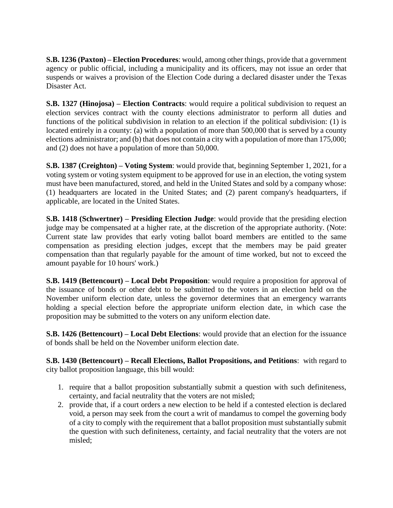**S.B. 1236 (Paxton) – Election Procedures**: would, among other things, provide that a government agency or public official, including a municipality and its officers, may not issue an order that suspends or waives a provision of the Election Code during a declared disaster under the Texas Disaster Act.

**S.B. 1327 (Hinojosa) – Election Contracts**: would require a political subdivision to request an election services contract with the county elections administrator to perform all duties and functions of the political subdivision in relation to an election if the political subdivision: (1) is located entirely in a county: (a) with a population of more than 500,000 that is served by a county elections administrator; and (b) that does not contain a city with a population of more than 175,000; and (2) does not have a population of more than 50,000.

**S.B. 1387 (Creighton) – Voting System**: would provide that, beginning September 1, 2021, for a voting system or voting system equipment to be approved for use in an election, the voting system must have been manufactured, stored, and held in the United States and sold by a company whose: (1) headquarters are located in the United States; and (2) parent company's headquarters, if applicable, are located in the United States.

**S.B. 1418 (Schwertner) – Presiding Election Judge**: would provide that the presiding election judge may be compensated at a higher rate, at the discretion of the appropriate authority. (Note: Current state law provides that early voting ballot board members are entitled to the same compensation as presiding election judges, except that the members may be paid greater compensation than that regularly payable for the amount of time worked, but not to exceed the amount payable for 10 hours' work.)

**S.B. 1419 (Bettencourt) – Local Debt Proposition**: would require a proposition for approval of the issuance of bonds or other debt to be submitted to the voters in an election held on the November uniform election date, unless the governor determines that an emergency warrants holding a special election before the appropriate uniform election date, in which case the proposition may be submitted to the voters on any uniform election date.

**S.B. 1426 (Bettencourt) – Local Debt Elections**: would provide that an election for the issuance of bonds shall be held on the November uniform election date.

**S.B. 1430 (Bettencourt) – Recall Elections, Ballot Propositions, and Petitions**: with regard to city ballot proposition language, this bill would:

- 1. require that a ballot proposition substantially submit a question with such definiteness, certainty, and facial neutrality that the voters are not misled;
- 2. provide that, if a court orders a new election to be held if a contested election is declared void, a person may seek from the court a writ of mandamus to compel the governing body of a city to comply with the requirement that a ballot proposition must substantially submit the question with such definiteness, certainty, and facial neutrality that the voters are not misled;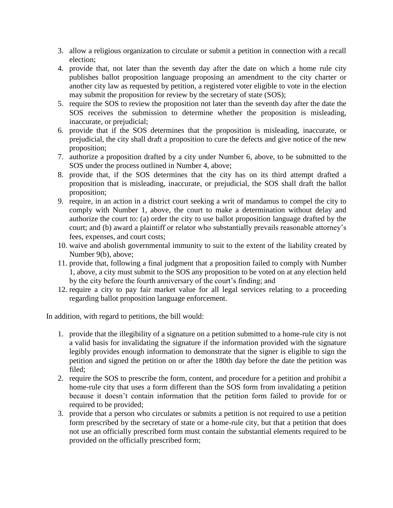- 3. allow a religious organization to circulate or submit a petition in connection with a recall election;
- 4. provide that, not later than the seventh day after the date on which a home rule city publishes ballot proposition language proposing an amendment to the city charter or another city law as requested by petition, a registered voter eligible to vote in the election may submit the proposition for review by the secretary of state (SOS);
- 5. require the SOS to review the proposition not later than the seventh day after the date the SOS receives the submission to determine whether the proposition is misleading, inaccurate, or prejudicial;
- 6. provide that if the SOS determines that the proposition is misleading, inaccurate, or prejudicial, the city shall draft a proposition to cure the defects and give notice of the new proposition;
- 7. authorize a proposition drafted by a city under Number 6, above, to be submitted to the SOS under the process outlined in Number 4, above;
- 8. provide that, if the SOS determines that the city has on its third attempt drafted a proposition that is misleading, inaccurate, or prejudicial, the SOS shall draft the ballot proposition;
- 9. require, in an action in a district court seeking a writ of mandamus to compel the city to comply with Number 1, above, the court to make a determination without delay and authorize the court to: (a) order the city to use ballot proposition language drafted by the court; and (b) award a plaintiff or relator who substantially prevails reasonable attorney's fees, expenses, and court costs;
- 10. waive and abolish governmental immunity to suit to the extent of the liability created by Number 9(b), above;
- 11. provide that, following a final judgment that a proposition failed to comply with Number 1, above, a city must submit to the SOS any proposition to be voted on at any election held by the city before the fourth anniversary of the court's finding; and
- 12. require a city to pay fair market value for all legal services relating to a proceeding regarding ballot proposition language enforcement.

In addition, with regard to petitions, the bill would:

- 1. provide that the illegibility of a signature on a petition submitted to a home-rule city is not a valid basis for invalidating the signature if the information provided with the signature legibly provides enough information to demonstrate that the signer is eligible to sign the petition and signed the petition on or after the 180th day before the date the petition was filed;
- 2. require the SOS to prescribe the form, content, and procedure for a petition and prohibit a home-rule city that uses a form different than the SOS form from invalidating a petition because it doesn't contain information that the petition form failed to provide for or required to be provided;
- 3. provide that a person who circulates or submits a petition is not required to use a petition form prescribed by the secretary of state or a home-rule city, but that a petition that does not use an officially prescribed form must contain the substantial elements required to be provided on the officially prescribed form;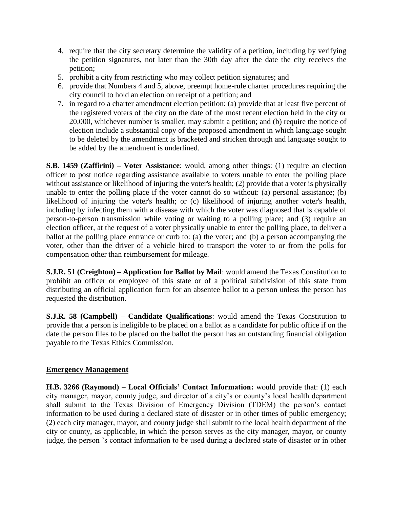- 4. require that the city secretary determine the validity of a petition, including by verifying the petition signatures, not later than the 30th day after the date the city receives the petition;
- 5. prohibit a city from restricting who may collect petition signatures; and
- 6. provide that Numbers 4 and 5, above, preempt home-rule charter procedures requiring the city council to hold an election on receipt of a petition; and
- 7. in regard to a charter amendment election petition: (a) provide that at least five percent of the registered voters of the city on the date of the most recent election held in the city or 20,000, whichever number is smaller, may submit a petition; and (b) require the notice of election include a substantial copy of the proposed amendment in which language sought to be deleted by the amendment is bracketed and stricken through and language sought to be added by the amendment is underlined.

**S.B. 1459 (Zaffirini) – Voter Assistance**: would, among other things: (1) require an election officer to post notice regarding assistance available to voters unable to enter the polling place without assistance or likelihood of injuring the voter's health; (2) provide that a voter is physically unable to enter the polling place if the voter cannot do so without: (a) personal assistance; (b) likelihood of injuring the voter's health; or (c) likelihood of injuring another voter's health, including by infecting them with a disease with which the voter was diagnosed that is capable of person-to-person transmission while voting or waiting to a polling place; and (3) require an election officer, at the request of a voter physically unable to enter the polling place, to deliver a ballot at the polling place entrance or curb to: (a) the voter; and (b) a person accompanying the voter, other than the driver of a vehicle hired to transport the voter to or from the polls for compensation other than reimbursement for mileage.

**S.J.R. 51 (Creighton) – Application for Ballot by Mail**: would amend the Texas Constitution to prohibit an officer or employee of this state or of a political subdivision of this state from distributing an official application form for an absentee ballot to a person unless the person has requested the distribution.

**S.J.R. 58 (Campbell) – Candidate Qualifications**: would amend the Texas Constitution to provide that a person is ineligible to be placed on a ballot as a candidate for public office if on the date the person files to be placed on the ballot the person has an outstanding financial obligation payable to the Texas Ethics Commission.

## **Emergency Management**

**H.B. 3266 (Raymond) – Local Officials' Contact Information:** would provide that: (1) each city manager, mayor, county judge, and director of a city's or county's local health department shall submit to the Texas Division of Emergency Division (TDEM) the person's contact information to be used during a declared state of disaster or in other times of public emergency; (2) each city manager, mayor, and county judge shall submit to the local health department of the city or county, as applicable, in which the person serves as the city manager, mayor, or county judge, the person 's contact information to be used during a declared state of disaster or in other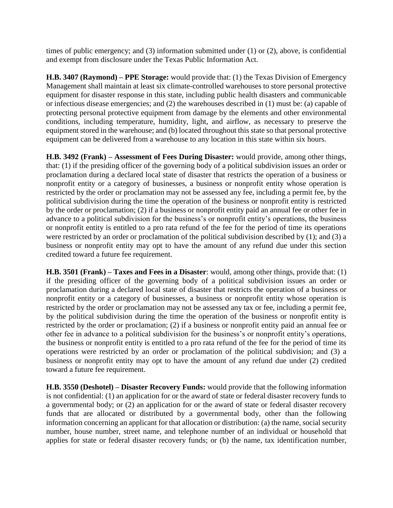times of public emergency; and (3) information submitted under (1) or (2), above, is confidential and exempt from disclosure under the Texas Public Information Act.

**H.B. 3407 (Raymond) – PPE Storage:** would provide that: (1) the Texas Division of Emergency Management shall maintain at least six climate-controlled warehouses to store personal protective equipment for disaster response in this state, including public health disasters and communicable or infectious disease emergencies; and (2) the warehouses described in (1) must be: (a) capable of protecting personal protective equipment from damage by the elements and other environmental conditions, including temperature, humidity, light, and airflow, as necessary to preserve the equipment stored in the warehouse; and (b) located throughout this state so that personal protective equipment can be delivered from a warehouse to any location in this state within six hours.

**H.B. 3492 (Frank) – Assessment of Fees During Disaster:** would provide, among other things, that: (1) if the presiding officer of the governing body of a political subdivision issues an order or proclamation during a declared local state of disaster that restricts the operation of a business or nonprofit entity or a category of businesses, a business or nonprofit entity whose operation is restricted by the order or proclamation may not be assessed any fee, including a permit fee, by the political subdivision during the time the operation of the business or nonprofit entity is restricted by the order or proclamation; (2) if a business or nonprofit entity paid an annual fee or other fee in advance to a political subdivision for the business's or nonprofit entity's operations, the business or nonprofit entity is entitled to a pro rata refund of the fee for the period of time its operations were restricted by an order or proclamation of the political subdivision described by (1); and (3) a business or nonprofit entity may opt to have the amount of any refund due under this section credited toward a future fee requirement.

**H.B. 3501 (Frank) – Taxes and Fees in a Disaster**: would, among other things, provide that: (1) if the presiding officer of the governing body of a political subdivision issues an order or proclamation during a declared local state of disaster that restricts the operation of a business or nonprofit entity or a category of businesses, a business or nonprofit entity whose operation is restricted by the order or proclamation may not be assessed any tax or fee, including a permit fee, by the political subdivision during the time the operation of the business or nonprofit entity is restricted by the order or proclamation; (2) if a business or nonprofit entity paid an annual fee or other fee in advance to a political subdivision for the business's or nonprofit entity's operations, the business or nonprofit entity is entitled to a pro rata refund of the fee for the period of time its operations were restricted by an order or proclamation of the political subdivision; and (3) a business or nonprofit entity may opt to have the amount of any refund due under (2) credited toward a future fee requirement.

**H.B. 3550 (Deshotel) – Disaster Recovery Funds:** would provide that the following information is not confidential: (1) an application for or the award of state or federal disaster recovery funds to a governmental body; or (2) an application for or the award of state or federal disaster recovery funds that are allocated or distributed by a governmental body, other than the following information concerning an applicant for that allocation or distribution: (a) the name, social security number, house number, street name, and telephone number of an individual or household that applies for state or federal disaster recovery funds; or (b) the name, tax identification number,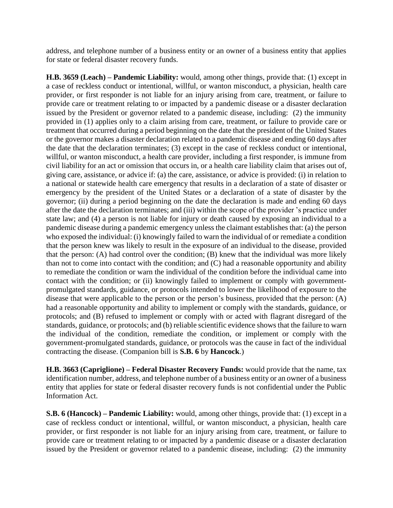address, and telephone number of a business entity or an owner of a business entity that applies for state or federal disaster recovery funds.

**H.B. 3659 (Leach) – Pandemic Liability:** would, among other things, provide that: (1) except in a case of reckless conduct or intentional, willful, or wanton misconduct, a physician, health care provider, or first responder is not liable for an injury arising from care, treatment, or failure to provide care or treatment relating to or impacted by a pandemic disease or a disaster declaration issued by the President or governor related to a pandemic disease, including: (2) the immunity provided in (1) applies only to a claim arising from care, treatment, or failure to provide care or treatment that occurred during a period beginning on the date that the president of the United States or the governor makes a disaster declaration related to a pandemic disease and ending 60 days after the date that the declaration terminates; (3) except in the case of reckless conduct or intentional, willful, or wanton misconduct, a health care provider, including a first responder, is immune from civil liability for an act or omission that occurs in, or a health care liability claim that arises out of, giving care, assistance, or advice if: (a) the care, assistance, or advice is provided: (i) in relation to a national or statewide health care emergency that results in a declaration of a state of disaster or emergency by the president of the United States or a declaration of a state of disaster by the governor; (ii) during a period beginning on the date the declaration is made and ending 60 days after the date the declaration terminates; and (iii) within the scope of the provider 's practice under state law; and (4) a person is not liable for injury or death caused by exposing an individual to a pandemic disease during a pandemic emergency unless the claimant establishes that: (a) the person who exposed the individual: (i) knowingly failed to warn the individual of or remediate a condition that the person knew was likely to result in the exposure of an individual to the disease, provided that the person: (A) had control over the condition; (B) knew that the individual was more likely than not to come into contact with the condition; and (C) had a reasonable opportunity and ability to remediate the condition or warn the individual of the condition before the individual came into contact with the condition; or (ii) knowingly failed to implement or comply with governmentpromulgated standards, guidance, or protocols intended to lower the likelihood of exposure to the disease that were applicable to the person or the person's business, provided that the person: (A) had a reasonable opportunity and ability to implement or comply with the standards, guidance, or protocols; and (B) refused to implement or comply with or acted with flagrant disregard of the standards, guidance, or protocols; and (b) reliable scientific evidence shows that the failure to warn the individual of the condition, remediate the condition, or implement or comply with the government-promulgated standards, guidance, or protocols was the cause in fact of the individual contracting the disease. (Companion bill is **S.B. 6** by **Hancock**.)

**H.B. 3663 (Capriglione) – Federal Disaster Recovery Funds:** would provide that the name, tax identification number, address, and telephone number of a business entity or an owner of a business entity that applies for state or federal disaster recovery funds is not confidential under the Public Information Act.

**S.B. 6 (Hancock) – Pandemic Liability:** would, among other things, provide that: (1) except in a case of reckless conduct or intentional, willful, or wanton misconduct, a physician, health care provider, or first responder is not liable for an injury arising from care, treatment, or failure to provide care or treatment relating to or impacted by a pandemic disease or a disaster declaration issued by the President or governor related to a pandemic disease, including: (2) the immunity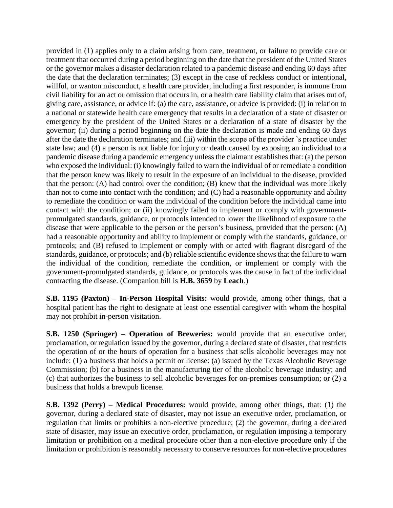provided in (1) applies only to a claim arising from care, treatment, or failure to provide care or treatment that occurred during a period beginning on the date that the president of the United States or the governor makes a disaster declaration related to a pandemic disease and ending 60 days after the date that the declaration terminates; (3) except in the case of reckless conduct or intentional, willful, or wanton misconduct, a health care provider, including a first responder, is immune from civil liability for an act or omission that occurs in, or a health care liability claim that arises out of, giving care, assistance, or advice if: (a) the care, assistance, or advice is provided: (i) in relation to a national or statewide health care emergency that results in a declaration of a state of disaster or emergency by the president of the United States or a declaration of a state of disaster by the governor; (ii) during a period beginning on the date the declaration is made and ending 60 days after the date the declaration terminates; and (iii) within the scope of the provider 's practice under state law; and (4) a person is not liable for injury or death caused by exposing an individual to a pandemic disease during a pandemic emergency unless the claimant establishes that: (a) the person who exposed the individual: (i) knowingly failed to warn the individual of or remediate a condition that the person knew was likely to result in the exposure of an individual to the disease, provided that the person: (A) had control over the condition; (B) knew that the individual was more likely than not to come into contact with the condition; and (C) had a reasonable opportunity and ability to remediate the condition or warn the individual of the condition before the individual came into contact with the condition; or (ii) knowingly failed to implement or comply with governmentpromulgated standards, guidance, or protocols intended to lower the likelihood of exposure to the disease that were applicable to the person or the person's business, provided that the person: (A) had a reasonable opportunity and ability to implement or comply with the standards, guidance, or protocols; and (B) refused to implement or comply with or acted with flagrant disregard of the standards, guidance, or protocols; and (b) reliable scientific evidence shows that the failure to warn the individual of the condition, remediate the condition, or implement or comply with the government-promulgated standards, guidance, or protocols was the cause in fact of the individual contracting the disease. (Companion bill is **H.B. 3659** by **Leach**.)

**S.B. 1195 (Paxton) – In-Person Hospital Visits:** would provide, among other things, that a hospital patient has the right to designate at least one essential caregiver with whom the hospital may not prohibit in-person visitation.

**S.B. 1250 (Springer) – Operation of Breweries:** would provide that an executive order, proclamation, or regulation issued by the governor, during a declared state of disaster, that restricts the operation of or the hours of operation for a business that sells alcoholic beverages may not include: (1) a business that holds a permit or license: (a) issued by the Texas Alcoholic Beverage Commission; (b) for a business in the manufacturing tier of the alcoholic beverage industry; and (c) that authorizes the business to sell alcoholic beverages for on-premises consumption; or (2) a business that holds a brewpub license.

**S.B. 1392 (Perry) – Medical Procedures:** would provide, among other things, that: (1) the governor, during a declared state of disaster, may not issue an executive order, proclamation, or regulation that limits or prohibits a non-elective procedure; (2) the governor, during a declared state of disaster, may issue an executive order, proclamation, or regulation imposing a temporary limitation or prohibition on a medical procedure other than a non-elective procedure only if the limitation or prohibition is reasonably necessary to conserve resources for non-elective procedures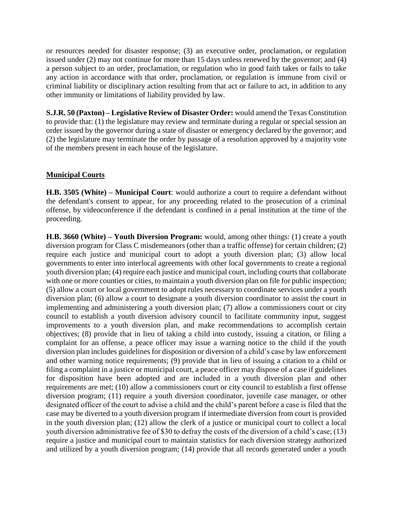or resources needed for disaster response; (3) an executive order, proclamation, or regulation issued under (2) may not continue for more than 15 days unless renewed by the governor; and (4) a person subject to an order, proclamation, or regulation who in good faith takes or fails to take any action in accordance with that order, proclamation, or regulation is immune from civil or criminal liability or disciplinary action resulting from that act or failure to act, in addition to any other immunity or limitations of liability provided by law.

**S.J.R. 50 (Paxton) – Legislative Review of Disaster Order:** would amend the Texas Constitution to provide that: (1) the legislature may review and terminate during a regular or special session an order issued by the governor during a state of disaster or emergency declared by the governor; and (2) the legislature may terminate the order by passage of a resolution approved by a majority vote of the members present in each house of the legislature.

#### **Municipal Courts**

**H.B. 3505 (White) – Municipal Court**: would authorize a court to require a defendant without the defendant's consent to appear, for any proceeding related to the prosecution of a criminal offense, by videoconference if the defendant is confined in a penal institution at the time of the proceeding.

**H.B. 3660 (White) – Youth Diversion Program:** would, among other things: (1) create a youth diversion program for Class C misdemeanors (other than a traffic offense) for certain children; (2) require each justice and municipal court to adopt a youth diversion plan; (3) allow local governments to enter into interlocal agreements with other local governments to create a regional youth diversion plan; (4) require each justice and municipal court, including courts that collaborate with one or more counties or cities, to maintain a youth diversion plan on file for public inspection; (5) allow a court or local government to adopt rules necessary to coordinate services under a youth diversion plan; (6) allow a court to designate a youth diversion coordinator to assist the court in implementing and administering a youth diversion plan; (7) allow a commissioners court or city council to establish a youth diversion advisory council to facilitate community input, suggest improvements to a youth diversion plan, and make recommendations to accomplish certain objectives; (8) provide that in lieu of taking a child into custody, issuing a citation, or filing a complaint for an offense, a peace officer may issue a warning notice to the child if the youth diversion plan includes guidelines for disposition or diversion of a child's case by law enforcement and other warning notice requirements; (9) provide that in lieu of issuing a citation to a child or filing a complaint in a justice or municipal court, a peace officer may dispose of a case if guidelines for disposition have been adopted and are included in a youth diversion plan and other requirements are met; (10) allow a commissioners court or city council to establish a first offense diversion program; (11) require a youth diversion coordinator, juvenile case manager, or other designated officer of the court to advise a child and the child's parent before a case is filed that the case may be diverted to a youth diversion program if intermediate diversion from court is provided in the youth diversion plan; (12) allow the clerk of a justice or municipal court to collect a local youth diversion administrative fee of \$30 to defray the costs of the diversion of a child's case; (13) require a justice and municipal court to maintain statistics for each diversion strategy authorized and utilized by a youth diversion program; (14) provide that all records generated under a youth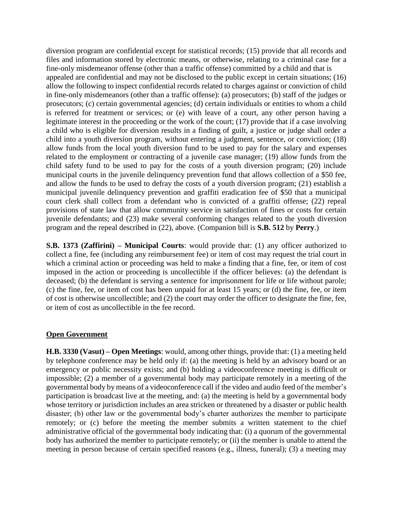diversion program are confidential except for statistical records; (15) provide that all records and files and information stored by electronic means, or otherwise, relating to a criminal case for a fine-only misdemeanor offense (other than a traffic offense) committed by a child and that is appealed are confidential and may not be disclosed to the public except in certain situations; (16) allow the following to inspect confidential records related to charges against or conviction of child in fine-only misdemeanors (other than a traffic offense): (a) prosecutors; (b) staff of the judges or prosecutors; (c) certain governmental agencies; (d) certain individuals or entities to whom a child is referred for treatment or services; or (e) with leave of a court, any other person having a legitimate interest in the proceeding or the work of the court; (17) provide that if a case involving a child who is eligible for diversion results in a finding of guilt, a justice or judge shall order a child into a youth diversion program, without entering a judgment, sentence, or conviction; (18) allow funds from the local youth diversion fund to be used to pay for the salary and expenses related to the employment or contracting of a juvenile case manager; (19) allow funds from the child safety fund to be used to pay for the costs of a youth diversion program; (20) include municipal courts in the juvenile delinquency prevention fund that allows collection of a \$50 fee, and allow the funds to be used to defray the costs of a youth diversion program; (21) establish a municipal juvenile delinquency prevention and graffiti eradication fee of \$50 that a municipal court clerk shall collect from a defendant who is convicted of a graffiti offense; (22) repeal provisions of state law that allow community service in satisfaction of fines or costs for certain juvenile defendants; and (23) make several conforming changes related to the youth diversion program and the repeal described in (22), above. (Companion bill is **S.B. 512** by **Perry**.)

**S.B. 1373 (Zaffirini) – Municipal Courts**: would provide that: (1) any officer authorized to collect a fine, fee (including any reimbursement fee) or item of cost may request the trial court in which a criminal action or proceeding was held to make a finding that a fine, fee, or item of cost imposed in the action or proceeding is uncollectible if the officer believes: (a) the defendant is deceased; (b) the defendant is serving a sentence for imprisonment for life or life without parole; (c) the fine, fee, or item of cost has been unpaid for at least 15 years; or (d) the fine, fee, or item of cost is otherwise uncollectible; and (2) the court may order the officer to designate the fine, fee, or item of cost as uncollectible in the fee record.

#### **Open Government**

**H.B. 3330 (Vasut) – Open Meetings**: would, among other things, provide that: (1) a meeting held by telephone conference may be held only if: (a) the meeting is held by an advisory board or an emergency or public necessity exists; and (b) holding a videoconference meeting is difficult or impossible; (2) a member of a governmental body may participate remotely in a meeting of the governmental body by means of a videoconference call if the video and audio feed of the member's participation is broadcast live at the meeting, and: (a) the meeting is held by a governmental body whose territory or jurisdiction includes an area stricken or threatened by a disaster or public health disaster; (b) other law or the governmental body's charter authorizes the member to participate remotely; or (c) before the meeting the member submits a written statement to the chief administrative official of the governmental body indicating that: (i) a quorum of the governmental body has authorized the member to participate remotely; or (ii) the member is unable to attend the meeting in person because of certain specified reasons (e.g., illness, funeral); (3) a meeting may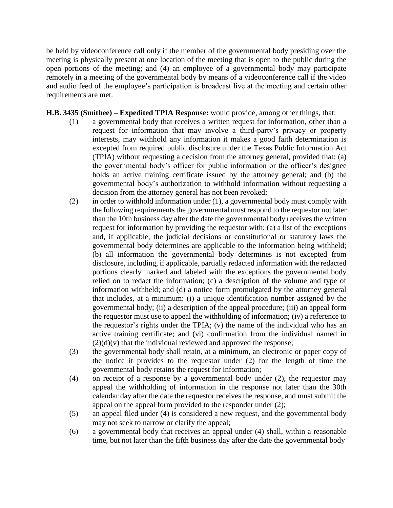be held by videoconference call only if the member of the governmental body presiding over the meeting is physically present at one location of the meeting that is open to the public during the open portions of the meeting; and (4) an employee of a governmental body may participate remotely in a meeting of the governmental body by means of a videoconference call if the video and audio feed of the employee's participation is broadcast live at the meeting and certain other requirements are met.

#### **H.B. 3435 (Smithee) – Expedited TPIA Response:** would provide, among other things, that:

- (1) a governmental body that receives a written request for information, other than a request for information that may involve a third-party's privacy or property interests, may withhold any information it makes a good faith determination is excepted from required public disclosure under the Texas Public Information Act (TPIA) without requesting a decision from the attorney general, provided that: (a) the governmental body's officer for public information or the officer's designee holds an active training certificate issued by the attorney general; and (b) the governmental body's authorization to withhold information without requesting a decision from the attorney general has not been revoked;
- (2) in order to withhold information under (1), a governmental body must comply with the following requirements the governmental must respond to the requestor not later than the 10th business day after the date the governmental body receives the written request for information by providing the requestor with: (a) a list of the exceptions and, if applicable, the judicial decisions or constitutional or statutory laws the governmental body determines are applicable to the information being withheld; (b) all information the governmental body determines is not excepted from disclosure, including, if applicable, partially redacted information with the redacted portions clearly marked and labeled with the exceptions the governmental body relied on to redact the information; (c) a description of the volume and type of information withheld; and (d) a notice form promulgated by the attorney general that includes, at a minimum: (i) a unique identification number assigned by the governmental body; (ii) a description of the appeal procedure; (iii) an appeal form the requestor must use to appeal the withholding of information; (iv) a reference to the requestor's rights under the TPIA; (v) the name of the individual who has an active training certificate; and (vi) confirmation from the individual named in  $(2)(d)(v)$  that the individual reviewed and approved the response;
- (3) the governmental body shall retain, at a minimum, an electronic or paper copy of the notice it provides to the requestor under (2) for the length of time the governmental body retains the request for information;
- (4) on receipt of a response by a governmental body under (2), the requestor may appeal the withholding of information in the response not later than the 30th calendar day after the date the requestor receives the response, and must submit the appeal on the appeal form provided to the responder under (2);
- (5) an appeal filed under (4) is considered a new request, and the governmental body may not seek to narrow or clarify the appeal;
- (6) a governmental body that receives an appeal under (4) shall, within a reasonable time, but not later than the fifth business day after the date the governmental body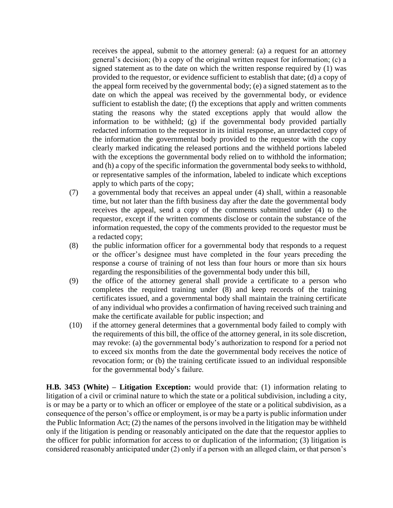receives the appeal, submit to the attorney general: (a) a request for an attorney general's decision; (b) a copy of the original written request for information; (c) a signed statement as to the date on which the written response required by (1) was provided to the requestor, or evidence sufficient to establish that date; (d) a copy of the appeal form received by the governmental body; (e) a signed statement as to the date on which the appeal was received by the governmental body, or evidence sufficient to establish the date; (f) the exceptions that apply and written comments stating the reasons why the stated exceptions apply that would allow the information to be withheld; (g) if the governmental body provided partially redacted information to the requestor in its initial response, an unredacted copy of the information the governmental body provided to the requestor with the copy clearly marked indicating the released portions and the withheld portions labeled with the exceptions the governmental body relied on to withhold the information; and (h) a copy of the specific information the governmental body seeks to withhold, or representative samples of the information, labeled to indicate which exceptions apply to which parts of the copy;

- (7) a governmental body that receives an appeal under (4) shall, within a reasonable time, but not later than the fifth business day after the date the governmental body receives the appeal, send a copy of the comments submitted under (4) to the requestor, except if the written comments disclose or contain the substance of the information requested, the copy of the comments provided to the requestor must be a redacted copy;
- (8) the public information officer for a governmental body that responds to a request or the officer's designee must have completed in the four years preceding the response a course of training of not less than four hours or more than six hours regarding the responsibilities of the governmental body under this bill,
- (9) the office of the attorney general shall provide a certificate to a person who completes the required training under (8) and keep records of the training certificates issued, and a governmental body shall maintain the training certificate of any individual who provides a confirmation of having received such training and make the certificate available for public inspection; and
- (10) if the attorney general determines that a governmental body failed to comply with the requirements of this bill, the office of the attorney general, in its sole discretion, may revoke: (a) the governmental body's authorization to respond for a period not to exceed six months from the date the governmental body receives the notice of revocation form; or (b) the training certificate issued to an individual responsible for the governmental body's failure.

**H.B. 3453 (White) – Litigation Exception:** would provide that: (1) information relating to litigation of a civil or criminal nature to which the state or a political subdivision, including a city, is or may be a party or to which an officer or employee of the state or a political subdivision, as a consequence of the person's office or employment, is or may be a party is public information under the Public Information Act; (2) the names of the persons involved in the litigation may be withheld only if the litigation is pending or reasonably anticipated on the date that the requestor applies to the officer for public information for access to or duplication of the information; (3) litigation is considered reasonably anticipated under (2) only if a person with an alleged claim, or that person's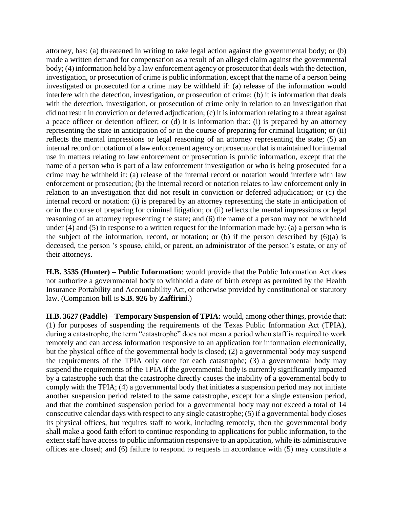attorney, has: (a) threatened in writing to take legal action against the governmental body; or (b) made a written demand for compensation as a result of an alleged claim against the governmental body; (4) information held by a law enforcement agency or prosecutor that deals with the detection, investigation, or prosecution of crime is public information, except that the name of a person being investigated or prosecuted for a crime may be withheld if: (a) release of the information would interfere with the detection, investigation, or prosecution of crime; (b) it is information that deals with the detection, investigation, or prosecution of crime only in relation to an investigation that did not result in conviction or deferred adjudication; (c) it is information relating to a threat against a peace officer or detention officer; or (d) it is information that: (i) is prepared by an attorney representing the state in anticipation of or in the course of preparing for criminal litigation; or (ii) reflects the mental impressions or legal reasoning of an attorney representing the state; (5) an internal record or notation of a law enforcement agency or prosecutor that is maintained for internal use in matters relating to law enforcement or prosecution is public information, except that the name of a person who is part of a law enforcement investigation or who is being prosecuted for a crime may be withheld if: (a) release of the internal record or notation would interfere with law enforcement or prosecution; (b) the internal record or notation relates to law enforcement only in relation to an investigation that did not result in conviction or deferred adjudication; or (c) the internal record or notation: (i) is prepared by an attorney representing the state in anticipation of or in the course of preparing for criminal litigation; or (ii) reflects the mental impressions or legal reasoning of an attorney representing the state; and (6) the name of a person may not be withheld under (4) and (5) in response to a written request for the information made by: (a) a person who is the subject of the information, record, or notation; or (b) if the person described by  $(6)(a)$  is deceased, the person 's spouse, child, or parent, an administrator of the person's estate, or any of their attorneys.

**H.B. 3535 (Hunter) – Public Information**: would provide that the Public Information Act does not authorize a governmental body to withhold a date of birth except as permitted by the Health Insurance Portability and Accountability Act, or otherwise provided by constitutional or statutory law. (Companion bill is **S.B. 926** by **Zaffirini**.)

**H.B. 3627 (Paddle) – Temporary Suspension of TPIA:** would, among other things, provide that: (1) for purposes of suspending the requirements of the Texas Public Information Act (TPIA), during a catastrophe, the term "catastrophe" does not mean a period when staff is required to work remotely and can access information responsive to an application for information electronically, but the physical office of the governmental body is closed; (2) a governmental body may suspend the requirements of the TPIA only once for each catastrophe; (3) a governmental body may suspend the requirements of the TPIA if the governmental body is currently significantly impacted by a catastrophe such that the catastrophe directly causes the inability of a governmental body to comply with the TPIA; (4) a governmental body that initiates a suspension period may not initiate another suspension period related to the same catastrophe, except for a single extension period, and that the combined suspension period for a governmental body may not exceed a total of 14 consecutive calendar days with respect to any single catastrophe; (5) if a governmental body closes its physical offices, but requires staff to work, including remotely, then the governmental body shall make a good faith effort to continue responding to applications for public information, to the extent staff have access to public information responsive to an application, while its administrative offices are closed; and (6) failure to respond to requests in accordance with (5) may constitute a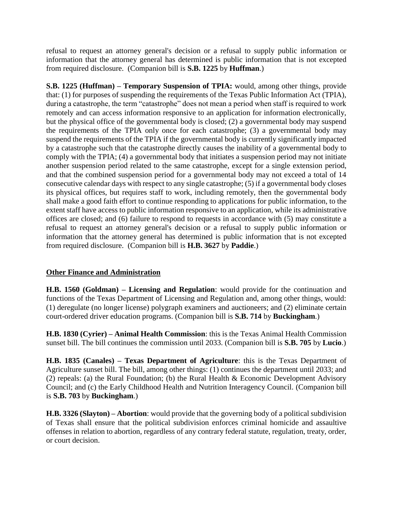refusal to request an attorney general's decision or a refusal to supply public information or information that the attorney general has determined is public information that is not excepted from required disclosure. (Companion bill is **S.B. 1225** by **Huffman**.)

**S.B. 1225 (Huffman) – Temporary Suspension of TPIA:** would, among other things, provide that: (1) for purposes of suspending the requirements of the Texas Public Information Act (TPIA), during a catastrophe, the term "catastrophe" does not mean a period when staff is required to work remotely and can access information responsive to an application for information electronically, but the physical office of the governmental body is closed; (2) a governmental body may suspend the requirements of the TPIA only once for each catastrophe; (3) a governmental body may suspend the requirements of the TPIA if the governmental body is currently significantly impacted by a catastrophe such that the catastrophe directly causes the inability of a governmental body to comply with the TPIA; (4) a governmental body that initiates a suspension period may not initiate another suspension period related to the same catastrophe, except for a single extension period, and that the combined suspension period for a governmental body may not exceed a total of 14 consecutive calendar days with respect to any single catastrophe; (5) if a governmental body closes its physical offices, but requires staff to work, including remotely, then the governmental body shall make a good faith effort to continue responding to applications for public information, to the extent staff have access to public information responsive to an application, while its administrative offices are closed; and (6) failure to respond to requests in accordance with (5) may constitute a refusal to request an attorney general's decision or a refusal to supply public information or information that the attorney general has determined is public information that is not excepted from required disclosure. (Companion bill is **H.B. 3627** by **Paddie**.)

# **Other Finance and Administration**

**H.B. 1560 (Goldman) – Licensing and Regulation**: would provide for the continuation and functions of the Texas Department of Licensing and Regulation and, among other things, would: (1) deregulate (no longer license) polygraph examiners and auctioneers; and (2) eliminate certain court-ordered driver education programs. (Companion bill is **S.B. 714** by **Buckingham**.)

**H.B. 1830 (Cyrier) – Animal Health Commission**: this is the Texas Animal Health Commission sunset bill. The bill continues the commission until 2033. (Companion bill is **S.B. 705** by **Lucio**.)

**H.B. 1835 (Canales) – Texas Department of Agriculture**: this is the Texas Department of Agriculture sunset bill. The bill, among other things: (1) continues the department until 2033; and (2) repeals: (a) the Rural Foundation; (b) the Rural Health & Economic Development Advisory Council; and (c) the Early Childhood Health and Nutrition Interagency Council. (Companion bill is **S.B. 703** by **Buckingham**.)

**H.B. 3326 (Slayton) – Abortion**: would provide that the governing body of a political subdivision of Texas shall ensure that the political subdivision enforces criminal homicide and assaultive offenses in relation to abortion, regardless of any contrary federal statute, regulation, treaty, order, or court decision.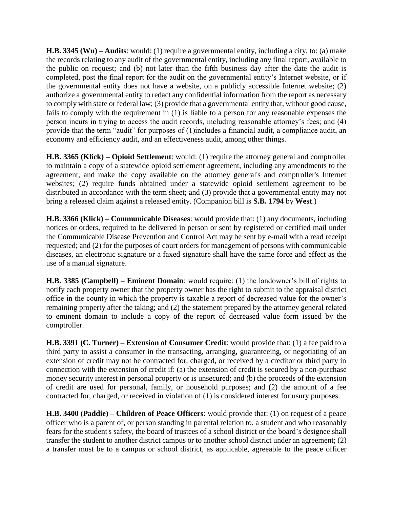**H.B. 3345 (Wu) – Audits**: would: (1) require a governmental entity, including a city, to: (a) make the records relating to any audit of the governmental entity, including any final report, available to the public on request; and (b) not later than the fifth business day after the date the audit is completed, post the final report for the audit on the governmental entity's Internet website, or if the governmental entity does not have a website, on a publicly accessible Internet website; (2) authorize a governmental entity to redact any confidential information from the report as necessary to comply with state or federal law; (3) provide that a governmental entity that, without good cause, fails to comply with the requirement in (1) is liable to a person for any reasonable expenses the person incurs in trying to access the audit records, including reasonable attorney's fees; and (4) provide that the term "audit" for purposes of (1)includes a financial audit, a compliance audit, an economy and efficiency audit, and an effectiveness audit, among other things.

**H.B. 3365 (Klick) – Opioid Settlement**: would: (1) require the attorney general and comptroller to maintain a copy of a statewide opioid settlement agreement, including any amendments to the agreement, and make the copy available on the attorney general's and comptroller's Internet websites; (2) require funds obtained under a statewide opioid settlement agreement to be distributed in accordance with the term sheet; and (3) provide that a governmental entity may not bring a released claim against a released entity. (Companion bill is **S.B. 1794** by **West**.)

**H.B. 3366 (Klick) – Communicable Diseases**: would provide that: (1) any documents, including notices or orders, required to be delivered in person or sent by registered or certified mail under the Communicable Disease Prevention and Control Act may be sent by e-mail with a read receipt requested; and (2) for the purposes of court orders for management of persons with communicable diseases, an electronic signature or a faxed signature shall have the same force and effect as the use of a manual signature.

**H.B. 3385 (Campbell) – Eminent Domain**: would require: (1) the landowner's bill of rights to notify each property owner that the property owner has the right to submit to the appraisal district office in the county in which the property is taxable a report of decreased value for the owner's remaining property after the taking; and (2) the statement prepared by the attorney general related to eminent domain to include a copy of the report of decreased value form issued by the comptroller.

**H.B. 3391 (C. Turner) – Extension of Consumer Credit**: would provide that: (1) a fee paid to a third party to assist a consumer in the transacting, arranging, guaranteeing, or negotiating of an extension of credit may not be contracted for, charged, or received by a creditor or third party in connection with the extension of credit if: (a) the extension of credit is secured by a non-purchase money security interest in personal property or is unsecured; and (b) the proceeds of the extension of credit are used for personal, family, or household purposes; and (2) the amount of a fee contracted for, charged, or received in violation of (1) is considered interest for usury purposes.

**H.B. 3400 (Paddie) – Children of Peace Officers**: would provide that: (1) on request of a peace officer who is a parent of, or person standing in parental relation to, a student and who reasonably fears for the student's safety, the board of trustees of a school district or the board's designee shall transfer the student to another district campus or to another school district under an agreement; (2) a transfer must be to a campus or school district, as applicable, agreeable to the peace officer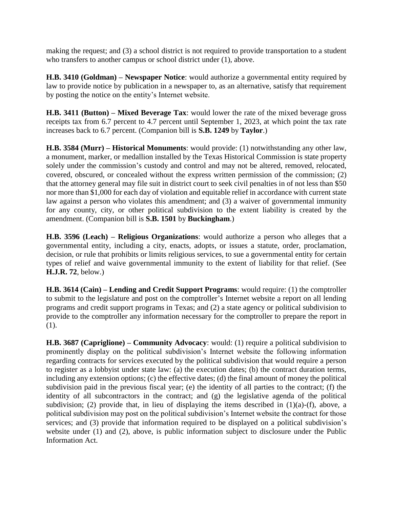making the request; and (3) a school district is not required to provide transportation to a student who transfers to another campus or school district under (1), above.

**H.B. 3410 (Goldman) – Newspaper Notice**: would authorize a governmental entity required by law to provide notice by publication in a newspaper to, as an alternative, satisfy that requirement by posting the notice on the entity's Internet website.

**H.B. 3411 (Button) – Mixed Beverage Tax**: would lower the rate of the mixed beverage gross receipts tax from 6.7 percent to 4.7 percent until September 1, 2023, at which point the tax rate increases back to 6.7 percent. (Companion bill is **S.B. 1249** by **Taylor**.)

**H.B. 3584 (Murr) – Historical Monuments**: would provide: (1) notwithstanding any other law, a monument, marker, or medallion installed by the Texas Historical Commission is state property solely under the commission's custody and control and may not be altered, removed, relocated, covered, obscured, or concealed without the express written permission of the commission; (2) that the attorney general may file suit in district court to seek civil penalties in of not less than \$50 nor more than \$1,000 for each day of violation and equitable relief in accordance with current state law against a person who violates this amendment; and (3) a waiver of governmental immunity for any county, city, or other political subdivision to the extent liability is created by the amendment. (Companion bill is **S.B. 1501** by **Buckingham**.)

**H.B. 3596 (Leach) – Religious Organizations**: would authorize a person who alleges that a governmental entity, including a city, enacts, adopts, or issues a statute, order, proclamation, decision, or rule that prohibits or limits religious services, to sue a governmental entity for certain types of relief and waive governmental immunity to the extent of liability for that relief. (See **H.J.R. 72**, below.)

**H.B. 3614 (Cain) – Lending and Credit Support Programs**: would require: (1) the comptroller to submit to the legislature and post on the comptroller's Internet website a report on all lending programs and credit support programs in Texas; and (2) a state agency or political subdivision to provide to the comptroller any information necessary for the comptroller to prepare the report in (1).

**H.B. 3687 (Capriglione) – Community Advocacy**: would: (1) require a political subdivision to prominently display on the political subdivision's Internet website the following information regarding contracts for services executed by the political subdivision that would require a person to register as a lobbyist under state law: (a) the execution dates; (b) the contract duration terms, including any extension options; (c) the effective dates; (d) the final amount of money the political subdivision paid in the previous fiscal year; (e) the identity of all parties to the contract; (f) the identity of all subcontractors in the contract; and (g) the legislative agenda of the political subdivision; (2) provide that, in lieu of displaying the items described in  $(1)(a)-(f)$ , above, a political subdivision may post on the political subdivision's Internet website the contract for those services; and (3) provide that information required to be displayed on a political subdivision's website under (1) and (2), above, is public information subject to disclosure under the Public Information Act.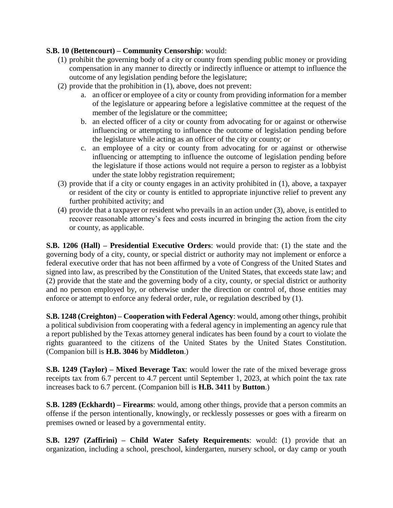## **S.B. 10 (Bettencourt) – Community Censorship**: would:

- (1) prohibit the governing body of a city or county from spending public money or providing compensation in any manner to directly or indirectly influence or attempt to influence the outcome of any legislation pending before the legislature;
- (2) provide that the prohibition in (1), above, does not prevent:
	- a. an officer or employee of a city or county from providing information for a member of the legislature or appearing before a legislative committee at the request of the member of the legislature or the committee;
	- b. an elected officer of a city or county from advocating for or against or otherwise influencing or attempting to influence the outcome of legislation pending before the legislature while acting as an officer of the city or county; or
	- c. an employee of a city or county from advocating for or against or otherwise influencing or attempting to influence the outcome of legislation pending before the legislature if those actions would not require a person to register as a lobbyist under the state lobby registration requirement;
- (3) provide that if a city or county engages in an activity prohibited in (1), above, a taxpayer or resident of the city or county is entitled to appropriate injunctive relief to prevent any further prohibited activity; and
- (4) provide that a taxpayer or resident who prevails in an action under (3), above, is entitled to recover reasonable attorney's fees and costs incurred in bringing the action from the city or county, as applicable.

**S.B. 1206 (Hall) – Presidential Executive Orders**: would provide that: (1) the state and the governing body of a city, county, or special district or authority may not implement or enforce a federal executive order that has not been affirmed by a vote of Congress of the United States and signed into law, as prescribed by the Constitution of the United States, that exceeds state law; and (2) provide that the state and the governing body of a city, county, or special district or authority and no person employed by, or otherwise under the direction or control of, those entities may enforce or attempt to enforce any federal order, rule, or regulation described by (1).

**S.B. 1248 (Creighton) – Cooperation with Federal Agency**: would, among other things, prohibit a political subdivision from cooperating with a federal agency in implementing an agency rule that a report published by the Texas attorney general indicates has been found by a court to violate the rights guaranteed to the citizens of the United States by the United States Constitution. (Companion bill is **H.B. 3046** by **Middleton**.)

**S.B. 1249 (Taylor) – Mixed Beverage Tax**: would lower the rate of the mixed beverage gross receipts tax from 6.7 percent to 4.7 percent until September 1, 2023, at which point the tax rate increases back to 6.7 percent. (Companion bill is **H.B. 3411** by **Button**.)

**S.B. 1289 (Eckhardt) – Firearms**: would, among other things, provide that a person commits an offense if the person intentionally, knowingly, or recklessly possesses or goes with a firearm on premises owned or leased by a governmental entity.

**S.B. 1297 (Zaffirini) – Child Water Safety Requirements**: would: (1) provide that an organization, including a school, preschool, kindergarten, nursery school, or day camp or youth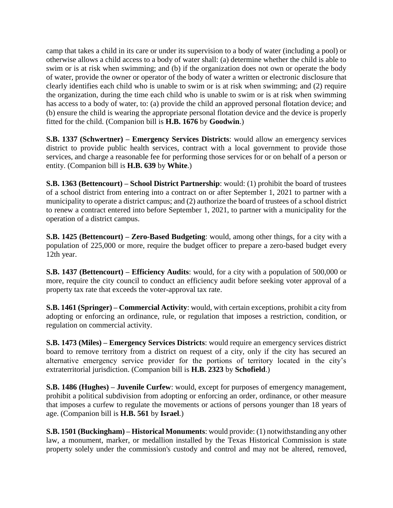camp that takes a child in its care or under its supervision to a body of water (including a pool) or otherwise allows a child access to a body of water shall: (a) determine whether the child is able to swim or is at risk when swimming; and (b) if the organization does not own or operate the body of water, provide the owner or operator of the body of water a written or electronic disclosure that clearly identifies each child who is unable to swim or is at risk when swimming; and (2) require the organization, during the time each child who is unable to swim or is at risk when swimming has access to a body of water, to: (a) provide the child an approved personal flotation device; and (b) ensure the child is wearing the appropriate personal flotation device and the device is properly fitted for the child. (Companion bill is **H.B. 1676** by **Goodwin**.)

**S.B. 1337 (Schwertner) – Emergency Services Districts**: would allow an emergency services district to provide public health services, contract with a local government to provide those services, and charge a reasonable fee for performing those services for or on behalf of a person or entity. (Companion bill is **H.B. 639** by **White**.)

**S.B. 1363 (Bettencourt) – School District Partnership**: would: (1) prohibit the board of trustees of a school district from entering into a contract on or after September 1, 2021 to partner with a municipality to operate a district campus; and (2) authorize the board of trustees of a school district to renew a contract entered into before September 1, 2021, to partner with a municipality for the operation of a district campus.

**S.B. 1425 (Bettencourt) – Zero-Based Budgeting**: would, among other things, for a city with a population of 225,000 or more, require the budget officer to prepare a zero-based budget every 12th year.

**S.B. 1437 (Bettencourt) – Efficiency Audits**: would, for a city with a population of 500,000 or more, require the city council to conduct an efficiency audit before seeking voter approval of a property tax rate that exceeds the voter-approval tax rate.

**S.B. 1461 (Springer) – Commercial Activity**: would, with certain exceptions, prohibit a city from adopting or enforcing an ordinance, rule, or regulation that imposes a restriction, condition, or regulation on commercial activity.

**S.B. 1473 (Miles) – Emergency Services Districts**: would require an emergency services district board to remove territory from a district on request of a city, only if the city has secured an alternative emergency service provider for the portions of territory located in the city's extraterritorial jurisdiction. (Companion bill is **H.B. 2323** by **Schofield**.)

**S.B. 1486 (Hughes) – Juvenile Curfew**: would, except for purposes of emergency management, prohibit a political subdivision from adopting or enforcing an order, ordinance, or other measure that imposes a curfew to regulate the movements or actions of persons younger than 18 years of age. (Companion bill is **H.B. 561** by **Israel**.)

**S.B. 1501 (Buckingham) – Historical Monuments**: would provide: (1) notwithstanding any other law, a monument, marker, or medallion installed by the Texas Historical Commission is state property solely under the commission's custody and control and may not be altered, removed,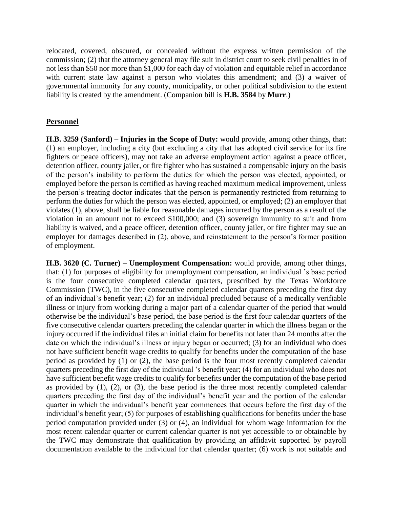relocated, covered, obscured, or concealed without the express written permission of the commission; (2) that the attorney general may file suit in district court to seek civil penalties in of not less than \$50 nor more than \$1,000 for each day of violation and equitable relief in accordance with current state law against a person who violates this amendment; and (3) a waiver of governmental immunity for any county, municipality, or other political subdivision to the extent liability is created by the amendment. (Companion bill is **H.B. 3584** by **Murr**.)

#### **Personnel**

**H.B. 3259 (Sanford) – Injuries in the Scope of Duty:** would provide, among other things, that: (1) an employer, including a city (but excluding a city that has adopted civil service for its fire fighters or peace officers), may not take an adverse employment action against a peace officer, detention officer, county jailer, or fire fighter who has sustained a compensable injury on the basis of the person's inability to perform the duties for which the person was elected, appointed, or employed before the person is certified as having reached maximum medical improvement, unless the person's treating doctor indicates that the person is permanently restricted from returning to perform the duties for which the person was elected, appointed, or employed; (2) an employer that violates (1), above, shall be liable for reasonable damages incurred by the person as a result of the violation in an amount not to exceed \$100,000; and (3) sovereign immunity to suit and from liability is waived, and a peace officer, detention officer, county jailer, or fire fighter may sue an employer for damages described in (2), above, and reinstatement to the person's former position of employment.

**H.B. 3620 (C. Turner) – Unemployment Compensation:** would provide, among other things, that: (1) for purposes of eligibility for unemployment compensation, an individual 's base period is the four consecutive completed calendar quarters, prescribed by the Texas Workforce Commission (TWC), in the five consecutive completed calendar quarters preceding the first day of an individual's benefit year; (2) for an individual precluded because of a medically verifiable illness or injury from working during a major part of a calendar quarter of the period that would otherwise be the individual's base period, the base period is the first four calendar quarters of the five consecutive calendar quarters preceding the calendar quarter in which the illness began or the injury occurred if the individual files an initial claim for benefits not later than 24 months after the date on which the individual's illness or injury began or occurred; (3) for an individual who does not have sufficient benefit wage credits to qualify for benefits under the computation of the base period as provided by (1) or (2), the base period is the four most recently completed calendar quarters preceding the first day of the individual 's benefit year; (4) for an individual who does not have sufficient benefit wage credits to qualify for benefits under the computation of the base period as provided by  $(1)$ ,  $(2)$ , or  $(3)$ , the base period is the three most recently completed calendar quarters preceding the first day of the individual's benefit year and the portion of the calendar quarter in which the individual's benefit year commences that occurs before the first day of the individual's benefit year; (5) for purposes of establishing qualifications for benefits under the base period computation provided under (3) or (4), an individual for whom wage information for the most recent calendar quarter or current calendar quarter is not yet accessible to or obtainable by the TWC may demonstrate that qualification by providing an affidavit supported by payroll documentation available to the individual for that calendar quarter; (6) work is not suitable and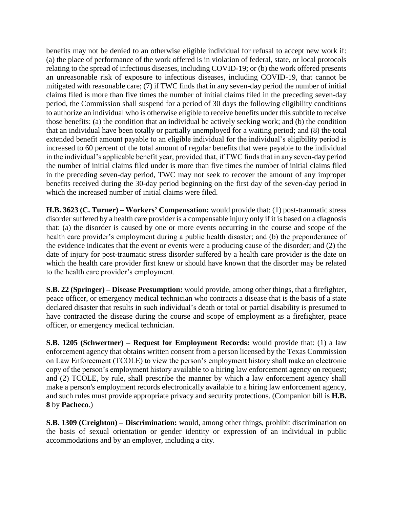benefits may not be denied to an otherwise eligible individual for refusal to accept new work if: (a) the place of performance of the work offered is in violation of federal, state, or local protocols relating to the spread of infectious diseases, including COVID-19; or (b) the work offered presents an unreasonable risk of exposure to infectious diseases, including COVID-19, that cannot be mitigated with reasonable care; (7) if TWC finds that in any seven-day period the number of initial claims filed is more than five times the number of initial claims filed in the preceding seven-day period, the Commission shall suspend for a period of 30 days the following eligibility conditions to authorize an individual who is otherwise eligible to receive benefits under this subtitle to receive those benefits: (a) the condition that an individual be actively seeking work; and (b) the condition that an individual have been totally or partially unemployed for a waiting period; and (8) the total extended benefit amount payable to an eligible individual for the individual's eligibility period is increased to 60 percent of the total amount of regular benefits that were payable to the individual in the individual's applicable benefit year, provided that, if TWC finds that in any seven-day period the number of initial claims filed under is more than five times the number of initial claims filed in the preceding seven-day period, TWC may not seek to recover the amount of any improper benefits received during the 30-day period beginning on the first day of the seven-day period in which the increased number of initial claims were filed.

**H.B. 3623 (C. Turner) – Workers' Compensation:** would provide that: (1) post-traumatic stress disorder suffered by a health care provider is a compensable injury only if it is based on a diagnosis that: (a) the disorder is caused by one or more events occurring in the course and scope of the health care provider's employment during a public health disaster; and (b) the preponderance of the evidence indicates that the event or events were a producing cause of the disorder; and (2) the date of injury for post-traumatic stress disorder suffered by a health care provider is the date on which the health care provider first knew or should have known that the disorder may be related to the health care provider's employment.

**S.B. 22 (Springer) – Disease Presumption:** would provide, among other things, that a firefighter, peace officer, or emergency medical technician who contracts a disease that is the basis of a state declared disaster that results in such individual's death or total or partial disability is presumed to have contracted the disease during the course and scope of employment as a firefighter, peace officer, or emergency medical technician.

**S.B. 1205 (Schwertner) – Request for Employment Records:** would provide that: (1) a law enforcement agency that obtains written consent from a person licensed by the Texas Commission on Law Enforcement (TCOLE) to view the person's employment history shall make an electronic copy of the person's employment history available to a hiring law enforcement agency on request; and (2) TCOLE, by rule, shall prescribe the manner by which a law enforcement agency shall make a person's employment records electronically available to a hiring law enforcement agency, and such rules must provide appropriate privacy and security protections. (Companion bill is **H.B. 8** by **Pacheco**.)

**S.B. 1309 (Creighton) – Discrimination:** would, among other things, prohibit discrimination on the basis of sexual orientation or gender identity or expression of an individual in public accommodations and by an employer, including a city.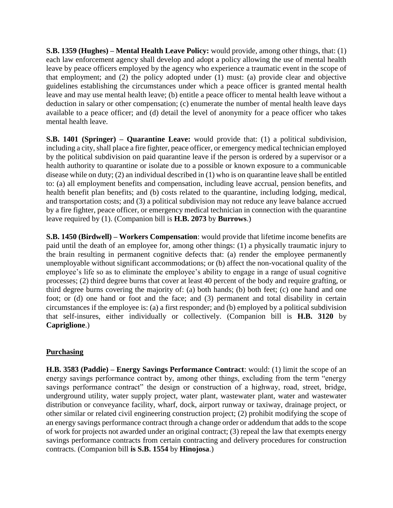**S.B. 1359 (Hughes) – Mental Health Leave Policy:** would provide, among other things, that: (1) each law enforcement agency shall develop and adopt a policy allowing the use of mental health leave by peace officers employed by the agency who experience a traumatic event in the scope of that employment; and (2) the policy adopted under (1) must: (a) provide clear and objective guidelines establishing the circumstances under which a peace officer is granted mental health leave and may use mental health leave; (b) entitle a peace officer to mental health leave without a deduction in salary or other compensation; (c) enumerate the number of mental health leave days available to a peace officer; and (d) detail the level of anonymity for a peace officer who takes mental health leave.

**S.B. 1401 (Springer) – Quarantine Leave:** would provide that: (1) a political subdivision, including a city, shall place a fire fighter, peace officer, or emergency medical technician employed by the political subdivision on paid quarantine leave if the person is ordered by a supervisor or a health authority to quarantine or isolate due to a possible or known exposure to a communicable disease while on duty; (2) an individual described in (1) who is on quarantine leave shall be entitled to: (a) all employment benefits and compensation, including leave accrual, pension benefits, and health benefit plan benefits; and (b) costs related to the quarantine, including lodging, medical, and transportation costs; and (3) a political subdivision may not reduce any leave balance accrued by a fire fighter, peace officer, or emergency medical technician in connection with the quarantine leave required by (1). (Companion bill is **H.B. 2073** by **Burrows**.)

**S.B. 1450 (Birdwell) – Workers Compensation**: would provide that lifetime income benefits are paid until the death of an employee for, among other things: (1) a physically traumatic injury to the brain resulting in permanent cognitive defects that: (a) render the employee permanently unemployable without significant accommodations; or (b) affect the non-vocational quality of the employee's life so as to eliminate the employee's ability to engage in a range of usual cognitive processes; (2) third degree burns that cover at least 40 percent of the body and require grafting, or third degree burns covering the majority of: (a) both hands; (b) both feet; (c) one hand and one foot; or (d) one hand or foot and the face; and (3) permanent and total disability in certain circumstances if the employee is: (a) a first responder; and (b) employed by a political subdivision that self-insures, either individually or collectively. (Companion bill is **H.B. 3120** by **Capriglione**.)

## **Purchasing**

**H.B. 3583 (Paddie) – Energy Savings Performance Contract**: would: (1) limit the scope of an energy savings performance contract by, among other things, excluding from the term "energy savings performance contract" the design or construction of a highway, road, street, bridge, underground utility, water supply project, water plant, wastewater plant, water and wastewater distribution or conveyance facility, wharf, dock, airport runway or taxiway, drainage project, or other similar or related civil engineering construction project; (2) prohibit modifying the scope of an energy savings performance contract through a change order or addendum that adds to the scope of work for projects not awarded under an original contract; (3) repeal the law that exempts energy savings performance contracts from certain contracting and delivery procedures for construction contracts. (Companion bill **is S.B. 1554** by **Hinojosa**.)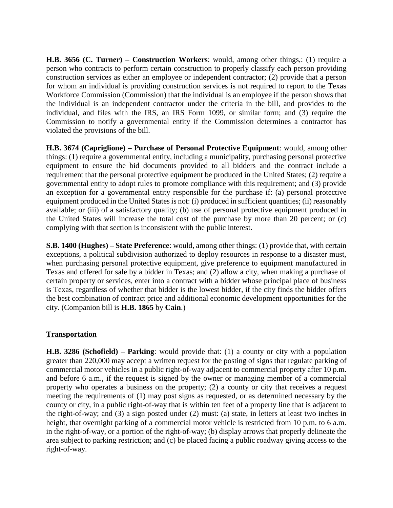**H.B. 3656 (C. Turner) – Construction Workers**: would, among other things,: (1) require a person who contracts to perform certain construction to properly classify each person providing construction services as either an employee or independent contractor; (2) provide that a person for whom an individual is providing construction services is not required to report to the Texas Workforce Commission (Commission) that the individual is an employee if the person shows that the individual is an independent contractor under the criteria in the bill, and provides to the individual, and files with the IRS, an IRS Form 1099, or similar form; and (3) require the Commission to notify a governmental entity if the Commission determines a contractor has violated the provisions of the bill.

**H.B. 3674 (Capriglione) – Purchase of Personal Protective Equipment**: would, among other things: (1) require a governmental entity, including a municipality, purchasing personal protective equipment to ensure the bid documents provided to all bidders and the contract include a requirement that the personal protective equipment be produced in the United States; (2) require a governmental entity to adopt rules to promote compliance with this requirement; and (3) provide an exception for a governmental entity responsible for the purchase if: (a) personal protective equipment produced in the United States is not: (i) produced in sufficient quantities; (ii) reasonably available; or (iii) of a satisfactory quality; (b) use of personal protective equipment produced in the United States will increase the total cost of the purchase by more than 20 percent; or (c) complying with that section is inconsistent with the public interest.

**S.B. 1400 (Hughes) – State Preference**: would, among other things: (1) provide that, with certain exceptions, a political subdivision authorized to deploy resources in response to a disaster must, when purchasing personal protective equipment, give preference to equipment manufactured in Texas and offered for sale by a bidder in Texas; and (2) allow a city, when making a purchase of certain property or services, enter into a contract with a bidder whose principal place of business is Texas, regardless of whether that bidder is the lowest bidder, if the city finds the bidder offers the best combination of contract price and additional economic development opportunities for the city. (Companion bill is **H.B. 1865** by **Cain**.)

## **Transportation**

**H.B. 3286 (Schofield) – Parking**: would provide that: (1) a county or city with a population greater than 220,000 may accept a written request for the posting of signs that regulate parking of commercial motor vehicles in a public right-of-way adjacent to commercial property after 10 p.m. and before 6 a.m., if the request is signed by the owner or managing member of a commercial property who operates a business on the property; (2) a county or city that receives a request meeting the requirements of (1) may post signs as requested, or as determined necessary by the county or city, in a public right-of-way that is within ten feet of a property line that is adjacent to the right-of-way; and (3) a sign posted under (2) must: (a) state, in letters at least two inches in height, that overnight parking of a commercial motor vehicle is restricted from 10 p.m. to 6 a.m. in the right-of-way, or a portion of the right-of-way; (b) display arrows that properly delineate the area subject to parking restriction; and (c) be placed facing a public roadway giving access to the right-of-way.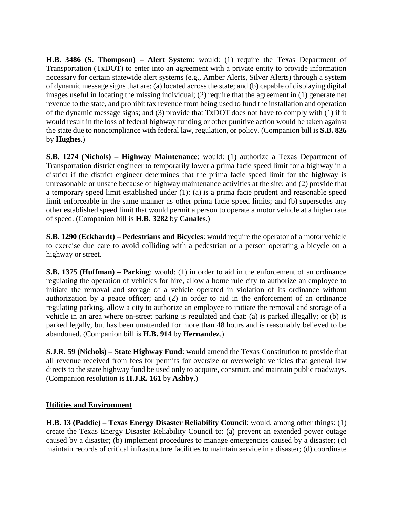**H.B. 3486 (S. Thompson) – Alert System**: would: (1) require the Texas Department of Transportation (TxDOT) to enter into an agreement with a private entity to provide information necessary for certain statewide alert systems (e.g., Amber Alerts, Silver Alerts) through a system of dynamic message signs that are: (a) located across the state; and (b) capable of displaying digital images useful in locating the missing individual; (2) require that the agreement in (1) generate net revenue to the state, and prohibit tax revenue from being used to fund the installation and operation of the dynamic message signs; and (3) provide that TxDOT does not have to comply with (1) if it would result in the loss of federal highway funding or other punitive action would be taken against the state due to noncompliance with federal law, regulation, or policy. (Companion bill is **S.B. 826** by **Hughes**.)

**S.B. 1274 (Nichols) – Highway Maintenance**: would: (1) authorize a Texas Department of Transportation district engineer to temporarily lower a prima facie speed limit for a highway in a district if the district engineer determines that the prima facie speed limit for the highway is unreasonable or unsafe because of highway maintenance activities at the site; and (2) provide that a temporary speed limit established under (1): (a) is a prima facie prudent and reasonable speed limit enforceable in the same manner as other prima facie speed limits; and (b) supersedes any other established speed limit that would permit a person to operate a motor vehicle at a higher rate of speed. (Companion bill is **H.B. 3282** by **Canales**.)

**S.B. 1290 (Eckhardt) – Pedestrians and Bicycles**: would require the operator of a motor vehicle to exercise due care to avoid colliding with a pedestrian or a person operating a bicycle on a highway or street.

**S.B. 1375 (Huffman) – Parking**: would: (1) in order to aid in the enforcement of an ordinance regulating the operation of vehicles for hire, allow a home rule city to authorize an employee to initiate the removal and storage of a vehicle operated in violation of its ordinance without authorization by a peace officer; and (2) in order to aid in the enforcement of an ordinance regulating parking, allow a city to authorize an employee to initiate the removal and storage of a vehicle in an area where on-street parking is regulated and that: (a) is parked illegally; or (b) is parked legally, but has been unattended for more than 48 hours and is reasonably believed to be abandoned. (Companion bill is **H.B. 914** by **Hernandez**.)

**S.J.R. 59 (Nichols) – State Highway Fund**: would amend the Texas Constitution to provide that all revenue received from fees for permits for oversize or overweight vehicles that general law directs to the state highway fund be used only to acquire, construct, and maintain public roadways. (Companion resolution is **H.J.R. 161** by **Ashby**.)

## **Utilities and Environment**

**H.B. 13 (Paddie) – Texas Energy Disaster Reliability Council**: would, among other things: (1) create the Texas Energy Disaster Reliability Council to: (a) prevent an extended power outage caused by a disaster; (b) implement procedures to manage emergencies caused by a disaster; (c) maintain records of critical infrastructure facilities to maintain service in a disaster; (d) coordinate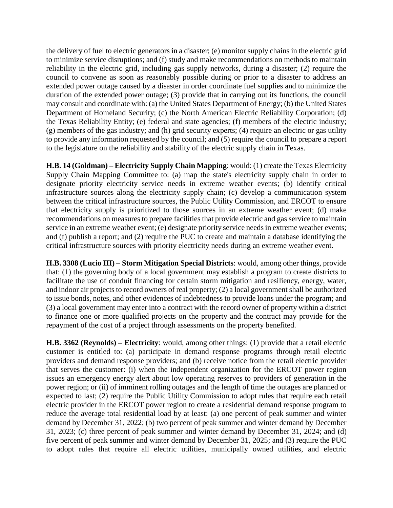the delivery of fuel to electric generators in a disaster; (e) monitor supply chains in the electric grid to minimize service disruptions; and (f) study and make recommendations on methods to maintain reliability in the electric grid, including gas supply networks, during a disaster; (2) require the council to convene as soon as reasonably possible during or prior to a disaster to address an extended power outage caused by a disaster in order coordinate fuel supplies and to minimize the duration of the extended power outage; (3) provide that in carrying out its functions, the council may consult and coordinate with: (a) the United States Department of Energy; (b) the United States Department of Homeland Security; (c) the North American Electric Reliability Corporation; (d) the Texas Reliability Entity; (e) federal and state agencies; (f) members of the electric industry; (g) members of the gas industry; and (h) grid security experts; (4) require an electric or gas utility to provide any information requested by the council; and (5) require the council to prepare a report to the legislature on the reliability and stability of the electric supply chain in Texas.

**H.B. 14 (Goldman) – Electricity Supply Chain Mapping**: would: (1) create the Texas Electricity Supply Chain Mapping Committee to: (a) map the state's electricity supply chain in order to designate priority electricity service needs in extreme weather events; (b) identify critical infrastructure sources along the electricity supply chain; (c) develop a communication system between the critical infrastructure sources, the Public Utility Commission, and ERCOT to ensure that electricity supply is prioritized to those sources in an extreme weather event; (d) make recommendations on measures to prepare facilities that provide electric and gas service to maintain service in an extreme weather event; (e) designate priority service needs in extreme weather events; and (f) publish a report; and (2) require the PUC to create and maintain a database identifying the critical infrastructure sources with priority electricity needs during an extreme weather event.

**H.B. 3308 (Lucio III) – Storm Mitigation Special Districts**: would, among other things, provide that: (1) the governing body of a local government may establish a program to create districts to facilitate the use of conduit financing for certain storm mitigation and resiliency, energy, water, and indoor air projects to record owners of real property; (2) a local government shall be authorized to issue bonds, notes, and other evidences of indebtedness to provide loans under the program; and (3) a local government may enter into a contract with the record owner of property within a district to finance one or more qualified projects on the property and the contract may provide for the repayment of the cost of a project through assessments on the property benefited.

**H.B. 3362 (Reynolds) – Electricity**: would, among other things: (1) provide that a retail electric customer is entitled to: (a) participate in demand response programs through retail electric providers and demand response providers; and (b) receive notice from the retail electric provider that serves the customer: (i) when the independent organization for the ERCOT power region issues an emergency energy alert about low operating reserves to providers of generation in the power region; or (ii) of imminent rolling outages and the length of time the outages are planned or expected to last; (2) require the Public Utility Commission to adopt rules that require each retail electric provider in the ERCOT power region to create a residential demand response program to reduce the average total residential load by at least: (a) one percent of peak summer and winter demand by December 31, 2022; (b) two percent of peak summer and winter demand by December 31, 2023; (c) three percent of peak summer and winter demand by December 31, 2024; and (d) five percent of peak summer and winter demand by December 31, 2025; and (3) require the PUC to adopt rules that require all electric utilities, municipally owned utilities, and electric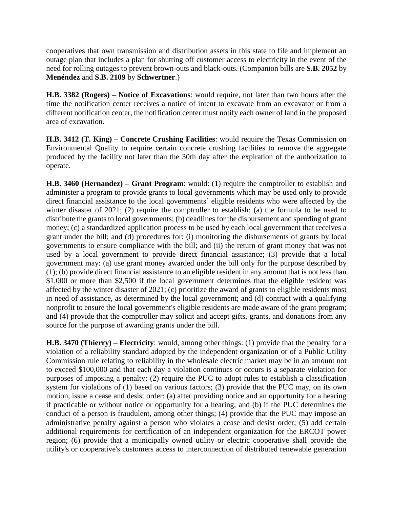cooperatives that own transmission and distribution assets in this state to file and implement an outage plan that includes a plan for shutting off customer access to electricity in the event of the need for rolling outages to prevent brown-outs and black-outs. (Companion bills are **S.B. 2052** by **Menéndez** and **S.B. 2109** by **Schwertner**.)

**H.B. 3382 (Rogers) – Notice of Excavations**: would require, not later than two hours after the time the notification center receives a notice of intent to excavate from an excavator or from a different notification center, the notification center must notify each owner of land in the proposed area of excavation.

**H.B. 3412 (T. King) – Concrete Crushing Facilities**: would require the Texas Commission on Environmental Quality to require certain concrete crushing facilities to remove the aggregate produced by the facility not later than the 30th day after the expiration of the authorization to operate.

**H.B. 3460 (Hernandez) – Grant Program**: would: (1) require the comptroller to establish and administer a program to provide grants to local governments which may be used only to provide direct financial assistance to the local governments' eligible residents who were affected by the winter disaster of 2021; (2) require the comptroller to establish: (a) the formula to be used to distribute the grants to local governments; (b) deadlines for the disbursement and spending of grant money; (c) a standardized application process to be used by each local government that receives a grant under the bill; and (d) procedures for: (i) monitoring the disbursements of grants by local governments to ensure compliance with the bill; and (ii) the return of grant money that was not used by a local government to provide direct financial assistance; (3) provide that a local government may: (a) use grant money awarded under the bill only for the purpose described by (1); (b) provide direct financial assistance to an eligible resident in any amount that is not less than \$1,000 or more than \$2,500 if the local government determines that the eligible resident was affected by the winter disaster of 2021; (c) prioritize the award of grants to eligible residents most in need of assistance, as determined by the local government; and (d) contract with a qualifying nonprofit to ensure the local government's eligible residents are made aware of the grant program; and (4) provide that the comptroller may solicit and accept gifts, grants, and donations from any source for the purpose of awarding grants under the bill.

**H.B. 3470 (Thierry) – Electricity**: would, among other things: (1) provide that the penalty for a violation of a reliability standard adopted by the independent organization or of a Public Utility Commission rule relating to reliability in the wholesale electric market may be in an amount not to exceed \$100,000 and that each day a violation continues or occurs is a separate violation for purposes of imposing a penalty; (2) require the PUC to adopt rules to establish a classification system for violations of (1) based on various factors; (3) provide that the PUC may, on its own motion, issue a cease and desist order: (a) after providing notice and an opportunity for a hearing if practicable or without notice or opportunity for a hearing; and (b) if the PUC determines the conduct of a person is fraudulent, among other things; (4) provide that the PUC may impose an administrative penalty against a person who violates a cease and desist order; (5) add certain additional requirements for certification of an independent organization for the ERCOT power region; (6) provide that a municipally owned utility or electric cooperative shall provide the utility's or cooperative's customers access to interconnection of distributed renewable generation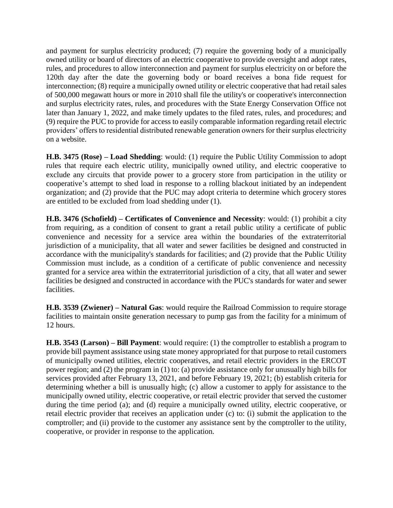and payment for surplus electricity produced; (7) require the governing body of a municipally owned utility or board of directors of an electric cooperative to provide oversight and adopt rates, rules, and procedures to allow interconnection and payment for surplus electricity on or before the 120th day after the date the governing body or board receives a bona fide request for interconnection; (8) require a municipally owned utility or electric cooperative that had retail sales of 500,000 megawatt hours or more in 2010 shall file the utility's or cooperative's interconnection and surplus electricity rates, rules, and procedures with the State Energy Conservation Office not later than January 1, 2022, and make timely updates to the filed rates, rules, and procedures; and (9) require the PUC to provide for access to easily comparable information regarding retail electric providers' offers to residential distributed renewable generation owners for their surplus electricity on a website.

**H.B. 3475 (Rose) – Load Shedding**: would: (1) require the Public Utility Commission to adopt rules that require each electric utility, municipally owned utility, and electric cooperative to exclude any circuits that provide power to a grocery store from participation in the utility or cooperative's attempt to shed load in response to a rolling blackout initiated by an independent organization; and (2) provide that the PUC may adopt criteria to determine which grocery stores are entitled to be excluded from load shedding under (1).

**H.B. 3476 (Schofield) – Certificates of Convenience and Necessity**: would: (1) prohibit a city from requiring, as a condition of consent to grant a retail public utility a certificate of public convenience and necessity for a service area within the boundaries of the extraterritorial jurisdiction of a municipality, that all water and sewer facilities be designed and constructed in accordance with the municipality's standards for facilities; and (2) provide that the Public Utility Commission must include, as a condition of a certificate of public convenience and necessity granted for a service area within the extraterritorial jurisdiction of a city, that all water and sewer facilities be designed and constructed in accordance with the PUC's standards for water and sewer facilities.

**H.B. 3539 (Zwiener) – Natural Gas**: would require the Railroad Commission to require storage facilities to maintain onsite generation necessary to pump gas from the facility for a minimum of 12 hours.

**H.B. 3543 (Larson) – Bill Payment**: would require: (1) the comptroller to establish a program to provide bill payment assistance using state money appropriated for that purpose to retail customers of municipally owned utilities, electric cooperatives, and retail electric providers in the ERCOT power region; and (2) the program in (1) to: (a) provide assistance only for unusually high bills for services provided after February 13, 2021, and before February 19, 2021; (b) establish criteria for determining whether a bill is unusually high; (c) allow a customer to apply for assistance to the municipally owned utility, electric cooperative, or retail electric provider that served the customer during the time period (a); and (d) require a municipally owned utility, electric cooperative, or retail electric provider that receives an application under (c) to: (i) submit the application to the comptroller; and (ii) provide to the customer any assistance sent by the comptroller to the utility, cooperative, or provider in response to the application.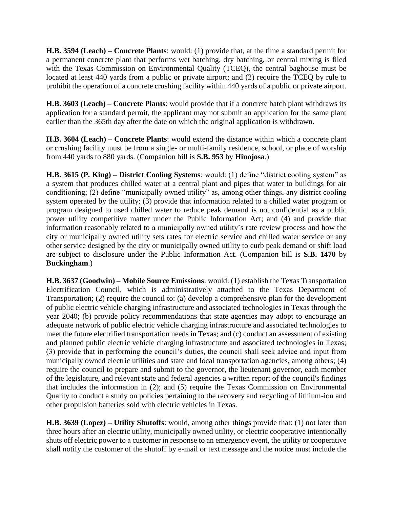**H.B. 3594 (Leach) – Concrete Plants**: would: (1) provide that, at the time a standard permit for a permanent concrete plant that performs wet batching, dry batching, or central mixing is filed with the Texas Commission on Environmental Quality (TCEQ), the central baghouse must be located at least 440 yards from a public or private airport; and (2) require the TCEQ by rule to prohibit the operation of a concrete crushing facility within 440 yards of a public or private airport.

**H.B. 3603 (Leach) – Concrete Plants**: would provide that if a concrete batch plant withdraws its application for a standard permit, the applicant may not submit an application for the same plant earlier than the 365th day after the date on which the original application is withdrawn.

**H.B. 3604 (Leach) – Concrete Plants**: would extend the distance within which a concrete plant or crushing facility must be from a single- or multi-family residence, school, or place of worship from 440 yards to 880 yards. (Companion bill is **S.B. 953** by **Hinojosa**.)

**H.B. 3615 (P. King) – District Cooling Systems**: would: (1) define "district cooling system" as a system that produces chilled water at a central plant and pipes that water to buildings for air conditioning; (2) define "municipally owned utility" as, among other things, any district cooling system operated by the utility; (3) provide that information related to a chilled water program or program designed to used chilled water to reduce peak demand is not confidential as a public power utility competitive matter under the Public Information Act; and (4) and provide that information reasonably related to a municipally owned utility's rate review process and how the city or municipally owned utility sets rates for electric service and chilled water service or any other service designed by the city or municipally owned utility to curb peak demand or shift load are subject to disclosure under the Public Information Act. (Companion bill is **S.B. 1470** by **Buckingham**.)

**H.B. 3637 (Goodwin) – Mobile Source Emissions**: would: (1) establish the Texas Transportation Electrification Council, which is administratively attached to the Texas Department of Transportation; (2) require the council to: (a) develop a comprehensive plan for the development of public electric vehicle charging infrastructure and associated technologies in Texas through the year 2040; (b) provide policy recommendations that state agencies may adopt to encourage an adequate network of public electric vehicle charging infrastructure and associated technologies to meet the future electrified transportation needs in Texas; and (c) conduct an assessment of existing and planned public electric vehicle charging infrastructure and associated technologies in Texas; (3) provide that in performing the council's duties, the council shall seek advice and input from municipally owned electric utilities and state and local transportation agencies, among others; (4) require the council to prepare and submit to the governor, the lieutenant governor, each member of the legislature, and relevant state and federal agencies a written report of the council's findings that includes the information in (2); and (5) require the Texas Commission on Environmental Quality to conduct a study on policies pertaining to the recovery and recycling of lithium-ion and other propulsion batteries sold with electric vehicles in Texas.

**H.B. 3639 (Lopez) – Utility Shutoffs**: would, among other things provide that: (1) not later than three hours after an electric utility, municipally owned utility, or electric cooperative intentionally shuts off electric power to a customer in response to an emergency event, the utility or cooperative shall notify the customer of the shutoff by e-mail or text message and the notice must include the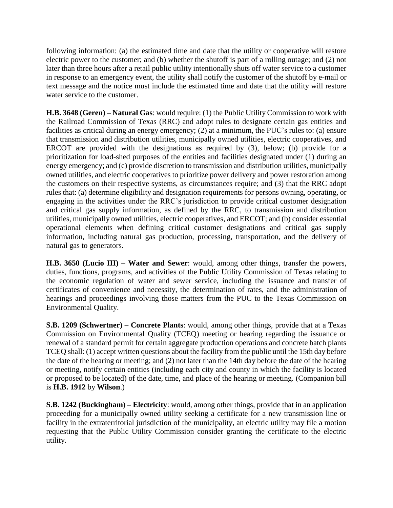following information: (a) the estimated time and date that the utility or cooperative will restore electric power to the customer; and (b) whether the shutoff is part of a rolling outage; and (2) not later than three hours after a retail public utility intentionally shuts off water service to a customer in response to an emergency event, the utility shall notify the customer of the shutoff by e-mail or text message and the notice must include the estimated time and date that the utility will restore water service to the customer.

**H.B. 3648 (Geren) – Natural Gas**: would require: (1) the Public Utility Commission to work with the Railroad Commission of Texas (RRC) and adopt rules to designate certain gas entities and facilities as critical during an energy emergency; (2) at a minimum, the PUC's rules to: (a) ensure that transmission and distribution utilities, municipally owned utilities, electric cooperatives, and ERCOT are provided with the designations as required by (3), below; (b) provide for a prioritization for load-shed purposes of the entities and facilities designated under (1) during an energy emergency; and (c) provide discretion to transmission and distribution utilities, municipally owned utilities, and electric cooperatives to prioritize power delivery and power restoration among the customers on their respective systems, as circumstances require; and (3) that the RRC adopt rules that: (a) determine eligibility and designation requirements for persons owning, operating, or engaging in the activities under the RRC's jurisdiction to provide critical customer designation and critical gas supply information, as defined by the RRC, to transmission and distribution utilities, municipally owned utilities, electric cooperatives, and ERCOT; and (b) consider essential operational elements when defining critical customer designations and critical gas supply information, including natural gas production, processing, transportation, and the delivery of natural gas to generators.

**H.B. 3650 (Lucio III) – Water and Sewer**: would, among other things, transfer the powers, duties, functions, programs, and activities of the Public Utility Commission of Texas relating to the economic regulation of water and sewer service, including the issuance and transfer of certificates of convenience and necessity, the determination of rates, and the administration of hearings and proceedings involving those matters from the PUC to the Texas Commission on Environmental Quality.

**S.B. 1209 (Schwertner) – Concrete Plants**: would, among other things, provide that at a Texas Commission on Environmental Quality (TCEQ) meeting or hearing regarding the issuance or renewal of a standard permit for certain aggregate production operations and concrete batch plants TCEQ shall: (1) accept written questions about the facility from the public until the 15th day before the date of the hearing or meeting; and (2) not later than the 14th day before the date of the hearing or meeting, notify certain entities (including each city and county in which the facility is located or proposed to be located) of the date, time, and place of the hearing or meeting. (Companion bill is **H.B. 1912** by **Wilson**.)

**S.B. 1242 (Buckingham) – Electricity**: would, among other things, provide that in an application proceeding for a municipally owned utility seeking a certificate for a new transmission line or facility in the extraterritorial jurisdiction of the municipality, an electric utility may file a motion requesting that the Public Utility Commission consider granting the certificate to the electric utility.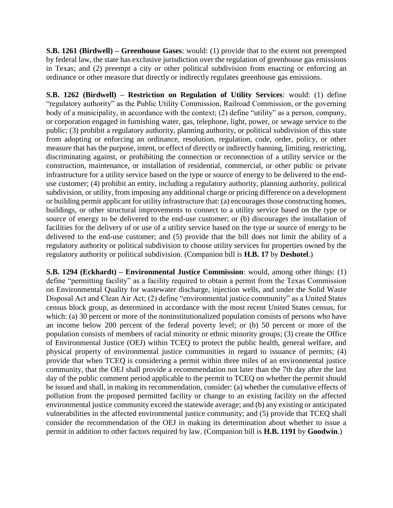**S.B. 1261 (Birdwell) – Greenhouse Gases**: would: (1) provide that to the extent not preempted by federal law, the state has exclusive jurisdiction over the regulation of greenhouse gas emissions in Texas; and (2) preempt a city or other political subdivision from enacting or enforcing an ordinance or other measure that directly or indirectly regulates greenhouse gas emissions.

**S.B. 1262 (Birdwell) – Restriction on Regulation of Utility Services**: would: (1) define "regulatory authority" as the Public Utility Commission, Railroad Commission, or the governing body of a municipality, in accordance with the context; (2) define "utility" as a person, company, or corporation engaged in furnishing water, gas, telephone, light, power, or sewage service to the public; (3) prohibit a regulatory authority, planning authority, or political subdivision of this state from adopting or enforcing an ordinance, resolution, regulation, code, order, policy, or other measure that has the purpose, intent, or effect of directly or indirectly banning, limiting, restricting, discriminating against, or prohibiting the connection or reconnection of a utility service or the construction, maintenance, or installation of residential, commercial, or other public or private infrastructure for a utility service based on the type or source of energy to be delivered to the enduse customer; (4) prohibit an entity, including a regulatory authority, planning authority, political subdivision, or utility, from imposing any additional charge or pricing difference on a development or building permit applicant for utility infrastructure that: (a) encourages those constructing homes, buildings, or other structural improvements to connect to a utility service based on the type or source of energy to be delivered to the end-use customer; or (b) discourages the installation of facilities for the delivery of or use of a utility service based on the type or source of energy to be delivered to the end-use customer; and (5) provide that the bill does not limit the ability of a regulatory authority or political subdivision to choose utility services for properties owned by the regulatory authority or political subdivision. (Companion bill is **H.B. 17** by **Deshotel**.)

**S.B. 1294 (Eckhardt) – Environmental Justice Commission**: would, among other things: (1) define "permitting facility" as a facility required to obtain a permit from the Texas Commission on Environmental Quality for wastewater discharge, injection wells, and under the Solid Waste Disposal Act and Clean Air Act; (2) define "environmental justice community" as a United States census block group, as determined in accordance with the most recent United States census, for which: (a) 30 percent or more of the noninstitutionalized population consists of persons who have an income below 200 percent of the federal poverty level; or (b) 50 percent or more of the population consists of members of racial minority or ethnic minority groups; (3) create the Office of Environmental Justice (OEJ) within TCEQ to protect the public health, general welfare, and physical property of environmental justice communities in regard to issuance of permits; (4) provide that when TCEQ is considering a permit within three miles of an environmental justice community, that the OEJ shall provide a recommendation not later than the 7th day after the last day of the public comment period applicable to the permit to TCEQ on whether the permit should be issued and shall, in making its recommendation, consider: (a) whether the cumulative effects of pollution from the proposed permitted facility or change to an existing facility on the affected environmental justice community exceed the statewide average; and (b) any existing or anticipated vulnerabilities in the affected environmental justice community; and (5) provide that TCEQ shall consider the recommendation of the OEJ in making its determination about whether to issue a permit in addition to other factors required by law. (Companion bill is **H.B. 1191** by **Goodwin**.)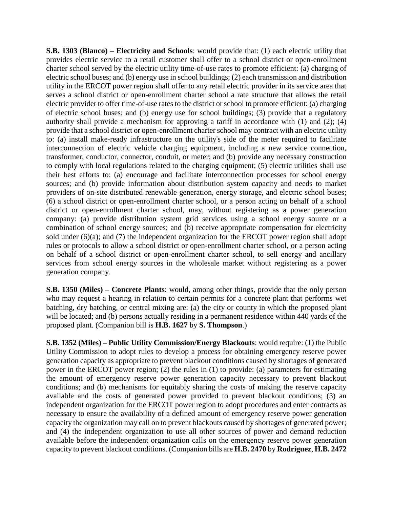**S.B. 1303 (Blanco) – Electricity and Schools**: would provide that: (1) each electric utility that provides electric service to a retail customer shall offer to a school district or open-enrollment charter school served by the electric utility time-of-use rates to promote efficient: (a) charging of electric school buses; and (b) energy use in school buildings; (2) each transmission and distribution utility in the ERCOT power region shall offer to any retail electric provider in its service area that serves a school district or open-enrollment charter school a rate structure that allows the retail electric provider to offer time-of-use rates to the district or school to promote efficient: (a) charging of electric school buses; and (b) energy use for school buildings; (3) provide that a regulatory authority shall provide a mechanism for approving a tariff in accordance with (1) and (2); (4) provide that a school district or open-enrollment charter school may contract with an electric utility to: (a) install make-ready infrastructure on the utility's side of the meter required to facilitate interconnection of electric vehicle charging equipment, including a new service connection, transformer, conductor, connector, conduit, or meter; and (b) provide any necessary construction to comply with local regulations related to the charging equipment; (5) electric utilities shall use their best efforts to: (a) encourage and facilitate interconnection processes for school energy sources; and (b) provide information about distribution system capacity and needs to market providers of on-site distributed renewable generation, energy storage, and electric school buses; (6) a school district or open-enrollment charter school, or a person acting on behalf of a school district or open-enrollment charter school, may, without registering as a power generation company: (a) provide distribution system grid services using a school energy source or a combination of school energy sources; and (b) receive appropriate compensation for electricity sold under (6)(a); and (7) the independent organization for the ERCOT power region shall adopt rules or protocols to allow a school district or open-enrollment charter school, or a person acting on behalf of a school district or open-enrollment charter school, to sell energy and ancillary services from school energy sources in the wholesale market without registering as a power generation company.

**S.B. 1350 (Miles) – Concrete Plants**: would, among other things, provide that the only person who may request a hearing in relation to certain permits for a concrete plant that performs wet batching, dry batching, or central mixing are: (a) the city or county in which the proposed plant will be located; and (b) persons actually residing in a permanent residence within 440 yards of the proposed plant. (Companion bill is **H.B. 1627** by **S. Thompson**.)

**S.B. 1352 (Miles) – Public Utility Commission/Energy Blackouts**: would require: (1) the Public Utility Commission to adopt rules to develop a process for obtaining emergency reserve power generation capacity as appropriate to prevent blackout conditions caused by shortages of generated power in the ERCOT power region; (2) the rules in (1) to provide: (a) parameters for estimating the amount of emergency reserve power generation capacity necessary to prevent blackout conditions; and (b) mechanisms for equitably sharing the costs of making the reserve capacity available and the costs of generated power provided to prevent blackout conditions; (3) an independent organization for the ERCOT power region to adopt procedures and enter contracts as necessary to ensure the availability of a defined amount of emergency reserve power generation capacity the organization may call on to prevent blackouts caused by shortages of generated power; and (4) the independent organization to use all other sources of power and demand reduction available before the independent organization calls on the emergency reserve power generation capacity to prevent blackout conditions. (Companion bills are **H.B. 2470** by **Rodriguez**, **H.B. 2472**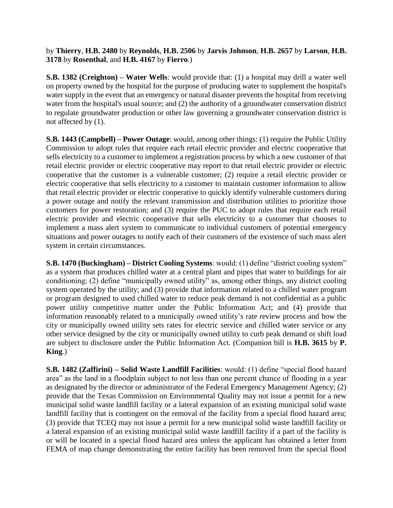by **Thierry**, **H.B. 2480** by **Reynolds**, **H.B. 2506** by **Jarvis Johnson**, **H.B. 2657** by **Larson**, **H.B. 3178** by **Rosenthal**, and **H.B. 4167** by **Fierro**.)

**S.B. 1382 (Creighton) – Water Wells**: would provide that: (1) a hospital may drill a water well on property owned by the hospital for the purpose of producing water to supplement the hospital's water supply in the event that an emergency or natural disaster prevents the hospital from receiving water from the hospital's usual source; and (2) the authority of a groundwater conservation district to regulate groundwater production or other law governing a groundwater conservation district is not affected by (1).

**S.B. 1443 (Campbell) – Power Outage**: would, among other things: (1) require the Public Utility Commission to adopt rules that require each retail electric provider and electric cooperative that sells electricity to a customer to implement a registration process by which a new customer of that retail electric provider or electric cooperative may report to that retail electric provider or electric cooperative that the customer is a vulnerable customer; (2) require a retail electric provider or electric cooperative that sells electricity to a customer to maintain customer information to allow that retail electric provider or electric cooperative to quickly identify vulnerable customers during a power outage and notify the relevant transmission and distribution utilities to prioritize those customers for power restoration; and (3) require the PUC to adopt rules that require each retail electric provider and electric cooperative that sells electricity to a customer that chooses to implement a mass alert system to communicate to individual customers of potential emergency situations and power outages to notify each of their customers of the existence of such mass alert system in certain circumstances.

**S.B. 1470 (Buckingham) – District Cooling Systems**: would: (1) define "district cooling system" as a system that produces chilled water at a central plant and pipes that water to buildings for air conditioning; (2) define "municipally owned utility" as, among other things, any district cooling system operated by the utility; and (3) provide that information related to a chilled water program or program designed to used chilled water to reduce peak demand is not confidential as a public power utility competitive matter under the Public Information Act; and (4) provide that information reasonably related to a municipally owned utility's rate review process and how the city or municipally owned utility sets rates for electric service and chilled water service or any other service designed by the city or municipally owned utility to curb peak demand or shift load are subject to disclosure under the Public Information Act. (Companion bill is **H.B. 3615** by **P. King**.)

**S.B. 1482 (Zaffirini) – Solid Waste Landfill Facilities**: would: (1) define "special flood hazard area" as the land in a floodplain subject to not less than one percent chance of flooding in a year as designated by the director or administrator of the Federal Emergency Management Agency; (2) provide that the Texas Commission on Environmental Quality may not issue a permit for a new municipal solid waste landfill facility or a lateral expansion of an existing municipal solid waste landfill facility that is contingent on the removal of the facility from a special flood hazard area; (3) provide that TCEQ may not issue a permit for a new municipal solid waste landfill facility or a lateral expansion of an existing municipal solid waste landfill facility if a part of the facility is or will be located in a special flood hazard area unless the applicant has obtained a letter from FEMA of map change demonstrating the entire facility has been removed from the special flood